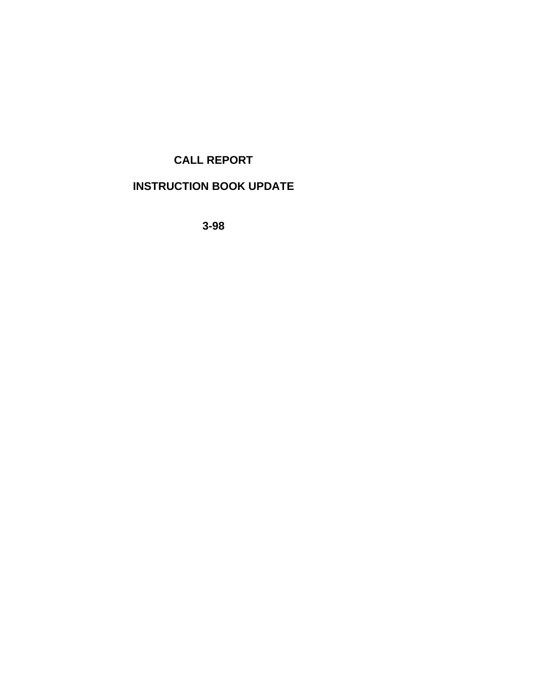# **CALL REPORT**

# **INSTRUCTION BOOK UPDATE**

**3-98**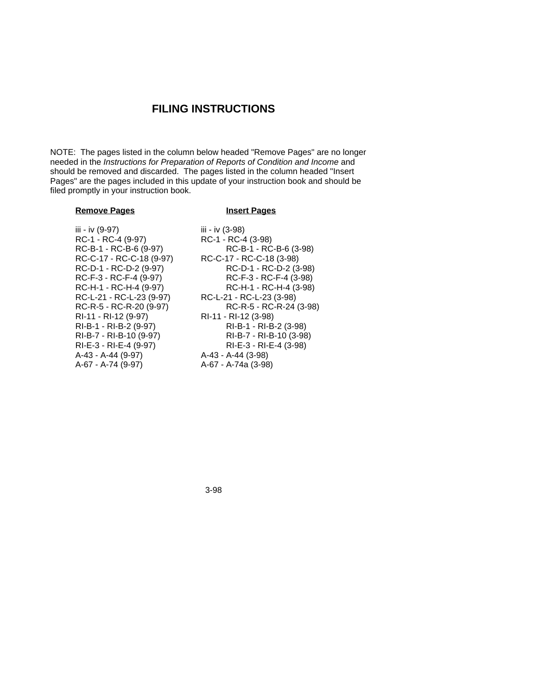# **FILING INSTRUCTIONS**

NOTE: The pages listed in the column below headed "Remove Pages" are no longer needed in the *Instructions for Preparation of Reports of Condition and Income* and should be removed and discarded. The pages listed in the column headed "Insert Pages" are the pages included in this update of your instruction book and should be filed promptly in your instruction book.

# **Remove Pages Insert Pages**

iii - iv (9-97) iii - iv (3-98) RC-1 - RC-4 (9-97) RC-1 - RC-4 (3-98) RC-R-5 - RC-R-20 (9-97) RI-11 - RI-12 (9-97) RI-11 - RI-12 (3-98) A-43 - A-44 (9-97) A-43 - A-44 (3-98)

RC-B-1 - RC-B-6 (9-97) RC-B-1 - RC-B-6 (3-98) RC-C-17 - RC-C-18 (9-97) RC-C-17 - RC-C-18 (3-98) RC-D-1 - RC-D-2 (9-97) RC-D-1 - RC-D-2 (3-98) RC-F-3 - RC-F-4 (9-97) RC-F-3 - RC-F-4 (3-98) RC-H-1 - RC-H-4 (9-97) RC-H-1 - RC-H-4 (3-98) RC-L-21 - RC-L-23 (9-97) RC-L-21 - RC-L-23 (3-98) RI-B-1 - RI-B-2 (9-97) RI-B-1 - RI-B-2 (3-98) RI-B-7 - RI-B-10 (9-97) RI-B-7 - RI-B-10 (3-98) RI-E-3 - RI-E-4 (9-97) RI-E-3 - RI-E-4 (3-98) A-67 - A-74a (3-98)

3-98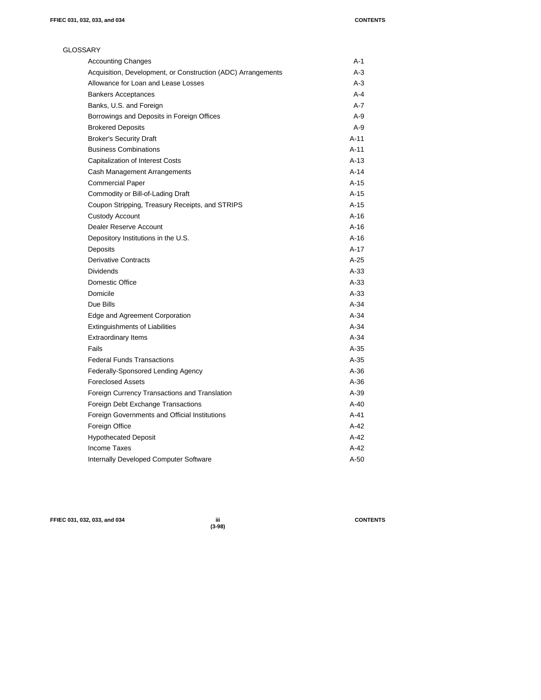| <b>GLOSSARY</b>                                              |         |
|--------------------------------------------------------------|---------|
| <b>Accounting Changes</b>                                    | $A-1$   |
| Acquisition, Development, or Construction (ADC) Arrangements | A-3     |
| Allowance for Loan and Lease Losses                          | $A-3$   |
| <b>Bankers Acceptances</b>                                   | $A - 4$ |
| Banks, U.S. and Foreign                                      | $A-7$   |
| Borrowings and Deposits in Foreign Offices                   | $A-9$   |
| <b>Brokered Deposits</b>                                     | $A-9$   |
| <b>Broker's Security Draft</b>                               | $A-11$  |
| <b>Business Combinations</b>                                 | $A-11$  |
| <b>Capitalization of Interest Costs</b>                      | $A-13$  |
| Cash Management Arrangements                                 | $A-14$  |
| <b>Commercial Paper</b>                                      | $A-15$  |
| Commodity or Bill-of-Lading Draft                            | $A-15$  |
| Coupon Stripping, Treasury Receipts, and STRIPS              | $A-15$  |
| <b>Custody Account</b>                                       | A-16    |
| Dealer Reserve Account                                       | $A-16$  |
| Depository Institutions in the U.S.                          | $A-16$  |
| Deposits                                                     | $A-17$  |
| <b>Derivative Contracts</b>                                  | $A-25$  |
| <b>Dividends</b>                                             | $A-33$  |
| Domestic Office                                              | $A-33$  |
| Domicile                                                     | $A-33$  |
| Due Bills                                                    | $A-34$  |
| Edge and Agreement Corporation                               | $A-34$  |
| <b>Extinguishments of Liabilities</b>                        | $A-34$  |
| <b>Extraordinary Items</b>                                   | $A-34$  |
| Fails                                                        | $A-35$  |
| <b>Federal Funds Transactions</b>                            | $A-35$  |
| Federally-Sponsored Lending Agency                           | $A-36$  |
| <b>Foreclosed Assets</b>                                     | $A-36$  |
| Foreign Currency Transactions and Translation                | $A-39$  |
| Foreign Debt Exchange Transactions                           | $A-40$  |
| Foreign Governments and Official Institutions                | A-41    |
| Foreign Office                                               | $A-42$  |
| <b>Hypothecated Deposit</b>                                  | $A-42$  |
| <b>Income Taxes</b>                                          | $A-42$  |
| Internally Developed Computer Software                       | $A-50$  |

**FFIEC 031, 032, 033, and 034 iii CONTENTS**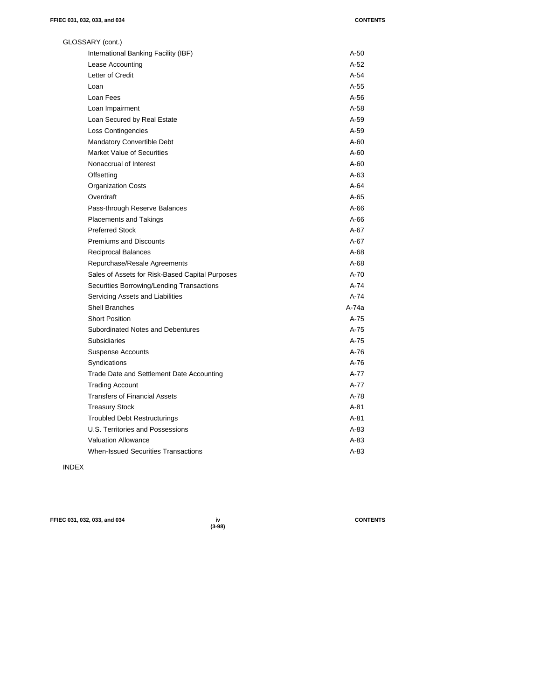| GLOSSARY (cont.)                                |        |
|-------------------------------------------------|--------|
| International Banking Facility (IBF)            | A-50   |
| Lease Accounting                                | $A-52$ |
| Letter of Credit                                | $A-54$ |
| Loan                                            | $A-55$ |
| Loan Fees                                       | $A-56$ |
| Loan Impairment                                 | $A-58$ |
| Loan Secured by Real Estate                     | $A-59$ |
| <b>Loss Contingencies</b>                       | $A-59$ |
| Mandatory Convertible Debt                      | $A-60$ |
| <b>Market Value of Securities</b>               | A-60   |
| Nonaccrual of Interest                          | A-60   |
| Offsetting                                      | A-63   |
| <b>Organization Costs</b>                       | $A-64$ |
| Overdraft                                       | $A-65$ |
| Pass-through Reserve Balances                   | $A-66$ |
| <b>Placements and Takings</b>                   | $A-66$ |
| <b>Preferred Stock</b>                          | $A-67$ |
| <b>Premiums and Discounts</b>                   | $A-67$ |
| Reciprocal Balances                             | $A-68$ |
| Repurchase/Resale Agreements                    | $A-68$ |
| Sales of Assets for Risk-Based Capital Purposes | $A-70$ |
| Securities Borrowing/Lending Transactions       | A-74   |
| Servicing Assets and Liabilities                | A-74   |
| <b>Shell Branches</b>                           | A-74a  |
| <b>Short Position</b>                           | A-75   |
| Subordinated Notes and Debentures               | A-75   |
| <b>Subsidiaries</b>                             | A-75   |
| <b>Suspense Accounts</b>                        | $A-76$ |
| Syndications                                    | A-76   |
| Trade Date and Settlement Date Accounting       | A-77   |
| <b>Trading Account</b>                          | A-77   |
| <b>Transfers of Financial Assets</b>            | A-78   |
| <b>Treasury Stock</b>                           | A-81   |
| <b>Troubled Debt Restructurings</b>             | A-81   |
| U.S. Territories and Possessions                | A-83   |
| <b>Valuation Allowance</b>                      | A-83   |
| <b>When-Issued Securities Transactions</b>      | $A-83$ |

INDEX

**FFIEC 031, 032, 033, and 034 iv CONTENTS**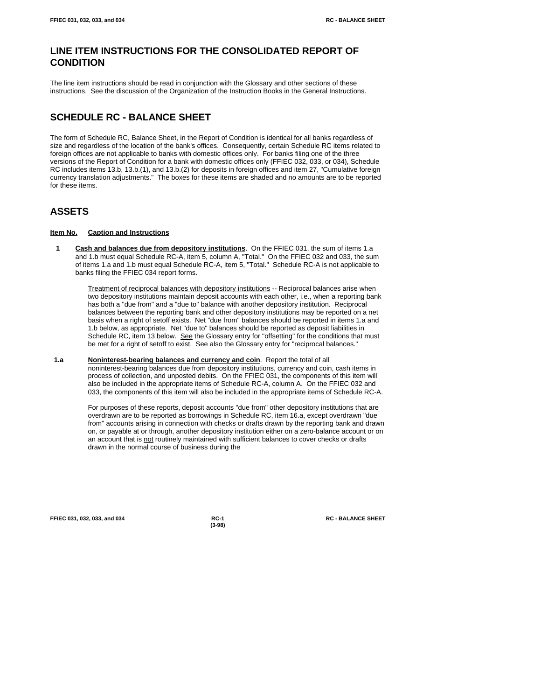# **LINE ITEM INSTRUCTIONS FOR THE CONSOLIDATED REPORT OF CONDITION**

The line item instructions should be read in conjunction with the Glossary and other sections of these instructions. See the discussion of the Organization of the Instruction Books in the General Instructions.

# **SCHEDULE RC - BALANCE SHEET**

The form of Schedule RC, Balance Sheet, in the Report of Condition is identical for all banks regardless of size and regardless of the location of the bank's offices. Consequently, certain Schedule RC items related to foreign offices are not applicable to banks with domestic offices only. For banks filing one of the three versions of the Report of Condition for a bank with domestic offices only (FFIEC 032, 033, or 034), Schedule RC includes items 13.b, 13.b.(1), and 13.b.(2) for deposits in foreign offices and item 27, "Cumulative foreign currency translation adjustments." The boxes for these items are shaded and no amounts are to be reported for these items.

# **ASSETS**

# **Item No. Caption and Instructions**

 **1 Cash and balances due from depository institutions**. On the FFIEC 031, the sum of items 1.a and 1.b must equal Schedule RC-A, item 5, column A, "Total." On the FFIEC 032 and 033, the sum of items 1.a and 1.b must equal Schedule RC-A, item 5, "Total." Schedule RC-A is not applicable to banks filing the FFIEC 034 report forms.

> Treatment of reciprocal balances with depository institutions -- Reciprocal balances arise when two depository institutions maintain deposit accounts with each other, i.e., when a reporting bank has both a "due from" and a "due to" balance with another depository institution. Reciprocal balances between the reporting bank and other depository institutions may be reported on a net basis when a right of setoff exists. Net "due from" balances should be reported in items 1.a and 1.b below, as appropriate. Net "due to" balances should be reported as deposit liabilities in Schedule RC, item 13 below. See the Glossary entry for "offsetting" for the conditions that must be met for a right of setoff to exist. See also the Glossary entry for "reciprocal balances."

 **1.a Noninterest-bearing balances and currency and coin**. Report the total of all noninterest-bearing balances due from depository institutions, currency and coin, cash items in process of collection, and unposted debits. On the FFIEC 031, the components of this item will also be included in the appropriate items of Schedule RC-A, column A. On the FFIEC 032 and 033, the components of this item will also be included in the appropriate items of Schedule RC-A.

> For purposes of these reports, deposit accounts "due from" other depository institutions that are overdrawn are to be reported as borrowings in Schedule RC, item 16.a, except overdrawn "due from" accounts arising in connection with checks or drafts drawn by the reporting bank and drawn on, or payable at or through, another depository institution either on a zero-balance account or on an account that is not routinely maintained with sufficient balances to cover checks or drafts drawn in the normal course of business during the

**FFIEC 031, 032, 033, and 034 RC-1 RC - BALANCE SHEET**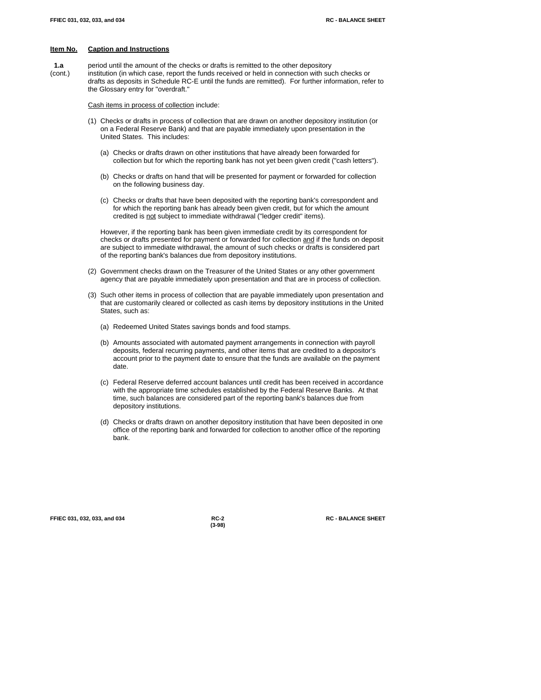**1.a** period until the amount of the checks or drafts is remitted to the other depository (cont.) institution (in which case, report the funds received or held in connection with such checks or drafts as deposits in Schedule RC-E until the funds are remitted). For further information, refer to the Glossary entry for "overdraft."

Cash items in process of collection include:

- (1) Checks or drafts in process of collection that are drawn on another depository institution (or on a Federal Reserve Bank) and that are payable immediately upon presentation in the United States. This includes:
	- (a) Checks or drafts drawn on other institutions that have already been forwarded for collection but for which the reporting bank has not yet been given credit ("cash letters").
	- (b) Checks or drafts on hand that will be presented for payment or forwarded for collection on the following business day.
	- (c) Checks or drafts that have been deposited with the reporting bank's correspondent and for which the reporting bank has already been given credit, but for which the amount credited is not subject to immediate withdrawal ("ledger credit" items).

However, if the reporting bank has been given immediate credit by its correspondent for checks or drafts presented for payment or forwarded for collection and if the funds on deposit are subject to immediate withdrawal, the amount of such checks or drafts is considered part of the reporting bank's balances due from depository institutions.

- (2) Government checks drawn on the Treasurer of the United States or any other government agency that are payable immediately upon presentation and that are in process of collection.
- (3) Such other items in process of collection that are payable immediately upon presentation and that are customarily cleared or collected as cash items by depository institutions in the United States, such as:
	- (a) Redeemed United States savings bonds and food stamps.
	- (b) Amounts associated with automated payment arrangements in connection with payroll deposits, federal recurring payments, and other items that are credited to a depositor's account prior to the payment date to ensure that the funds are available on the payment date.
	- (c) Federal Reserve deferred account balances until credit has been received in accordance with the appropriate time schedules established by the Federal Reserve Banks. At that time, such balances are considered part of the reporting bank's balances due from depository institutions.
	- (d) Checks or drafts drawn on another depository institution that have been deposited in one office of the reporting bank and forwarded for collection to another office of the reporting bank.

**FFIEC 031, 032, 033, and 034 RC-2 RC - BALANCE SHEET**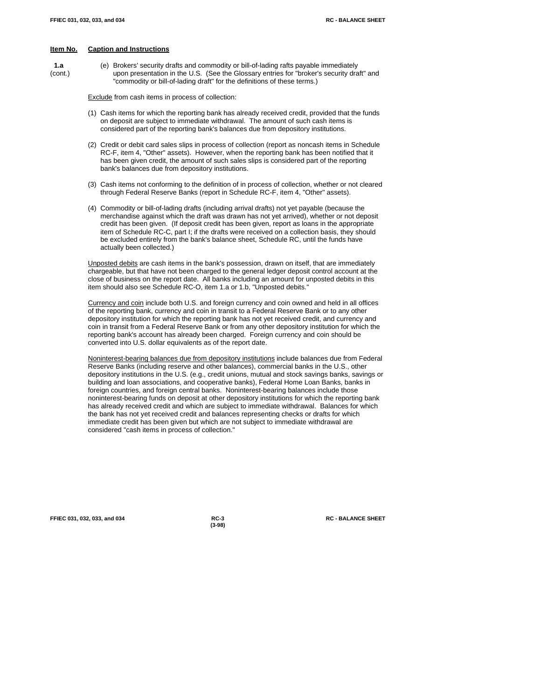- 
- **1.a** (e) Brokers' security drafts and commodity or bill-of-lading rafts payable immediately (cont.) upon presentation in the U.S. (See the Glossary entries for "broker's security draft" and "commodity or bill-of-lading draft" for the definitions of these terms.)

Exclude from cash items in process of collection:

- (1) Cash items for which the reporting bank has already received credit, provided that the funds on deposit are subject to immediate withdrawal. The amount of such cash items is considered part of the reporting bank's balances due from depository institutions.
- (2) Credit or debit card sales slips in process of collection (report as noncash items in Schedule RC-F, item 4, "Other" assets). However, when the reporting bank has been notified that it has been given credit, the amount of such sales slips is considered part of the reporting bank's balances due from depository institutions.
- (3) Cash items not conforming to the definition of in process of collection, whether or not cleared through Federal Reserve Banks (report in Schedule RC-F, item 4, "Other" assets).
- (4) Commodity or bill-of-lading drafts (including arrival drafts) not yet payable (because the merchandise against which the draft was drawn has not yet arrived), whether or not deposit credit has been given. (If deposit credit has been given, report as loans in the appropriate item of Schedule RC-C, part I; if the drafts were received on a collection basis, they should be excluded entirely from the bank's balance sheet, Schedule RC, until the funds have actually been collected.)

Unposted debits are cash items in the bank's possession, drawn on itself, that are immediately chargeable, but that have not been charged to the general ledger deposit control account at the close of business on the report date. All banks including an amount for unposted debits in this item should also see Schedule RC-O, item 1.a or 1.b, "Unposted debits."

Currency and coin include both U.S. and foreign currency and coin owned and held in all offices of the reporting bank, currency and coin in transit to a Federal Reserve Bank or to any other depository institution for which the reporting bank has not yet received credit, and currency and coin in transit from a Federal Reserve Bank or from any other depository institution for which the reporting bank's account has already been charged. Foreign currency and coin should be converted into U.S. dollar equivalents as of the report date.

Noninterest-bearing balances due from depository institutions include balances due from Federal Reserve Banks (including reserve and other balances), commercial banks in the U.S., other depository institutions in the U.S. (e.g., credit unions, mutual and stock savings banks, savings or building and loan associations, and cooperative banks), Federal Home Loan Banks, banks in foreign countries, and foreign central banks. Noninterest-bearing balances include those noninterest-bearing funds on deposit at other depository institutions for which the reporting bank has already received credit and which are subject to immediate withdrawal. Balances for which the bank has not yet received credit and balances representing checks or drafts for which immediate credit has been given but which are not subject to immediate withdrawal are considered "cash items in process of collection."

**FFIEC 031, 032, 033, and 034 RC-3 RC - BALANCE SHEET**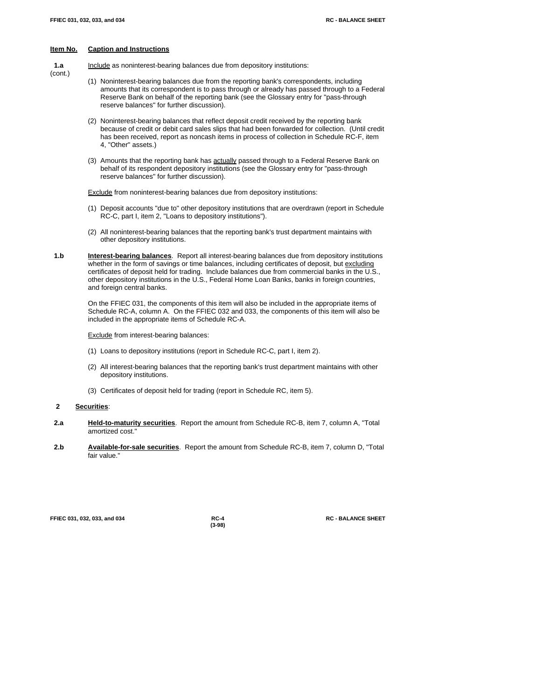(cont.)

#### **Item No. Caption and Instructions**

**1.a** Include as noninterest-bearing balances due from depository institutions:

- (1) Noninterest-bearing balances due from the reporting bank's correspondents, including amounts that its correspondent is to pass through or already has passed through to a Federal Reserve Bank on behalf of the reporting bank (see the Glossary entry for "pass-through reserve balances" for further discussion).
- (2) Noninterest-bearing balances that reflect deposit credit received by the reporting bank because of credit or debit card sales slips that had been forwarded for collection. (Until credit has been received, report as noncash items in process of collection in Schedule RC-F, item 4, "Other" assets.)
- (3) Amounts that the reporting bank has actually passed through to a Federal Reserve Bank on behalf of its respondent depository institutions (see the Glossary entry for "pass-through reserve balances" for further discussion).

Exclude from noninterest-bearing balances due from depository institutions:

- (1) Deposit accounts "due to" other depository institutions that are overdrawn (report in Schedule RC-C, part I, item 2, "Loans to depository institutions").
- (2) All noninterest-bearing balances that the reporting bank's trust department maintains with other depository institutions.
- **1.b Interest-bearing balances**. Report all interest-bearing balances due from depository institutions whether in the form of savings or time balances, including certificates of deposit, but excluding certificates of deposit held for trading. Include balances due from commercial banks in the U.S., other depository institutions in the U.S., Federal Home Loan Banks, banks in foreign countries, and foreign central banks.

On the FFIEC 031, the components of this item will also be included in the appropriate items of Schedule RC-A, column A. On the FFIEC 032 and 033, the components of this item will also be included in the appropriate items of Schedule RC-A.

**Exclude** from interest-bearing balances:

- (1) Loans to depository institutions (report in Schedule RC-C, part I, item 2).
- (2) All interest-bearing balances that the reporting bank's trust department maintains with other depository institutions.
- (3) Certificates of deposit held for trading (report in Schedule RC, item 5).

#### **2 Securities**:

- **2.a Held-to-maturity securities**. Report the amount from Schedule RC-B, item 7, column A, "Total amortized cost."
- **2.b Available-for-sale securities**. Report the amount from Schedule RC-B, item 7, column D, "Total fair value."

**FFIEC 031, 032, 033, and 034 RC-4 RC - BALANCE SHEET**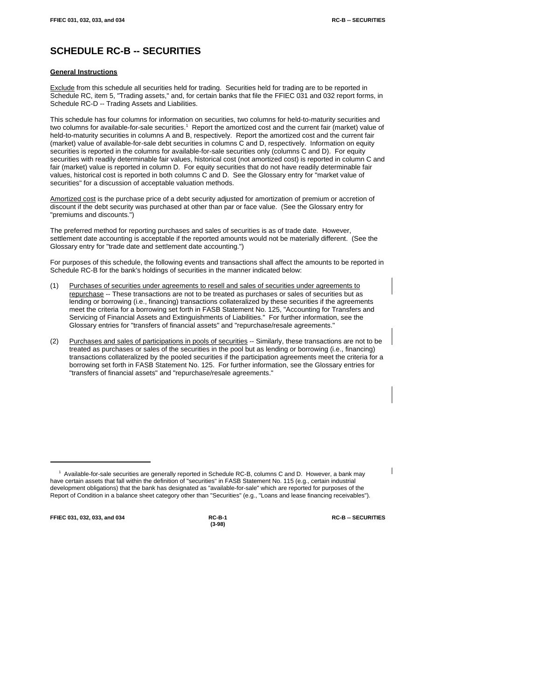# **SCHEDULE RC-B -- SECURITIES**

#### **General Instructions**

Exclude from this schedule all securities held for trading. Securities held for trading are to be reported in Schedule RC, item 5, "Trading assets," and, for certain banks that file the FFIEC 031 and 032 report forms, in Schedule RC-D -- Trading Assets and Liabilities.

This schedule has four columns for information on securities, two columns for held-to-maturity securities and two columns for available-for-sale securities.<sup>1</sup> Report the amortized cost and the current fair (market) value of held-to-maturity securities in columns A and B, respectively. Report the amortized cost and the current fair (market) value of available-for-sale debt securities in columns C and D, respectively. Information on equity securities is reported in the columns for available-for-sale securities only (columns C and D). For equity securities with readily determinable fair values, historical cost (not amortized cost) is reported in column C and fair (market) value is reported in column D. For equity securities that do not have readily determinable fair values, historical cost is reported in both columns C and D. See the Glossary entry for "market value of securities" for a discussion of acceptable valuation methods.

Amortized cost is the purchase price of a debt security adjusted for amortization of premium or accretion of discount if the debt security was purchased at other than par or face value. (See the Glossary entry for "premiums and discounts.")

The preferred method for reporting purchases and sales of securities is as of trade date. However, settlement date accounting is acceptable if the reported amounts would not be materially different. (See the Glossary entry for "trade date and settlement date accounting.")

For purposes of this schedule, the following events and transactions shall affect the amounts to be reported in Schedule RC-B for the bank's holdings of securities in the manner indicated below:

- (1) Purchases of securities under agreements to resell and sales of securities under agreements to repurchase -- These transactions are not to be treated as purchases or sales of securities but as lending or borrowing (i.e., financing) transactions collateralized by these securities if the agreements meet the criteria for a borrowing set forth in FASB Statement No. 125, "Accounting for Transfers and Servicing of Financial Assets and Extinguishments of Liabilities." For further information, see the Glossary entries for "transfers of financial assets" and "repurchase/resale agreements."
- (2) Purchases and sales of participations in pools of securities -- Similarly, these transactions are not to be treated as purchases or sales of the securities in the pool but as lending or borrowing (i.e., financing) transactions collateralized by the pooled securities if the participation agreements meet the criteria for a borrowing set forth in FASB Statement No. 125. For further information, see the Glossary entries for "transfers of financial assets" and "repurchase/resale agreements."

**FFIEC 031, 032, 033, and 034 RC-B-1 RC-B -- SECURITIES**

 $<sup>1</sup>$  Available-for-sale securities are generally reported in Schedule RC-B, columns C and D. However, a bank may</sup> have certain assets that fall within the definition of "securities" in FASB Statement No. 115 (e.g., certain industrial development obligations) that the bank has designated as "available-for-sale" which are reported for purposes of the Report of Condition in a balance sheet category other than "Securities" (e.g., "Loans and lease financing receivables").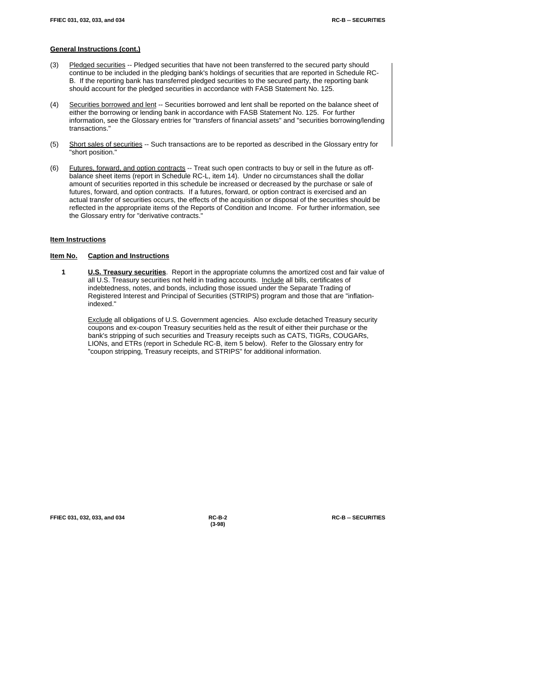- (3) Pledged securities -- Pledged securities that have not been transferred to the secured party should continue to be included in the pledging bank's holdings of securities that are reported in Schedule RC-B. If the reporting bank has transferred pledged securities to the secured party, the reporting bank should account for the pledged securities in accordance with FASB Statement No. 125.
- (4) Securities borrowed and lent -- Securities borrowed and lent shall be reported on the balance sheet of either the borrowing or lending bank in accordance with FASB Statement No. 125. For further information, see the Glossary entries for "transfers of financial assets" and "securities borrowing/lending transactions."
- (5) Short sales of securities -- Such transactions are to be reported as described in the Glossary entry for "short position."
- (6) Futures, forward, and option contracts -- Treat such open contracts to buy or sell in the future as offbalance sheet items (report in Schedule RC-L, item 14). Under no circumstances shall the dollar amount of securities reported in this schedule be increased or decreased by the purchase or sale of futures, forward, and option contracts. If a futures, forward, or option contract is exercised and an actual transfer of securities occurs, the effects of the acquisition or disposal of the securities should be reflected in the appropriate items of the Reports of Condition and Income. For further information, see the Glossary entry for "derivative contracts."

#### **Item Instructions**

#### **Item No. Caption and Instructions**

**1 U.S. Treasury securities**. Report in the appropriate columns the amortized cost and fair value of all U.S. Treasury securities not held in trading accounts. Include all bills, certificates of indebtedness, notes, and bonds, including those issued under the Separate Trading of Registered Interest and Principal of Securities (STRIPS) program and those that are "inflationindexed."

Exclude all obligations of U.S. Government agencies. Also exclude detached Treasury security coupons and ex-coupon Treasury securities held as the result of either their purchase or the bank's stripping of such securities and Treasury receipts such as CATS, TIGRs, COUGARs, LIONs, and ETRs (report in Schedule RC-B, item 5 below). Refer to the Glossary entry for "coupon stripping, Treasury receipts, and STRIPS" for additional information.

**FFIEC 031, 032, 033, and 034 RC-B-2 RC-B -- SECURITIES**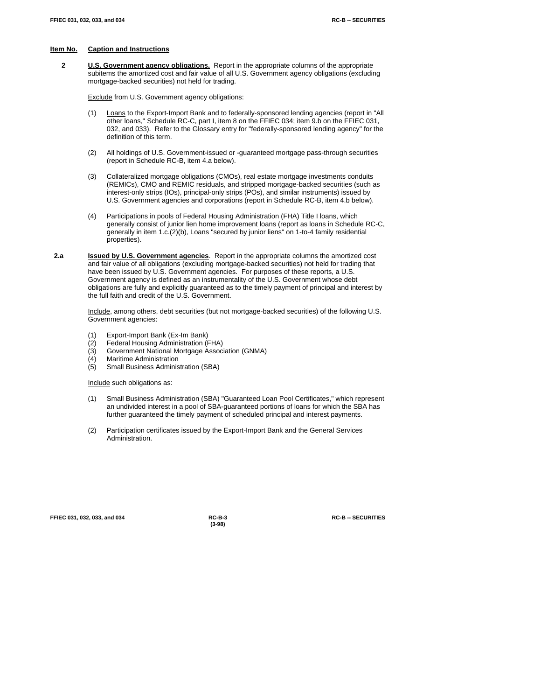**2 U.S. Government agency obligations.** Report in the appropriate columns of the appropriate subitems the amortized cost and fair value of all U.S. Government agency obligations (excluding mortgage-backed securities) not held for trading.

Exclude from U.S. Government agency obligations:

- (1) Loans to the Export-Import Bank and to federally-sponsored lending agencies (report in "All other loans," Schedule RC-C, part I, item 8 on the FFIEC 034; item 9.b on the FFIEC 031, 032, and 033). Refer to the Glossary entry for "federally-sponsored lending agency" for the definition of this term.
- (2) All holdings of U.S. Government-issued or -guaranteed mortgage pass-through securities (report in Schedule RC-B, item 4.a below).
- (3) Collateralized mortgage obligations (CMOs), real estate mortgage investments conduits (REMICs), CMO and REMIC residuals, and stripped mortgage-backed securities (such as interest-only strips (IOs), principal-only strips (POs), and similar instruments) issued by U.S. Government agencies and corporations (report in Schedule RC-B, item 4.b below).
- (4) Participations in pools of Federal Housing Administration (FHA) Title I loans, which generally consist of junior lien home improvement loans (report as loans in Schedule RC-C, generally in item 1.c.(2)(b), Loans "secured by junior liens" on 1-to-4 family residential properties).
- **2.a Issued by U.S. Government agencies**. Report in the appropriate columns the amortized cost and fair value of all obligations (excluding mortgage-backed securities) not held for trading that have been issued by U.S. Government agencies. For purposes of these reports, a U.S. Government agency is defined as an instrumentality of the U.S. Government whose debt obligations are fully and explicitly guaranteed as to the timely payment of principal and interest by the full faith and credit of the U.S. Government.

Include, among others, debt securities (but not mortgage-backed securities) of the following U.S. Government agencies:

- (1) Export-Import Bank (Ex-Im Bank)
- (2) Federal Housing Administration (FHA)
- (3) Government National Mortgage Association (GNMA)
- (4) Maritime Administration<br>(5) Small Business Adminis
- Small Business Administration (SBA)

Include such obligations as:

- (1) Small Business Administration (SBA) "Guaranteed Loan Pool Certificates," which represent an undivided interest in a pool of SBA-guaranteed portions of loans for which the SBA has further guaranteed the timely payment of scheduled principal and interest payments.
- (2) Participation certificates issued by the Export-Import Bank and the General Services Administration.

**FFIEC 031, 032, 033, and 034 RC-B-3 RC-B -- SECURITIES**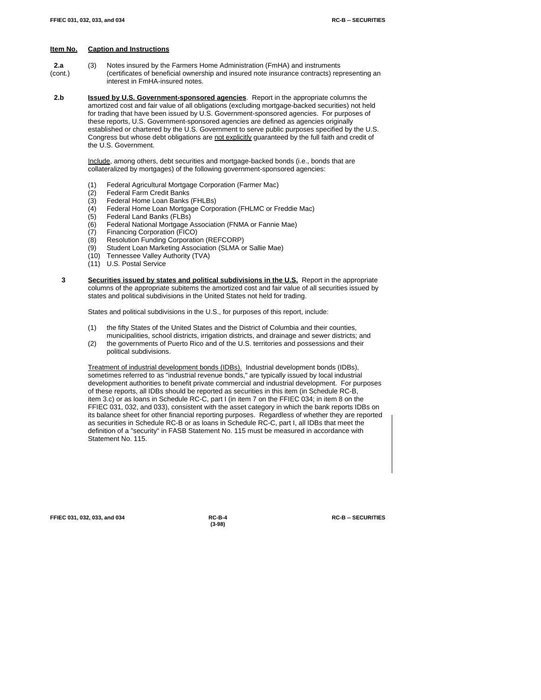- **2.a** (3) Notes insured by the Farmers Home Administration (FmHA) and instruments (cont.) (certificates of beneficial ownership and insured note insurance contracts) representing an interest in FmHA-insured notes.
- **2.b Issued by U.S. Government-sponsored agencies**. Report in the appropriate columns the amortized cost and fair value of all obligations (excluding mortgage-backed securities) not held for trading that have been issued by U.S. Government-sponsored agencies. For purposes of these reports, U.S. Government-sponsored agencies are defined as agencies originally established or chartered by the U.S. Government to serve public purposes specified by the U.S. Congress but whose debt obligations are not explicitly guaranteed by the full faith and credit of the U.S. Government.

Include, among others, debt securities and mortgage-backed bonds (i.e., bonds that are collateralized by mortgages) of the following government-sponsored agencies:

- (1) Federal Agricultural Mortgage Corporation (Farmer Mac)
- (2) Federal Farm Credit Banks<br>(3) Federal Home Loan Banks
- (3) Federal Home Loan Banks (FHLBs)<br>(4) Federal Home Loan Mortgage Corpo
- Federal Home Loan Mortgage Corporation (FHLMC or Freddie Mac)
- 
- (5) Federal Land Banks (FLBs)<br>(6) Federal National Mortgage / Federal National Mortgage Association (FNMA or Fannie Mae)
- (7) Financing Corporation (FICO)
- (8) Resolution Funding Corporation (REFCORP)
- (9) Student Loan Marketing Association (SLMA or Sallie Mae)
- (10) Tennessee Valley Authority (TVA)
- (11) U.S. Postal Service
- **3 Securities issued by states and political subdivisions in the U.S.** Report in the appropriate columns of the appropriate subitems the amortized cost and fair value of all securities issued by states and political subdivisions in the United States not held for trading.

States and political subdivisions in the U.S., for purposes of this report, include:

- (1) the fifty States of the United States and the District of Columbia and their counties, municipalities, school districts, irrigation districts, and drainage and sewer districts; and
- (2) the governments of Puerto Rico and of the U.S. territories and possessions and their political subdivisions.

Treatment of industrial development bonds (IDBs). Industrial development bonds (IDBs), sometimes referred to as "industrial revenue bonds," are typically issued by local industrial development authorities to benefit private commercial and industrial development. For purposes of these reports, all IDBs should be reported as securities in this item (in Schedule RC-B, item 3.c) or as loans in Schedule RC-C, part I (in item 7 on the FFIEC 034; in item 8 on the FFIEC 031, 032, and 033), consistent with the asset category in which the bank reports IDBs on its balance sheet for other financial reporting purposes. Regardless of whether they are reported as securities in Schedule RC-B or as loans in Schedule RC-C, part I, all IDBs that meet the definition of a "security" in FASB Statement No. 115 must be measured in accordance with Statement No. 115.

**FFIEC 031, 032, 033, and 034 RC-B-4 RC-B -- SECURITIES**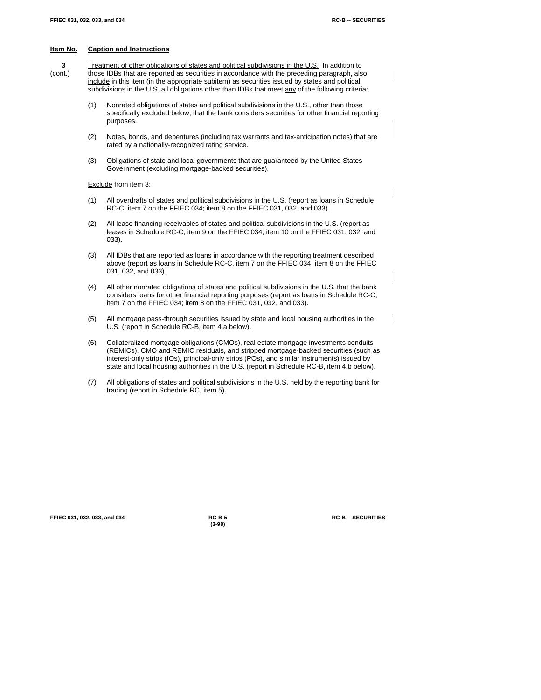**3** Treatment of other obligations of states and political subdivisions in the U.S. In addition to (cont.) those IDBs that are reported as securities in accordance with the preceding paragraph, also include in this item (in the appropriate subitem) as securities issued by states and political subdivisions in the U.S. all obligations other than IDBs that meet any of the following criteria:

- (1) Nonrated obligations of states and political subdivisions in the U.S., other than those specifically excluded below, that the bank considers securities for other financial reporting purposes.
- (2) Notes, bonds, and debentures (including tax warrants and tax-anticipation notes) that are rated by a nationally-recognized rating service.
- (3) Obligations of state and local governments that are guaranteed by the United States Government (excluding mortgage-backed securities).

Exclude from item 3:

- (1) All overdrafts of states and political subdivisions in the U.S. (report as loans in Schedule RC-C, item 7 on the FFIEC 034; item 8 on the FFIEC 031, 032, and 033).
- (2) All lease financing receivables of states and political subdivisions in the U.S. (report as leases in Schedule RC-C, item 9 on the FFIEC 034; item 10 on the FFIEC 031, 032, and 033).
- (3) All IDBs that are reported as loans in accordance with the reporting treatment described above (report as loans in Schedule RC-C, item 7 on the FFIEC 034; item 8 on the FFIEC 031, 032, and 033).
- (4) All other nonrated obligations of states and political subdivisions in the U.S. that the bank considers loans for other financial reporting purposes (report as loans in Schedule RC-C, item 7 on the FFIEC 034; item 8 on the FFIEC 031, 032, and 033).
- (5) All mortgage pass-through securities issued by state and local housing authorities in the U.S. (report in Schedule RC-B, item 4.a below).
- (6) Collateralized mortgage obligations (CMOs), real estate mortgage investments conduits (REMICs), CMO and REMIC residuals, and stripped mortgage-backed securities (such as interest-only strips (IOs), principal-only strips (POs), and similar instruments) issued by state and local housing authorities in the U.S. (report in Schedule RC-B, item 4.b below).
- (7) All obligations of states and political subdivisions in the U.S. held by the reporting bank for trading (report in Schedule RC, item 5).

**FFIEC 031, 032, 033, and 034 RC-B-5 RC-B -- SECURITIES**

**(3-98)**

 $\overline{\phantom{a}}$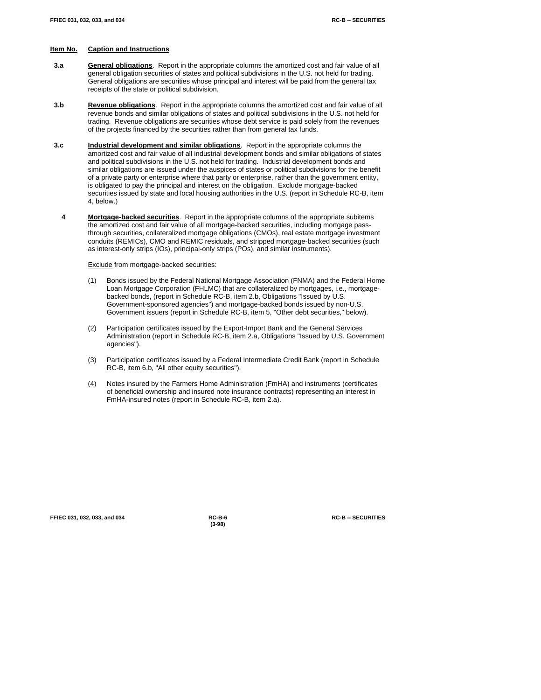- **3.a General obligations**. Report in the appropriate columns the amortized cost and fair value of all general obligation securities of states and political subdivisions in the U.S. not held for trading. General obligations are securities whose principal and interest will be paid from the general tax receipts of the state or political subdivision.
- **3.b Revenue obligations**. Report in the appropriate columns the amortized cost and fair value of all revenue bonds and similar obligations of states and political subdivisions in the U.S. not held for trading. Revenue obligations are securities whose debt service is paid solely from the revenues of the projects financed by the securities rather than from general tax funds.
- **3.c Industrial development and similar obligations**. Report in the appropriate columns the amortized cost and fair value of all industrial development bonds and similar obligations of states and political subdivisions in the U.S. not held for trading. Industrial development bonds and similar obligations are issued under the auspices of states or political subdivisions for the benefit of a private party or enterprise where that party or enterprise, rather than the government entity, is obligated to pay the principal and interest on the obligation. Exclude mortgage-backed securities issued by state and local housing authorities in the U.S. (report in Schedule RC-B, item 4, below.)
- **4 Mortgage-backed securities**. Report in the appropriate columns of the appropriate subitems the amortized cost and fair value of all mortgage-backed securities, including mortgage passthrough securities, collateralized mortgage obligations (CMOs), real estate mortgage investment conduits (REMICs), CMO and REMIC residuals, and stripped mortgage-backed securities (such as interest-only strips (IOs), principal-only strips (POs), and similar instruments).

Exclude from mortgage-backed securities:

- (1) Bonds issued by the Federal National Mortgage Association (FNMA) and the Federal Home Loan Mortgage Corporation (FHLMC) that are collateralized by mortgages, i.e., mortgagebacked bonds, (report in Schedule RC-B, item 2.b, Obligations "Issued by U.S. Government-sponsored agencies") and mortgage-backed bonds issued by non-U.S. Government issuers (report in Schedule RC-B, item 5, "Other debt securities," below).
- (2) Participation certificates issued by the Export-Import Bank and the General Services Administration (report in Schedule RC-B, item 2.a, Obligations "Issued by U.S. Government agencies").
- (3) Participation certificates issued by a Federal Intermediate Credit Bank (report in Schedule RC-B, item 6.b, "All other equity securities").
- (4) Notes insured by the Farmers Home Administration (FmHA) and instruments (certificates of beneficial ownership and insured note insurance contracts) representing an interest in FmHA-insured notes (report in Schedule RC-B, item 2.a).

| FFIEC 031, 032, 033, and 034 |  |  |  |  |
|------------------------------|--|--|--|--|
|------------------------------|--|--|--|--|

**(3-98)**

**FFIEC 031, 032, 033, and 034 RC-B-6 RC-B -- SECURITIES**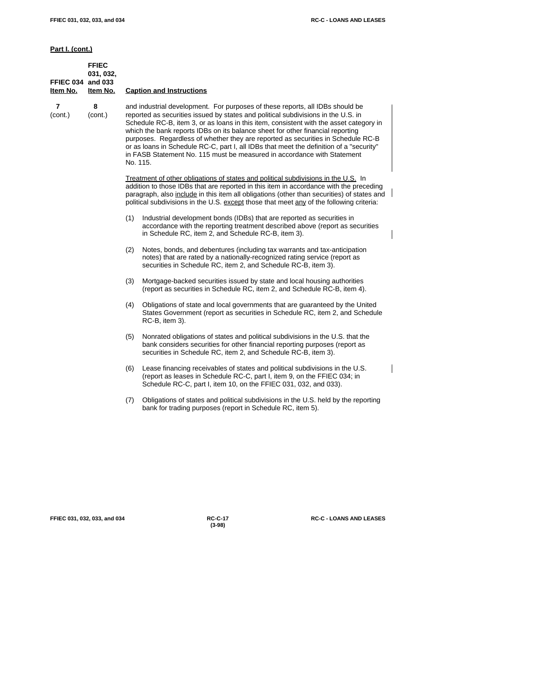**Part I. (cont.)**

| FFIEC 034 and 033<br>ltem No. | <b>FFIEC</b><br>031, 032,<br>Item No. |          | <b>Caption and Instructions</b>                                                                                                                                                                                                                                                                                                                                                                                                                                                                                                                                                                          |  |
|-------------------------------|---------------------------------------|----------|----------------------------------------------------------------------------------------------------------------------------------------------------------------------------------------------------------------------------------------------------------------------------------------------------------------------------------------------------------------------------------------------------------------------------------------------------------------------------------------------------------------------------------------------------------------------------------------------------------|--|
| 7<br>(cont.)                  | 8<br>(cont.)                          | No. 115. | and industrial development. For purposes of these reports, all IDBs should be<br>reported as securities issued by states and political subdivisions in the U.S. in<br>Schedule RC-B, item 3, or as loans in this item, consistent with the asset category in<br>which the bank reports IDBs on its balance sheet for other financial reporting<br>purposes. Regardless of whether they are reported as securities in Schedule RC-B<br>or as loans in Schedule RC-C, part I, all IDBs that meet the definition of a "security"<br>in FASB Statement No. 115 must be measured in accordance with Statement |  |
|                               |                                       |          | Treatment of other obligations of states and political subdivisions in the U.S. In<br>addition to those IDBs that are reported in this item in accordance with the preceding<br>paragraph, also include in this item all obligations (other than securities) of states and<br>political subdivisions in the U.S. except those that meet any of the following criteria:                                                                                                                                                                                                                                   |  |
|                               |                                       | (1)      | Industrial development bonds (IDBs) that are reported as securities in<br>accordance with the reporting treatment described above (report as securities<br>in Schedule RC, item 2, and Schedule RC-B, item 3).                                                                                                                                                                                                                                                                                                                                                                                           |  |
|                               |                                       | (2)      | Notes, bonds, and debentures (including tax warrants and tax-anticipation<br>notes) that are rated by a nationally-recognized rating service (report as<br>securities in Schedule RC, item 2, and Schedule RC-B, item 3).                                                                                                                                                                                                                                                                                                                                                                                |  |
|                               |                                       | (3)      | Mortgage-backed securities issued by state and local housing authorities<br>(report as securities in Schedule RC, item 2, and Schedule RC-B, item 4).                                                                                                                                                                                                                                                                                                                                                                                                                                                    |  |
|                               |                                       | (4)      | Obligations of state and local governments that are guaranteed by the United<br>States Government (report as securities in Schedule RC, item 2, and Schedule<br>RC-B, item 3).                                                                                                                                                                                                                                                                                                                                                                                                                           |  |
|                               |                                       | (5)      | Nonrated obligations of states and political subdivisions in the U.S. that the<br>bank considers securities for other financial reporting purposes (report as<br>securities in Schedule RC, item 2, and Schedule RC-B, item 3).                                                                                                                                                                                                                                                                                                                                                                          |  |
|                               |                                       | (6)      | Lease financing receivables of states and political subdivisions in the U.S.<br>(report as leases in Schedule RC-C, part I, item 9, on the FFIEC 034; in<br>Schedule RC-C, part I, item 10, on the FFIEC 031, 032, and 033).                                                                                                                                                                                                                                                                                                                                                                             |  |
|                               |                                       | (7)      | Obligations of states and political subdivisions in the U.S. held by the reporting<br>bank for trading purposes (report in Schedule RC, item 5).                                                                                                                                                                                                                                                                                                                                                                                                                                                         |  |

**(3-98)**

**FFIEC 031, 032, 033, and 034 RC-C-17 RC-C - LOANS AND LEASES**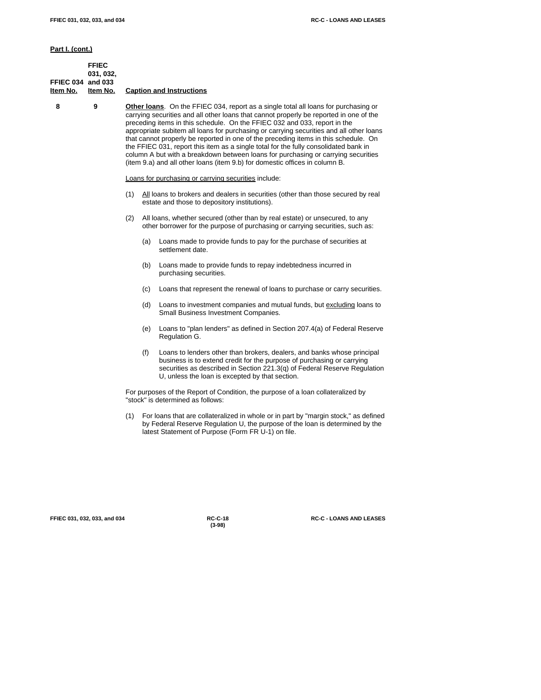**Part I. (cont.)**

|                          | <b>FFIEC</b> |                                 |
|--------------------------|--------------|---------------------------------|
|                          | 031, 032,    |                                 |
| <b>FFIEC 034 and 033</b> |              |                                 |
| Item No. Item No.        |              | <b>Caption and Instructions</b> |
|                          |              |                                 |

 **8 9 Other loans**. On the FFIEC 034, report as a single total all loans for purchasing or carrying securities and all other loans that cannot properly be reported in one of the preceding items in this schedule. On the FFIEC 032 and 033, report in the appropriate subitem all loans for purchasing or carrying securities and all other loans that cannot properly be reported in one of the preceding items in this schedule. On the FFIEC 031, report this item as a single total for the fully consolidated bank in column A but with a breakdown between loans for purchasing or carrying securities (item 9.a) and all other loans (item 9.b) for domestic offices in column B.

Loans for purchasing or carrying securities include:

- (1) All loans to brokers and dealers in securities (other than those secured by real estate and those to depository institutions).
- (2) All loans, whether secured (other than by real estate) or unsecured, to any other borrower for the purpose of purchasing or carrying securities, such as:
	- (a) Loans made to provide funds to pay for the purchase of securities at settlement date.
	- (b) Loans made to provide funds to repay indebtedness incurred in purchasing securities.
	- (c) Loans that represent the renewal of loans to purchase or carry securities.
	- (d) Loans to investment companies and mutual funds, but excluding loans to Small Business Investment Companies.
	- (e) Loans to "plan lenders" as defined in Section 207.4(a) of Federal Reserve Regulation G.
	- (f) Loans to lenders other than brokers, dealers, and banks whose principal business is to extend credit for the purpose of purchasing or carrying securities as described in Section 221.3(q) of Federal Reserve Regulation U, unless the loan is excepted by that section.

For purposes of the Report of Condition, the purpose of a loan collateralized by "stock" is determined as follows:

(1) For loans that are collateralized in whole or in part by "margin stock," as defined by Federal Reserve Regulation U, the purpose of the loan is determined by the latest Statement of Purpose (Form FR U-1) on file.

| FFIEC 031, 032, 033, and 034 |  |
|------------------------------|--|
|------------------------------|--|

**(3-98)**

**FFIEC 031, 032, 033, and 034 RC-C-18 RC-C - LOANS AND LEASES**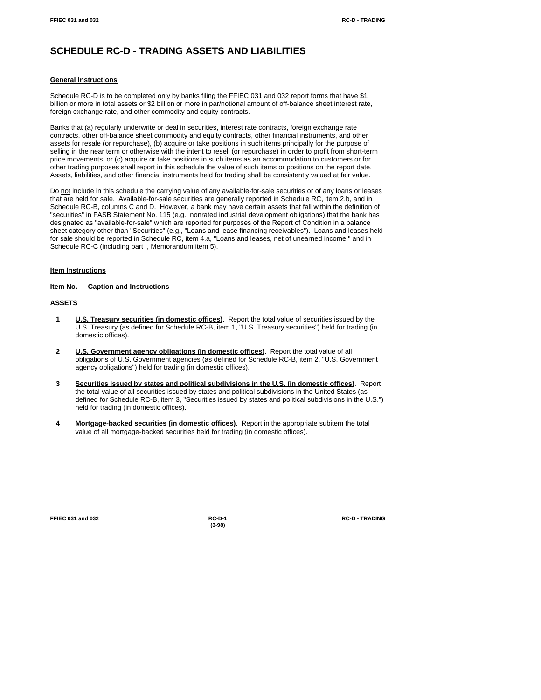# **SCHEDULE RC-D - TRADING ASSETS AND LIABILITIES**

#### **General Instructions**

Schedule RC-D is to be completed only by banks filing the FFIEC 031 and 032 report forms that have \$1 billion or more in total assets or \$2 billion or more in par/notional amount of off-balance sheet interest rate, foreign exchange rate, and other commodity and equity contracts.

Banks that (a) regularly underwrite or deal in securities, interest rate contracts, foreign exchange rate contracts, other off-balance sheet commodity and equity contracts, other financial instruments, and other assets for resale (or repurchase), (b) acquire or take positions in such items principally for the purpose of selling in the near term or otherwise with the intent to resell (or repurchase) in order to profit from short-term price movements, or (c) acquire or take positions in such items as an accommodation to customers or for other trading purposes shall report in this schedule the value of such items or positions on the report date. Assets, liabilities, and other financial instruments held for trading shall be consistently valued at fair value.

Do not include in this schedule the carrying value of any available-for-sale securities or of any loans or leases that are held for sale. Available-for-sale securities are generally reported in Schedule RC, item 2.b, and in Schedule RC-B, columns C and D. However, a bank may have certain assets that fall within the definition of "securities" in FASB Statement No. 115 (e.g., nonrated industrial development obligations) that the bank has designated as "available-for-sale" which are reported for purposes of the Report of Condition in a balance sheet category other than "Securities" (e.g., "Loans and lease financing receivables"). Loans and leases held for sale should be reported in Schedule RC, item 4.a, "Loans and leases, net of unearned income," and in Schedule RC-C (including part I, Memorandum item 5).

#### **Item Instructions**

**Item No. Caption and Instructions**

#### **ASSETS**

- **1 U.S. Treasury securities (in domestic offices)**. Report the total value of securities issued by the U.S. Treasury (as defined for Schedule RC-B, item 1, "U.S. Treasury securities") held for trading (in domestic offices).
- **2 U.S. Government agency obligations (in domestic offices)**. Report the total value of all obligations of U.S. Government agencies (as defined for Schedule RC-B, item 2, "U.S. Government agency obligations") held for trading (in domestic offices).
- **3 Securities issued by states and political subdivisions in the U.S. (in domestic offices)**. Report the total value of all securities issued by states and political subdivisions in the United States (as defined for Schedule RC-B, item 3, "Securities issued by states and political subdivisions in the U.S.") held for trading (in domestic offices).
- **4 Mortgage-backed securities (in domestic offices)**. Report in the appropriate subitem the total value of all mortgage-backed securities held for trading (in domestic offices).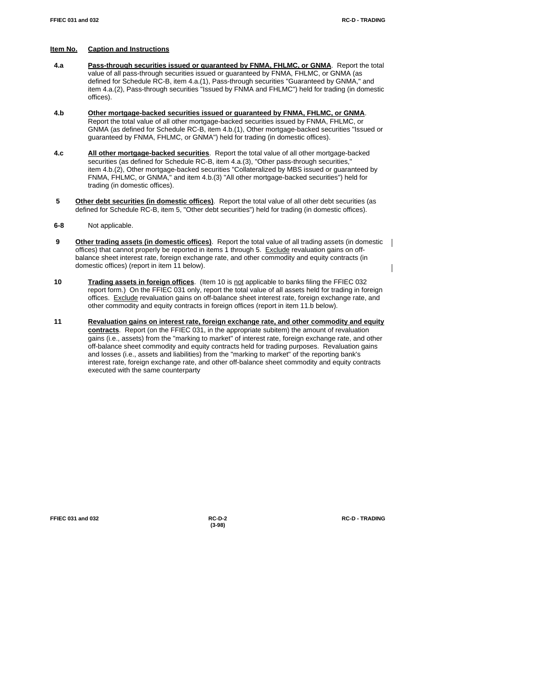$\overline{\phantom{a}}$ 

# **Item No. Caption and Instructions**

- **4.a Pass-through securities issued or guaranteed by FNMA, FHLMC, or GNMA**. Report the total value of all pass-through securities issued or guaranteed by FNMA, FHLMC, or GNMA (as defined for Schedule RC-B, item 4.a.(1), Pass-through securities "Guaranteed by GNMA," and item 4.a.(2), Pass-through securities "Issued by FNMA and FHLMC") held for trading (in domestic offices).
- **4.b Other mortgage-backed securities issued or guaranteed by FNMA, FHLMC, or GNMA**. Report the total value of all other mortgage-backed securities issued by FNMA, FHLMC, or GNMA (as defined for Schedule RC-B, item 4.b.(1), Other mortgage-backed securities "Issued or guaranteed by FNMA, FHLMC, or GNMA") held for trading (in domestic offices).
- **4.c All other mortgage-backed securities**. Report the total value of all other mortgage-backed securities (as defined for Schedule RC-B, item 4.a.(3), "Other pass-through securities," item 4.b.(2), Other mortgage-backed securities "Collateralized by MBS issued or guaranteed by FNMA, FHLMC, or GNMA," and item 4.b.(3) "All other mortgage-backed securities") held for trading (in domestic offices).
- **5 Other debt securities (in domestic offices)**. Report the total value of all other debt securities (as defined for Schedule RC-B, item 5, "Other debt securities") held for trading (in domestic offices).
- **6-8** Not applicable.
- **9 Other trading assets (in domestic offices)**. Report the total value of all trading assets (in domestic | offices) that cannot properly be reported in items 1 through 5. Exclude revaluation gains on offbalance sheet interest rate, foreign exchange rate, and other commodity and equity contracts (in domestic offices) (report in item 11 below).
- **10 Trading assets in foreign offices**. (Item 10 is not applicable to banks filing the FFIEC 032 report form.) On the FFIEC 031 only, report the total value of all assets held for trading in foreign offices. Exclude revaluation gains on off-balance sheet interest rate, foreign exchange rate, and other commodity and equity contracts in foreign offices (report in item 11.b below).
- **11 Revaluation gains on interest rate, foreign exchange rate, and other commodity and equity contracts**. Report (on the FFIEC 031, in the appropriate subitem) the amount of revaluation gains (i.e., assets) from the "marking to market" of interest rate, foreign exchange rate, and other off-balance sheet commodity and equity contracts held for trading purposes. Revaluation gains and losses (i.e., assets and liabilities) from the "marking to market" of the reporting bank's interest rate, foreign exchange rate, and other off-balance sheet commodity and equity contracts executed with the same counterparty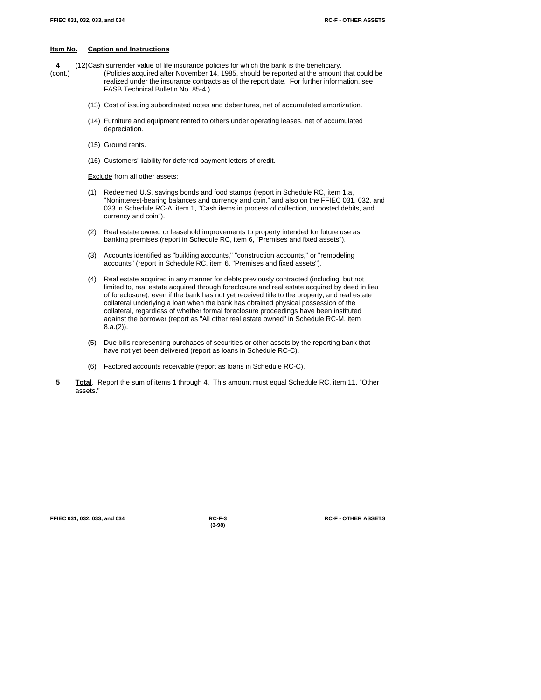**4** (12)Cash surrender value of life insurance policies for which the bank is the beneficiary.

- (cont.) (Policies acquired after November 14, 1985, should be reported at the amount that could be realized under the insurance contracts as of the report date. For further information, see FASB Technical Bulletin No. 85-4.)
	- (13) Cost of issuing subordinated notes and debentures, net of accumulated amortization.
	- (14) Furniture and equipment rented to others under operating leases, net of accumulated depreciation.
	- (15) Ground rents.
	- (16) Customers' liability for deferred payment letters of credit.

**Exclude** from all other assets:

- (1) Redeemed U.S. savings bonds and food stamps (report in Schedule RC, item 1.a, "Noninterest-bearing balances and currency and coin," and also on the FFIEC 031, 032, and 033 in Schedule RC-A, item 1, "Cash items in process of collection, unposted debits, and currency and coin").
- (2) Real estate owned or leasehold improvements to property intended for future use as banking premises (report in Schedule RC, item 6, "Premises and fixed assets").
- (3) Accounts identified as "building accounts," "construction accounts," or "remodeling accounts" (report in Schedule RC, item 6, "Premises and fixed assets").
- (4) Real estate acquired in any manner for debts previously contracted (including, but not limited to, real estate acquired through foreclosure and real estate acquired by deed in lieu of foreclosure), even if the bank has not yet received title to the property, and real estate collateral underlying a loan when the bank has obtained physical possession of the collateral, regardless of whether formal foreclosure proceedings have been instituted against the borrower (report as "All other real estate owned" in Schedule RC-M, item 8.a.(2)).
- (5) Due bills representing purchases of securities or other assets by the reporting bank that have not yet been delivered (report as loans in Schedule RC-C).
- (6) Factored accounts receivable (report as loans in Schedule RC-C).
- **5 Total**. Report the sum of items 1 through 4. This amount must equal Schedule RC, item 11, "Other assets."

**FFIEC 031, 032, 033, and 034 RC-F-3 RC-F - OTHER ASSETS**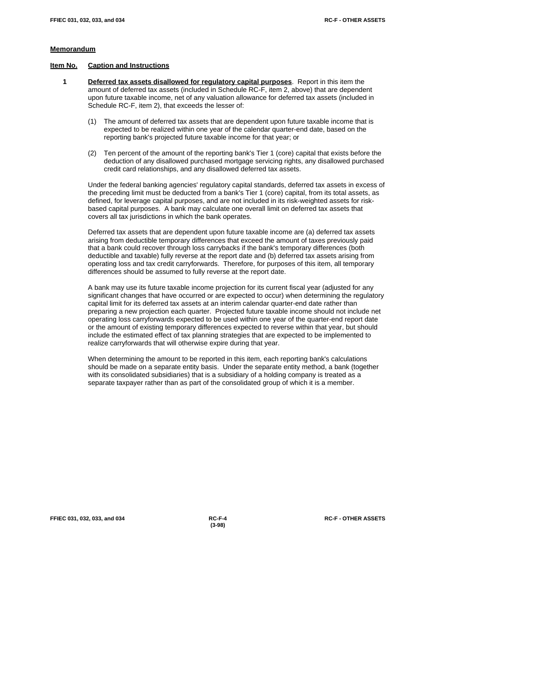#### **Memorandum**

#### **Item No. Caption and Instructions**

- **1 Deferred tax assets disallowed for regulatory capital purposes**. Report in this item the amount of deferred tax assets (included in Schedule RC-F, item 2, above) that are dependent upon future taxable income, net of any valuation allowance for deferred tax assets (included in Schedule RC-F, item 2), that exceeds the lesser of:
	- (1) The amount of deferred tax assets that are dependent upon future taxable income that is expected to be realized within one year of the calendar quarter-end date, based on the reporting bank's projected future taxable income for that year; or
	- (2) Ten percent of the amount of the reporting bank's Tier 1 (core) capital that exists before the deduction of any disallowed purchased mortgage servicing rights, any disallowed purchased credit card relationships, and any disallowed deferred tax assets.

Under the federal banking agencies' regulatory capital standards, deferred tax assets in excess of the preceding limit must be deducted from a bank's Tier 1 (core) capital, from its total assets, as defined, for leverage capital purposes, and are not included in its risk-weighted assets for riskbased capital purposes. A bank may calculate one overall limit on deferred tax assets that covers all tax jurisdictions in which the bank operates.

Deferred tax assets that are dependent upon future taxable income are (a) deferred tax assets arising from deductible temporary differences that exceed the amount of taxes previously paid that a bank could recover through loss carrybacks if the bank's temporary differences (both deductible and taxable) fully reverse at the report date and (b) deferred tax assets arising from operating loss and tax credit carryforwards. Therefore, for purposes of this item, all temporary differences should be assumed to fully reverse at the report date.

A bank may use its future taxable income projection for its current fiscal year (adjusted for any significant changes that have occurred or are expected to occur) when determining the regulatory capital limit for its deferred tax assets at an interim calendar quarter-end date rather than preparing a new projection each quarter. Projected future taxable income should not include net operating loss carryforwards expected to be used within one year of the quarter-end report date or the amount of existing temporary differences expected to reverse within that year, but should include the estimated effect of tax planning strategies that are expected to be implemented to realize carryforwards that will otherwise expire during that year.

When determining the amount to be reported in this item, each reporting bank's calculations should be made on a separate entity basis. Under the separate entity method, a bank (together with its consolidated subsidiaries) that is a subsidiary of a holding company is treated as a separate taxpayer rather than as part of the consolidated group of which it is a member.

**FFIEC 031, 032, 033, and 034 RC-F-4 RC-F - OTHER ASSETS**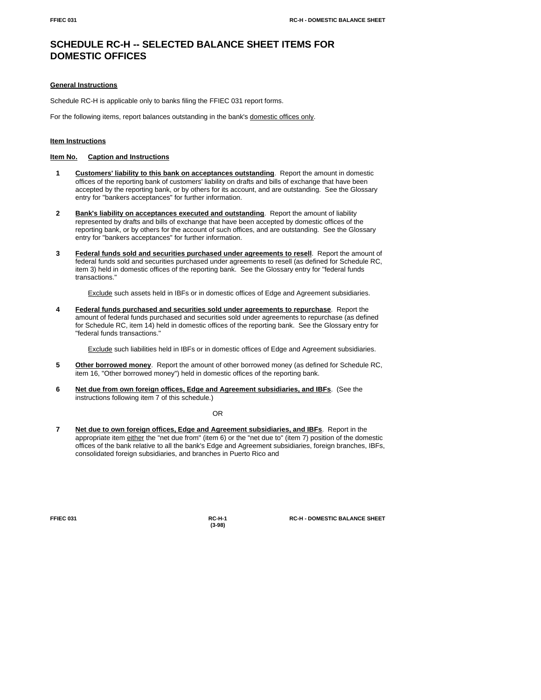# **SCHEDULE RC-H -- SELECTED BALANCE SHEET ITEMS FOR DOMESTIC OFFICES**

#### **General Instructions**

Schedule RC-H is applicable only to banks filing the FFIEC 031 report forms.

For the following items, report balances outstanding in the bank's domestic offices only.

## **Item Instructions**

# **Item No. Caption and Instructions**

- **1 Customers' liability to this bank on acceptances outstanding**. Report the amount in domestic offices of the reporting bank of customers' liability on drafts and bills of exchange that have been accepted by the reporting bank, or by others for its account, and are outstanding. See the Glossary entry for "bankers acceptances" for further information.
- **2 Bank's liability on acceptances executed and outstanding**. Report the amount of liability represented by drafts and bills of exchange that have been accepted by domestic offices of the reporting bank, or by others for the account of such offices, and are outstanding. See the Glossary entry for "bankers acceptances" for further information.
- **3 Federal funds sold and securities purchased under agreements to resell**. Report the amount of federal funds sold and securities purchased under agreements to resell (as defined for Schedule RC, item 3) held in domestic offices of the reporting bank. See the Glossary entry for "federal funds transactions."

Exclude such assets held in IBFs or in domestic offices of Edge and Agreement subsidiaries.

**4 Federal funds purchased and securities sold under agreements to repurchase**. Report the amount of federal funds purchased and securities sold under agreements to repurchase (as defined for Schedule RC, item 14) held in domestic offices of the reporting bank. See the Glossary entry for "federal funds transactions."

Exclude such liabilities held in IBFs or in domestic offices of Edge and Agreement subsidiaries.

- **5 Other borrowed money**. Report the amount of other borrowed money (as defined for Schedule RC, item 16, "Other borrowed money") held in domestic offices of the reporting bank.
- **6 Net due from own foreign offices, Edge and Agreement subsidiaries, and IBFs**. (See the instructions following item 7 of this schedule.)

OR

 **7 Net due to own foreign offices, Edge and Agreement subsidiaries, and IBFs**. Report in the appropriate item either the "net due from" (item 6) or the "net due to" (item 7) position of the domestic offices of the bank relative to all the bank's Edge and Agreement subsidiaries, foreign branches, IBFs, consolidated foreign subsidiaries, and branches in Puerto Rico and

**(3-98)**

**FFIEC 031 RC-H-1 RC-H - DOMESTIC BALANCE SHEET**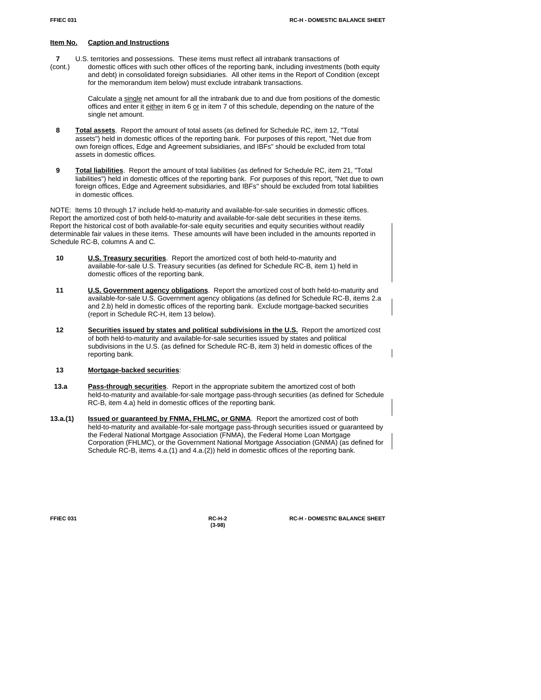- **7** U.S. territories and possessions. These items must reflect all intrabank transactions of
- (cont.) domestic offices with such other offices of the reporting bank, including investments (both equity and debt) in consolidated foreign subsidiaries. All other items in the Report of Condition (except for the memorandum item below) must exclude intrabank transactions.

Calculate a single net amount for all the intrabank due to and due from positions of the domestic offices and enter it  $\frac{e^{i} - 1}{e^{i} - 1}$  in item 6 or in item 7 of this schedule, depending on the nature of the single net amount.

- **8 Total assets**. Report the amount of total assets (as defined for Schedule RC, item 12, "Total assets") held in domestic offices of the reporting bank. For purposes of this report, "Net due from own foreign offices, Edge and Agreement subsidiaries, and IBFs" should be excluded from total assets in domestic offices.
- **9 Total liabilities**. Report the amount of total liabilities (as defined for Schedule RC, item 21, "Total liabilities") held in domestic offices of the reporting bank. For purposes of this report, "Net due to own foreign offices, Edge and Agreement subsidiaries, and IBFs" should be excluded from total liabilities in domestic offices.

NOTE: Items 10 through 17 include held-to-maturity and available-for-sale securities in domestic offices. Report the amortized cost of both held-to-maturity and available-for-sale debt securities in these items. Report the historical cost of both available-for-sale equity securities and equity securities without readily determinable fair values in these items. These amounts will have been included in the amounts reported in Schedule RC-B, columns A and C.

- **10 U.S. Treasury securities**. Report the amortized cost of both held-to-maturity and available-for-sale U.S. Treasury securities (as defined for Schedule RC-B, item 1) held in domestic offices of the reporting bank.
- **11 U.S. Government agency obligations**. Report the amortized cost of both held-to-maturity and available-for-sale U.S. Government agency obligations (as defined for Schedule RC-B, items 2.a and 2.b) held in domestic offices of the reporting bank. Exclude mortgage-backed securities (report in Schedule RC-H, item 13 below).
- 12 **Securities issued by states and political subdivisions in the U.S.** Report the amortized cost of both held-to-maturity and available-for-sale securities issued by states and political subdivisions in the U.S. (as defined for Schedule RC-B, item 3) held in domestic offices of the reporting bank.

# **13 Mortgage-backed securities**:

- **13.a Pass-through securities**. Report in the appropriate subitem the amortized cost of both held-to-maturity and available-for-sale mortgage pass-through securities (as defined for Schedule RC-B, item 4.a) held in domestic offices of the reporting bank.
- **13.a.(1) Issued or guaranteed by FNMA, FHLMC, or GNMA**. Report the amortized cost of both held-to-maturity and available-for-sale mortgage pass-through securities issued or guaranteed by the Federal National Mortgage Association (FNMA), the Federal Home Loan Mortgage Corporation (FHLMC), or the Government National Mortgage Association (GNMA) (as defined for Schedule RC-B, items 4.a.(1) and 4.a.(2)) held in domestic offices of the reporting bank.

**(3-98)**

**FFIEC 031 RC-H-2 RC-H - DOMESTIC BALANCE SHEET**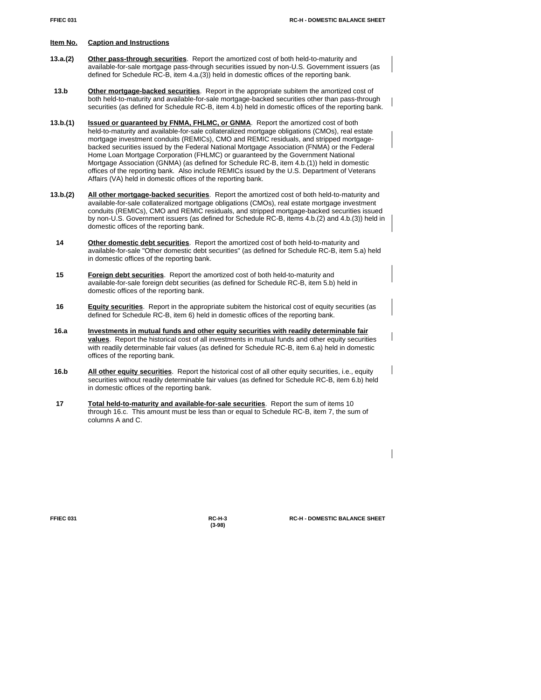- **13.a.(2) Other pass-through securities**. Report the amortized cost of both held-to-maturity and available-for-sale mortgage pass-through securities issued by non-U.S. Government issuers (as defined for Schedule RC-B, item 4.a.(3)) held in domestic offices of the reporting bank.
- **13.b Other mortgage-backed securities**. Report in the appropriate subitem the amortized cost of both held-to-maturity and available-for-sale mortgage-backed securities other than pass-through securities (as defined for Schedule RC-B, item 4.b) held in domestic offices of the reporting bank.
- **13.b.(1) Issued or guaranteed by FNMA, FHLMC, or GNMA**. Report the amortized cost of both held-to-maturity and available-for-sale collateralized mortgage obligations (CMOs), real estate mortgage investment conduits (REMICs), CMO and REMIC residuals, and stripped mortgagebacked securities issued by the Federal National Mortgage Association (FNMA) or the Federal Home Loan Mortgage Corporation (FHLMC) or guaranteed by the Government National Mortgage Association (GNMA) (as defined for Schedule RC-B, item 4.b.(1)) held in domestic offices of the reporting bank. Also include REMICs issued by the U.S. Department of Veterans Affairs (VA) held in domestic offices of the reporting bank.
- **13.b.(2) All other mortgage-backed securities**. Report the amortized cost of both held-to-maturity and available-for-sale collateralized mortgage obligations (CMOs), real estate mortgage investment conduits (REMICs), CMO and REMIC residuals, and stripped mortgage-backed securities issued by non-U.S. Government issuers (as defined for Schedule RC-B, items 4.b.(2) and 4.b.(3)) held in domestic offices of the reporting bank.
- **14 Other domestic debt securities**. Report the amortized cost of both held-to-maturity and available-for-sale "Other domestic debt securities" (as defined for Schedule RC-B, item 5.a) held in domestic offices of the reporting bank.
- **15 Foreign debt securities**. Report the amortized cost of both held-to-maturity and available-for-sale foreign debt securities (as defined for Schedule RC-B, item 5.b) held in domestic offices of the reporting bank.
- **16 Equity securities**. Report in the appropriate subitem the historical cost of equity securities (as defined for Schedule RC-B, item 6) held in domestic offices of the reporting bank.
- **16.a Investments in mutual funds and other equity securities with readily determinable fair values**. Report the historical cost of all investments in mutual funds and other equity securities with readily determinable fair values (as defined for Schedule RC-B, item 6.a) held in domestic offices of the reporting bank.
- **16.b All other equity securities**. Report the historical cost of all other equity securities, i.e., equity securities without readily determinable fair values (as defined for Schedule RC-B, item 6.b) held in domestic offices of the reporting bank.
- **17 Total held-to-maturity and available-for-sale securities**. Report the sum of items 10 through 16.c. This amount must be less than or equal to Schedule RC-B, item 7, the sum of columns A and C.

**(3-98)**

**FFIEC 031 RC-H-3 RC-H - DOMESTIC BALANCE SHEET**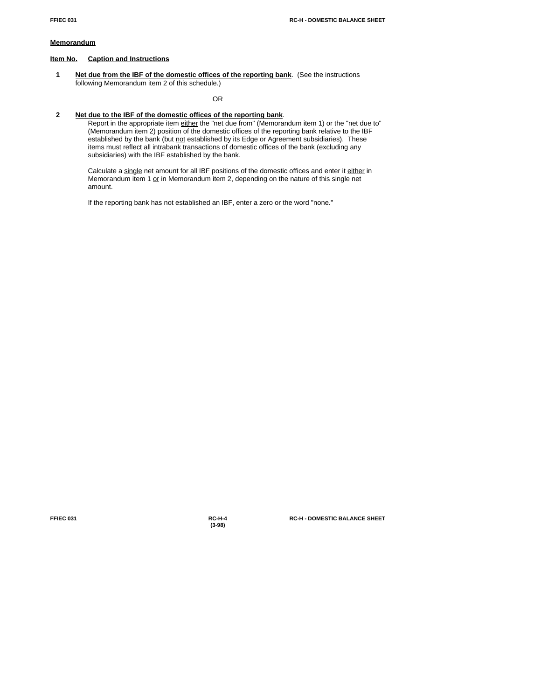### **Memorandum**

# **Item No. Caption and Instructions**

 **1 Net due from the IBF of the domestic offices of the reporting bank**. (See the instructions following Memorandum item 2 of this schedule.)

OR

# **2 Net due to the IBF of the domestic offices of the reporting bank**.

Report in the appropriate item either the "net due from" (Memorandum item 1) or the "net due to" (Memorandum item 2) position of the domestic offices of the reporting bank relative to the IBF established by the bank (but not established by its Edge or Agreement subsidiaries). These items must reflect all intrabank transactions of domestic offices of the bank (excluding any subsidiaries) with the IBF established by the bank.

Calculate a single net amount for all IBF positions of the domestic offices and enter it either in Memorandum item 1 or in Memorandum item 2, depending on the nature of this single net amount.

If the reporting bank has not established an IBF, enter a zero or the word "none."

**(3-98)**

**FFIEC 031 RC-H-4 RC-H - DOMESTIC BALANCE SHEET**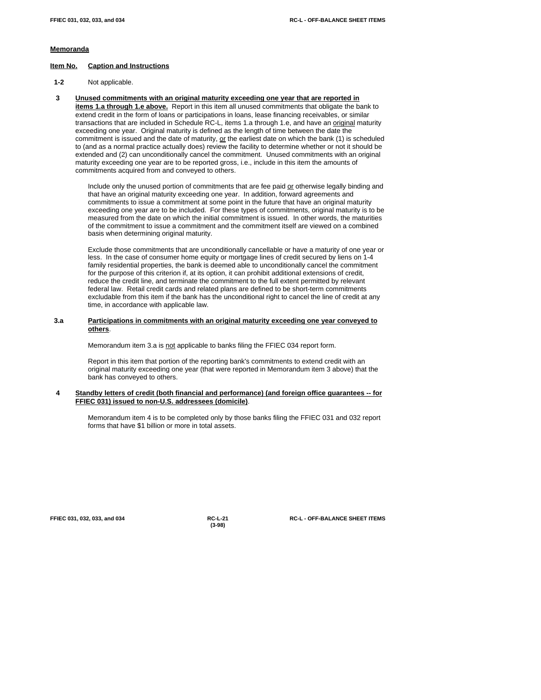#### **Memoranda**

#### **Item No. Caption and Instructions**

- **1-2** Not applicable.
- **3 Unused commitments with an original maturity exceeding one year that are reported in items 1.a through 1.e above.** Report in this item all unused commitments that obligate the bank to extend credit in the form of loans or participations in loans, lease financing receivables, or similar transactions that are included in Schedule RC-L, items 1.a through 1.e, and have an *original* maturity exceeding one year. Original maturity is defined as the length of time between the date the commitment is issued and the date of maturity,  $or$  the earliest date on which the bank (1) is scheduled</u> to (and as a normal practice actually does) review the facility to determine whether or not it should be extended and (2) can unconditionally cancel the commitment. Unused commitments with an original maturity exceeding one year are to be reported gross, i.e., include in this item the amounts of commitments acquired from and conveyed to others.

Include only the unused portion of commitments that are fee paid or otherwise legally binding and that have an original maturity exceeding one year. In addition, forward agreements and commitments to issue a commitment at some point in the future that have an original maturity exceeding one year are to be included. For these types of commitments, original maturity is to be measured from the date on which the initial commitment is issued. In other words, the maturities of the commitment to issue a commitment and the commitment itself are viewed on a combined basis when determining original maturity.

Exclude those commitments that are unconditionally cancellable or have a maturity of one year or less. In the case of consumer home equity or mortgage lines of credit secured by liens on 1-4 family residential properties, the bank is deemed able to unconditionally cancel the commitment for the purpose of this criterion if, at its option, it can prohibit additional extensions of credit, reduce the credit line, and terminate the commitment to the full extent permitted by relevant federal law. Retail credit cards and related plans are defined to be short-term commitments excludable from this item if the bank has the unconditional right to cancel the line of credit at any time, in accordance with applicable law.

#### **3.a Participations in commitments with an original maturity exceeding one year conveyed to others**.

Memorandum item 3.a is not applicable to banks filing the FFIEC 034 report form.

Report in this item that portion of the reporting bank's commitments to extend credit with an original maturity exceeding one year (that were reported in Memorandum item 3 above) that the bank has conveyed to others.

#### **4 Standby letters of credit (both financial and performance) (and foreign office guarantees -- for FFIEC 031) issued to non-U.S. addressees (domicile)**.

Memorandum item 4 is to be completed only by those banks filing the FFIEC 031 and 032 report forms that have \$1 billion or more in total assets.

**(3-98)**

**FFIEC 031, 032, 033, and 034 RC-L-21 RC-L - OFF-BALANCE SHEET ITEMS**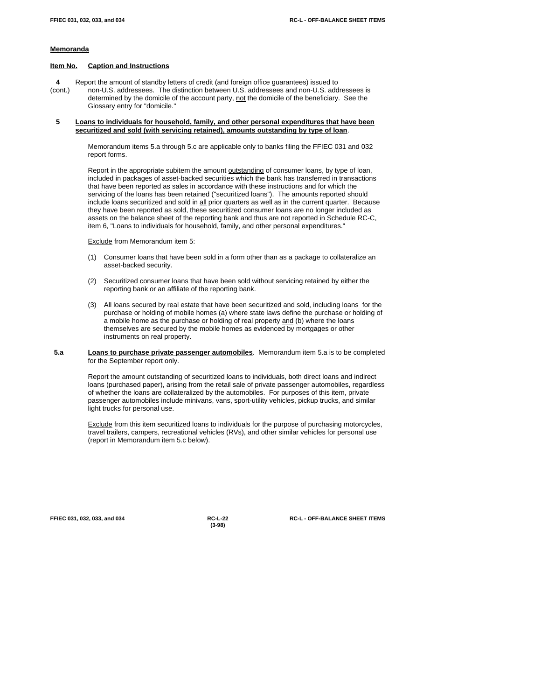#### **Memoranda**

#### **Item No. Caption and Instructions**

 **4** Report the amount of standby letters of credit (and foreign office guarantees) issued to (cont.) non-U.S. addressees. The distinction between U.S. addressees and non-U.S. addressees is determined by the domicile of the account party, not the domicile of the beneficiary. See the Glossary entry for "domicile."

#### **5 Loans to individuals for household, family, and other personal expenditures that have been securitized and sold (with servicing retained), amounts outstanding by type of loan**.

Memorandum items 5.a through 5.c are applicable only to banks filing the FFIEC 031 and 032 report forms.

Report in the appropriate subitem the amount **outstanding** of consumer loans, by type of loan, included in packages of asset-backed securities which the bank has transferred in transactions that have been reported as sales in accordance with these instructions and for which the servicing of the loans has been retained ("securitized loans"). The amounts reported should include loans securitized and sold in all prior quarters as well as in the current quarter. Because they have been reported as sold, these securitized consumer loans are no longer included as assets on the balance sheet of the reporting bank and thus are not reported in Schedule RC-C, item 6, "Loans to individuals for household, family, and other personal expenditures."

Exclude from Memorandum item 5:

- (1) Consumer loans that have been sold in a form other than as a package to collateralize an asset-backed security.
- (2) Securitized consumer loans that have been sold without servicing retained by either the reporting bank or an affiliate of the reporting bank.
- (3) All loans secured by real estate that have been securitized and sold, including loans for the purchase or holding of mobile homes (a) where state laws define the purchase or holding of a mobile home as the purchase or holding of real property and (b) where the loans themselves are secured by the mobile homes as evidenced by mortgages or other instruments on real property.

#### **5.a Loans to purchase private passenger automobiles**. Memorandum item 5.a is to be completed for the September report only.

Report the amount outstanding of securitized loans to individuals, both direct loans and indirect loans (purchased paper), arising from the retail sale of private passenger automobiles, regardless of whether the loans are collateralized by the automobiles. For purposes of this item, private passenger automobiles include minivans, vans, sport-utility vehicles, pickup trucks, and similar light trucks for personal use.

Exclude from this item securitized loans to individuals for the purpose of purchasing motorcycles, travel trailers, campers, recreational vehicles (RVs), and other similar vehicles for personal use (report in Memorandum item 5.c below).

**(3-98)**

**FFIEC 031, 032, 033, and 034 RC-L-22 RC-L - OFF-BALANCE SHEET ITEMS**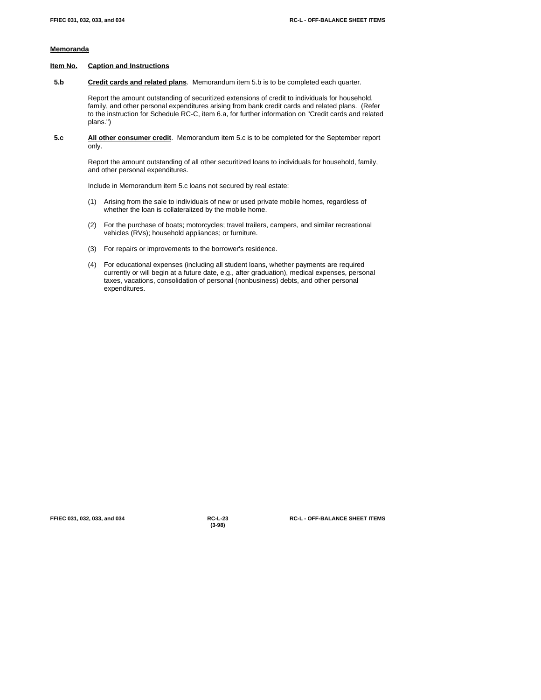$\mathbf I$ 

# **Memoranda**

#### **Item No. Caption and Instructions**

**5.b Credit cards and related plans**. Memorandum item 5.b is to be completed each quarter.

Report the amount outstanding of securitized extensions of credit to individuals for household, family, and other personal expenditures arising from bank credit cards and related plans. (Refer to the instruction for Schedule RC-C, item 6.a, for further information on "Credit cards and related plans.")

 **5.c All other consumer credit**. Memorandum item 5.c is to be completed for the September report only.

> Report the amount outstanding of all other securitized loans to individuals for household, family, and other personal expenditures.

Include in Memorandum item 5.c loans not secured by real estate:

- (1) Arising from the sale to individuals of new or used private mobile homes, regardless of whether the loan is collateralized by the mobile home.
- (2) For the purchase of boats; motorcycles; travel trailers, campers, and similar recreational vehicles (RVs); household appliances; or furniture.
- (3) For repairs or improvements to the borrower's residence.
- (4) For educational expenses (including all student loans, whether payments are required currently or will begin at a future date, e.g., after graduation), medical expenses, personal taxes, vacations, consolidation of personal (nonbusiness) debts, and other personal expenditures.

**(3-98)**

**FFIEC 031, 032, 033, and 034 RC-L-23 RC-L - OFF-BALANCE SHEET ITEMS**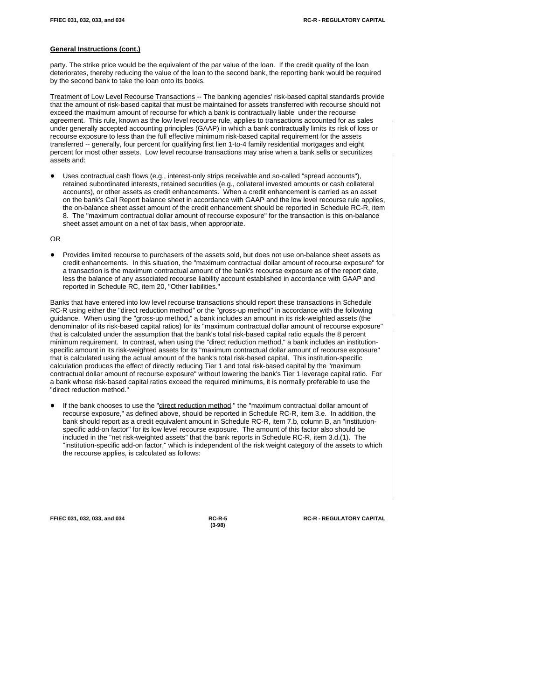party. The strike price would be the equivalent of the par value of the loan. If the credit quality of the loan deteriorates, thereby reducing the value of the loan to the second bank, the reporting bank would be required by the second bank to take the loan onto its books.

Treatment of Low Level Recourse Transactions -- The banking agencies' risk-based capital standards provide that the amount of risk-based capital that must be maintained for assets transferred with recourse should not exceed the maximum amount of recourse for which a bank is contractually liable under the recourse agreement. This rule, known as the low level recourse rule, applies to transactions accounted for as sales under generally accepted accounting principles (GAAP) in which a bank contractually limits its risk of loss or recourse exposure to less than the full effective minimum risk-based capital requirement for the assets transferred -- generally, four percent for qualifying first lien 1-to-4 family residential mortgages and eight percent for most other assets. Low level recourse transactions may arise when a bank sells or securitizes assets and:

Uses contractual cash flows (e.g., interest-only strips receivable and so-called "spread accounts"), retained subordinated interests, retained securities (e.g., collateral invested amounts or cash collateral accounts), or other assets as credit enhancements. When a credit enhancement is carried as an asset on the bank's Call Report balance sheet in accordance with GAAP and the low level recourse rule applies, the on-balance sheet asset amount of the credit enhancement should be reported in Schedule RC-R, item 8. The "maximum contractual dollar amount of recourse exposure" for the transaction is this on-balance sheet asset amount on a net of tax basis, when appropriate.

#### OR

! Provides limited recourse to purchasers of the assets sold, but does not use on-balance sheet assets as credit enhancements. In this situation, the "maximum contractual dollar amount of recourse exposure" for a transaction is the maximum contractual amount of the bank's recourse exposure as of the report date, less the balance of any associated recourse liability account established in accordance with GAAP and reported in Schedule RC, item 20, "Other liabilities."

Banks that have entered into low level recourse transactions should report these transactions in Schedule RC-R using either the "direct reduction method" or the "gross-up method" in accordance with the following guidance. When using the "gross-up method," a bank includes an amount in its risk-weighted assets (the denominator of its risk-based capital ratios) for its "maximum contractual dollar amount of recourse exposure" that is calculated under the assumption that the bank's total risk-based capital ratio equals the 8 percent minimum requirement. In contrast, when using the "direct reduction method," a bank includes an institutionspecific amount in its risk-weighted assets for its "maximum contractual dollar amount of recourse exposure" that is calculated using the actual amount of the bank's total risk-based capital. This institution-specific calculation produces the effect of directly reducing Tier 1 and total risk-based capital by the "maximum contractual dollar amount of recourse exposure" without lowering the bank's Tier 1 leverage capital ratio. For a bank whose risk-based capital ratios exceed the required minimums, it is normally preferable to use the "direct reduction method."

If the bank chooses to use the "direct reduction method," the "maximum contractual dollar amount of recourse exposure," as defined above, should be reported in Schedule RC-R, item 3.e. In addition, the bank should report as a credit equivalent amount in Schedule RC-R, item 7.b, column B, an "institutionspecific add-on factor" for its low level recourse exposure. The amount of this factor also should be included in the "net risk-weighted assets" that the bank reports in Schedule RC-R, item 3.d.(1). The "institution-specific add-on factor," which is independent of the risk weight category of the assets to which the recourse applies, is calculated as follows:

**(3-98)**

**FFIEC 031, 032, 033, and 034 RC-R-5 RC-R - REGULATORY CAPITAL**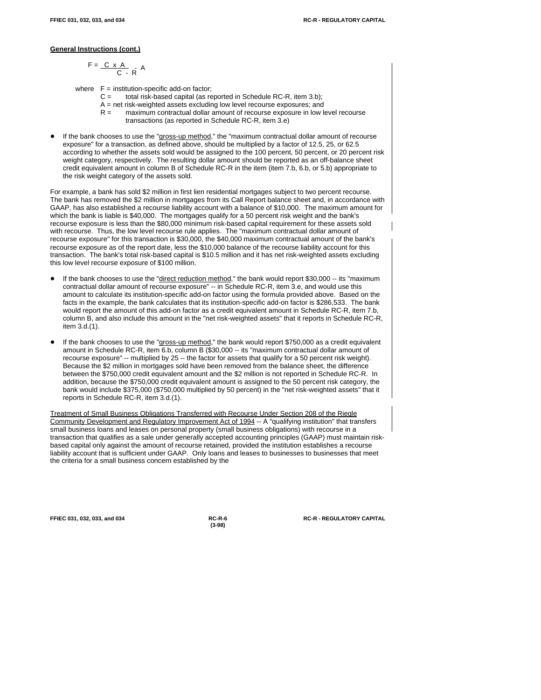$$
F = \frac{C \times A}{C - R} \cdot A
$$

where  $F =$  institution-specific add-on factor;

- C = total risk-based capital (as reported in Schedule RC-R, item 3.b);
- A = net risk-weighted assets excluding low level recourse exposures; and
- R = maximum contractual dollar amount of recourse exposure in low level recourse transactions (as reported in Schedule RC-R, item 3.e)
- If the bank chooses to use the "gross-up method," the "maximum contractual dollar amount of recourse exposure" for a transaction, as defined above, should be multiplied by a factor of 12.5, 25, or 62.5 according to whether the assets sold would be assigned to the 100 percent, 50 percent, or 20 percent risk weight category, respectively. The resulting dollar amount should be reported as an off-balance sheet credit equivalent amount in column B of Schedule RC-R in the item (item 7.b, 6.b, or 5.b) appropriate to the risk weight category of the assets sold.

For example, a bank has sold \$2 million in first lien residential mortgages subject to two percent recourse. The bank has removed the \$2 million in mortgages from its Call Report balance sheet and, in accordance with GAAP, has also established a recourse liability account with a balance of \$10,000. The maximum amount for which the bank is liable is \$40,000. The mortgages qualify for a 50 percent risk weight and the bank's recourse exposure is less than the \$80,000 minimum risk-based capital requirement for these assets sold with recourse. Thus, the low level recourse rule applies. The "maximum contractual dollar amount of recourse exposure" for this transaction is \$30,000, the \$40,000 maximum contractual amount of the bank's recourse exposure as of the report date, less the \$10,000 balance of the recourse liability account for this transaction. The bank's total risk-based capital is \$10.5 million and it has net risk-weighted assets excluding this low level recourse exposure of \$100 million.

- If the bank chooses to use the "direct reduction method," the bank would report \$30,000 -- its "maximum contractual dollar amount of recourse exposure" -- in Schedule RC-R, item 3.e, and would use this amount to calculate its institution-specific add-on factor using the formula provided above. Based on the facts in the example, the bank calculates that its institution-specific add-on factor is \$286,533. The bank would report the amount of this add-on factor as a credit equivalent amount in Schedule RC-R, item 7.b, column B, and also include this amount in the "net risk-weighted assets" that it reports in Schedule RC-R, item 3.d.(1).
- If the bank chooses to use the "gross-up method," the bank would report \$750,000 as a credit equivalent amount in Schedule RC-R, item 6.b, column B (\$30,000 -- its "maximum contractual dollar amount of recourse exposure" -- multiplied by 25 -- the factor for assets that qualify for a 50 percent risk weight). Because the \$2 million in mortgages sold have been removed from the balance sheet, the difference between the \$750,000 credit equivalent amount and the \$2 million is not reported in Schedule RC-R. In addition, because the \$750,000 credit equivalent amount is assigned to the 50 percent risk category, the bank would include \$375,000 (\$750,000 multiplied by 50 percent) in the "net risk-weighted assets" that it reports in Schedule RC-R, item 3.d.(1).

Treatment of Small Business Obligations Transferred with Recourse Under Section 208 of the Riegle Community Development and Regulatory Improvement Act of 1994 -- A "qualifying institution" that transfers small business loans and leases on personal property (small business obligations) with recourse in a transaction that qualifies as a sale under generally accepted accounting principles (GAAP) must maintain riskbased capital only against the amount of recourse retained, provided the institution establishes a recourse liability account that is sufficient under GAAP. Only loans and leases to businesses to businesses that meet the criteria for a small business concern established by the

**(3-98)**

**FFIEC 031, 032, 033, and 034 RC-R-6 RC-R - REGULATORY CAPITAL**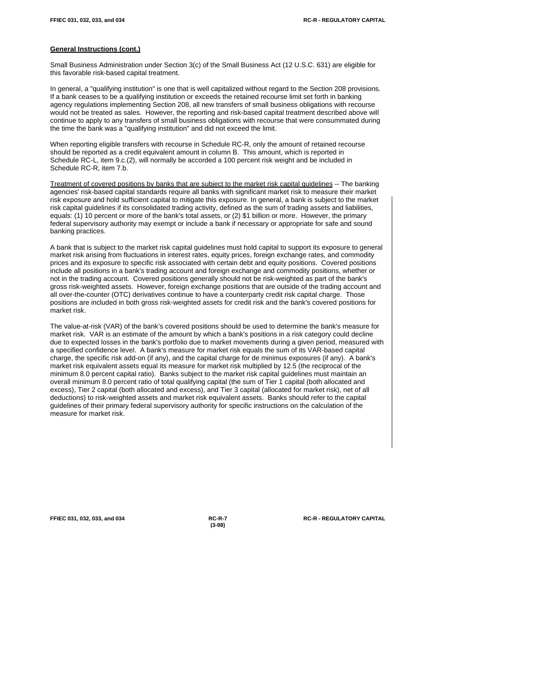Small Business Administration under Section 3(c) of the Small Business Act (12 U.S.C. 631) are eligible for this favorable risk-based capital treatment.

In general, a "qualifying institution" is one that is well capitalized without regard to the Section 208 provisions. If a bank ceases to be a qualifying institution or exceeds the retained recourse limit set forth in banking agency regulations implementing Section 208, all new transfers of small business obligations with recourse would not be treated as sales. However, the reporting and risk-based capital treatment described above will continue to apply to any transfers of small business obligations with recourse that were consummated during the time the bank was a "qualifying institution" and did not exceed the limit.

When reporting eligible transfers with recourse in Schedule RC-R, only the amount of retained recourse should be reported as a credit equivalent amount in column B. This amount, which is reported in Schedule RC-L, item 9.c.(2), will normally be accorded a 100 percent risk weight and be included in Schedule RC-R, item 7.b.

Treatment of covered positions by banks that are subject to the market risk capital guidelines -- The banking agencies' risk-based capital standards require all banks with significant market risk to measure their market risk exposure and hold sufficient capital to mitigate this exposure. In general, a bank is subject to the market risk capital guidelines if its consolidated trading activity, defined as the sum of trading assets and liabilities, equals: (1) 10 percent or more of the bank's total assets, or (2) \$1 billion or more. However, the primary federal supervisory authority may exempt or include a bank if necessary or appropriate for safe and sound banking practices.

A bank that is subject to the market risk capital guidelines must hold capital to support its exposure to general market risk arising from fluctuations in interest rates, equity prices, foreign exchange rates, and commodity prices and its exposure to specific risk associated with certain debt and equity positions. Covered positions include all positions in a bank's trading account and foreign exchange and commodity positions, whether or not in the trading account. Covered positions generally should not be risk-weighted as part of the bank's gross risk-weighted assets. However, foreign exchange positions that are outside of the trading account and all over-the-counter (OTC) derivatives continue to have a counterparty credit risk capital charge. Those positions are included in both gross risk-weighted assets for credit risk and the bank's covered positions for market risk.

The value-at-risk (VAR) of the bank's covered positions should be used to determine the bank's measure for market risk. VAR is an estimate of the amount by which a bank's positions in a risk category could decline due to expected losses in the bank's portfolio due to market movements during a given period, measured with a specified confidence level. A bank's measure for market risk equals the sum of its VAR-based capital charge, the specific risk add-on (if any), and the capital charge for de minimus exposures (if any). A bank's market risk equivalent assets equal its measure for market risk multiplied by 12.5 (the reciprocal of the minimum 8.0 percent capital ratio). Banks subject to the market risk capital guidelines must maintain an overall minimum 8.0 percent ratio of total qualifying capital (the sum of Tier 1 capital (both allocated and excess), Tier 2 capital (both allocated and excess), and Tier 3 capital (allocated for market risk), net of all deductions) to risk-weighted assets and market risk equivalent assets. Banks should refer to the capital guidelines of their primary federal supervisory authority for specific instructions on the calculation of the measure for market risk.

**(3-98)**

**FFIEC 031, 032, 033, and 034 RC-R-7 RC-R - REGULATORY CAPITAL**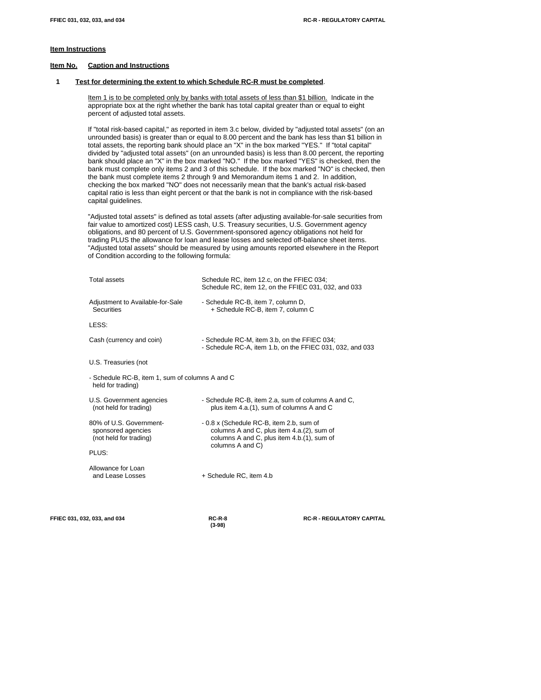# **Item Instructions**

#### **Item No. Caption and Instructions**

# **1 Test for determining the extent to which Schedule RC-R must be completed**.

Item 1 is to be completed only by banks with total assets of less than \$1 billion. Indicate in the appropriate box at the right whether the bank has total capital greater than or equal to eight percent of adjusted total assets.

If "total risk-based capital," as reported in item 3.c below, divided by "adjusted total assets" (on an unrounded basis) is greater than or equal to 8.00 percent and the bank has less than \$1 billion in total assets, the reporting bank should place an "X" in the box marked "YES." If "total capital" divided by "adjusted total assets" (on an unrounded basis) is less than 8.00 percent, the reporting bank should place an "X" in the box marked "NO." If the box marked "YES" is checked, then the bank must complete only items 2 and 3 of this schedule. If the box marked "NO" is checked, then the bank must complete items 2 through 9 and Memorandum items 1 and 2. In addition, checking the box marked "NO" does not necessarily mean that the bank's actual risk-based capital ratio is less than eight percent or that the bank is not in compliance with the risk-based capital guidelines.

"Adjusted total assets" is defined as total assets (after adjusting available-for-sale securities from fair value to amortized cost) LESS cash, U.S. Treasury securities, U.S. Government agency obligations, and 80 percent of U.S. Government-sponsored agency obligations not held for trading PLUS the allowance for loan and lease losses and selected off-balance sheet items. "Adjusted total assets" should be measured by using amounts reported elsewhere in the Report of Condition according to the following formula:

| <b>Total assets</b>                                                     | Schedule RC, item 12.c, on the FFIEC 034;<br>Schedule RC, item 12, on the FFIEC 031, 032, and 033                                                         |
|-------------------------------------------------------------------------|-----------------------------------------------------------------------------------------------------------------------------------------------------------|
| Adjustment to Available-for-Sale<br><b>Securities</b>                   | - Schedule RC-B, item 7, column D,<br>+ Schedule RC-B. item 7. column C                                                                                   |
| LESS:                                                                   |                                                                                                                                                           |
| Cash (currency and coin)                                                | - Schedule RC-M, item 3.b, on the FFIEC 034;<br>- Schedule RC-A, item 1.b, on the FFIEC 031, 032, and 033                                                 |
| U.S. Treasuries (not                                                    |                                                                                                                                                           |
| - Schedule RC-B, item 1, sum of columns A and C<br>held for trading)    |                                                                                                                                                           |
| U.S. Government agencies<br>(not held for trading)                      | - Schedule RC-B, item 2.a, sum of columns A and C,<br>plus item 4.a.(1), sum of columns A and C                                                           |
| 80% of U.S. Government-<br>sponsored agencies<br>(not held for trading) | - 0.8 x (Schedule RC-B, item 2.b, sum of<br>columns A and C, plus item 4.a. (2), sum of<br>columns A and C, plus item 4.b.(1), sum of<br>columns A and C) |
| PLUS:                                                                   |                                                                                                                                                           |
| Allowance for Loan<br>and Lease Losses                                  | + Schedule RC, item 4.b                                                                                                                                   |
|                                                                         |                                                                                                                                                           |

**(3-98)**

**FFIEC 031, 032, 033, and 034 RC-R-8 RC-R - REGULATORY CAPITAL**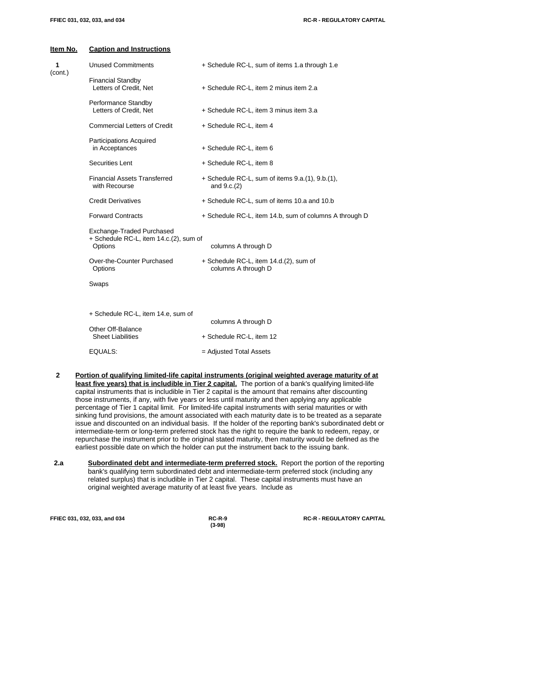| <b>Caption and Instructions</b>                                                |                                                                    |  |  |  |
|--------------------------------------------------------------------------------|--------------------------------------------------------------------|--|--|--|
| <b>Unused Commitments</b>                                                      | + Schedule RC-L, sum of items 1.a through 1.e                      |  |  |  |
| <b>Financial Standby</b><br>Letters of Credit, Net                             | + Schedule RC-L, item 2 minus item 2.a                             |  |  |  |
| Performance Standby<br>Letters of Credit, Net                                  | + Schedule RC-L, item 3 minus item 3.a                             |  |  |  |
| <b>Commercial Letters of Credit</b>                                            | + Schedule RC-L, item 4                                            |  |  |  |
| Participations Acquired<br>in Acceptances                                      | + Schedule RC-L, item 6                                            |  |  |  |
| Securities Lent                                                                | + Schedule RC-L, item 8                                            |  |  |  |
| <b>Financial Assets Transferred</b><br>with Recourse                           | $+$ Schedule RC-L, sum of items 9.a.(1), 9.b.(1),<br>and $9.c.(2)$ |  |  |  |
| <b>Credit Derivatives</b>                                                      | + Schedule RC-L, sum of items 10.a and 10.b                        |  |  |  |
| <b>Forward Contracts</b>                                                       | + Schedule RC-L, item 14.b, sum of columns A through D             |  |  |  |
| Exchange-Traded Purchased<br>+ Schedule RC-L, item 14.c.(2), sum of<br>Options | columns A through D                                                |  |  |  |
| Over-the-Counter Purchased<br>Options                                          | + Schedule RC-L, item 14.d.(2), sum of<br>columns A through D      |  |  |  |
| Swaps                                                                          |                                                                    |  |  |  |
| + Schedule RC-L, item 14.e, sum of                                             | columns A through D                                                |  |  |  |
| Other Off-Balance<br><b>Sheet Liabilities</b>                                  | + Schedule RC-L, item 12                                           |  |  |  |
| EQUALS:                                                                        | = Adjusted Total Assets                                            |  |  |  |
|                                                                                |                                                                    |  |  |  |

- **2 Portion of qualifying limited-life capital instruments (original weighted average maturity of at least five years) that is includible in Tier 2 capital.** The portion of a bank's qualifying limited-life capital instruments that is includible in Tier 2 capital is the amount that remains after discounting those instruments, if any, with five years or less until maturity and then applying any applicable percentage of Tier 1 capital limit. For limited-life capital instruments with serial maturities or with sinking fund provisions, the amount associated with each maturity date is to be treated as a separate issue and discounted on an individual basis. If the holder of the reporting bank's subordinated debt or intermediate-term or long-term preferred stock has the right to require the bank to redeem, repay, or repurchase the instrument prior to the original stated maturity, then maturity would be defined as the earliest possible date on which the holder can put the instrument back to the issuing bank.
- **2.a Subordinated debt and intermediate-term preferred stock.** Report the portion of the reporting bank's qualifying term subordinated debt and intermediate-term preferred stock (including any related surplus) that is includible in Tier 2 capital. These capital instruments must have an original weighted average maturity of at least five years. Include as

**(3-98)**

**FFIEC 031, 032, 033, and 034 RC-R-9 RC-R - REGULATORY CAPITAL**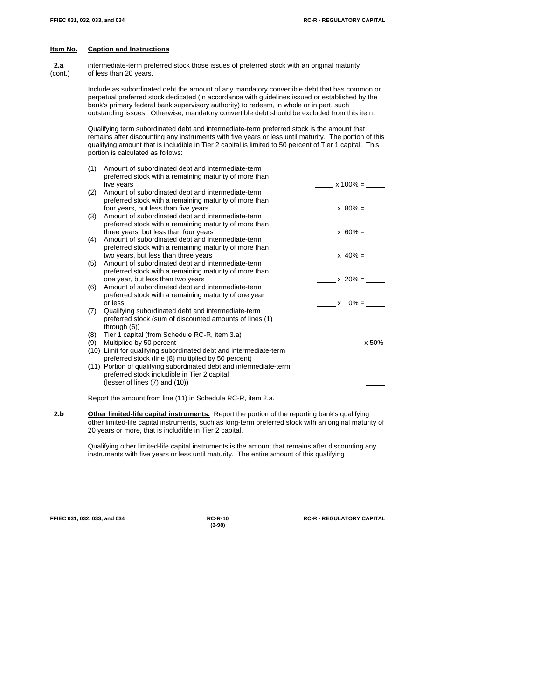**2.a** intermediate-term preferred stock those issues of preferred stock with an original maturity (cont.) of less than 20 years.

> Include as subordinated debt the amount of any mandatory convertible debt that has common or perpetual preferred stock dedicated (in accordance with guidelines issued or established by the bank's primary federal bank supervisory authority) to redeem, in whole or in part, such outstanding issues. Otherwise, mandatory convertible debt should be excluded from this item.

Qualifying term subordinated debt and intermediate-term preferred stock is the amount that remains after discounting any instruments with five years or less until maturity. The portion of this qualifying amount that is includible in Tier 2 capital is limited to 50 percent of Tier 1 capital. This portion is calculated as follows:

| (1) | Amount of subordinated debt and intermediate-term                  |             |
|-----|--------------------------------------------------------------------|-------------|
|     | preferred stock with a remaining maturity of more than             |             |
|     | five years                                                         | $x 100\% =$ |
| (2) | Amount of subordinated debt and intermediate-term                  |             |
|     | preferred stock with a remaining maturity of more than             |             |
|     | four years, but less than five years                               | $x 80\% =$  |
| (3) | Amount of subordinated debt and intermediate-term                  |             |
|     | preferred stock with a remaining maturity of more than             |             |
|     | three years, but less than four years                              | $x 60\% =$  |
| (4) | Amount of subordinated debt and intermediate-term                  |             |
|     | preferred stock with a remaining maturity of more than             |             |
|     | two years, but less than three years                               | $x 40\% =$  |
| (5) | Amount of subordinated debt and intermediate-term                  |             |
|     | preferred stock with a remaining maturity of more than             |             |
|     | one year, but less than two years                                  | $x 20\% =$  |
| (6) | Amount of subordinated debt and intermediate-term                  |             |
|     | preferred stock with a remaining maturity of one year              |             |
|     | or less                                                            | $x = 0\% =$ |
| (7) | Qualifying subordinated debt and intermediate-term                 |             |
|     | preferred stock (sum of discounted amounts of lines (1)            |             |
|     | through $(6)$                                                      |             |
| (8) | Tier 1 capital (from Schedule RC-R, item 3.a)                      |             |
| (9) | Multiplied by 50 percent                                           | x 50%       |
|     | (10) Limit for qualifying subordinated debt and intermediate-term  |             |
|     | preferred stock (line (8) multiplied by 50 percent)                |             |
|     | (11) Portion of qualifying subordinated debt and intermediate-term |             |
|     | preferred stock includible in Tier 2 capital                       |             |
|     | (lesser of lines (7) and (10))                                     |             |

Report the amount from line (11) in Schedule RC-R, item 2.a.

2.b **Other limited-life capital instruments.** Report the portion of the reporting bank's qualifying other limited-life capital instruments, such as long-term preferred stock with an original maturity of 20 years or more, that is includible in Tier 2 capital.

> Qualifying other limited-life capital instruments is the amount that remains after discounting any instruments with five years or less until maturity. The entire amount of this qualifying

**(3-98)**

**FFIEC 031, 032, 033, and 034 RC-R-10 RC-R - REGULATORY CAPITAL**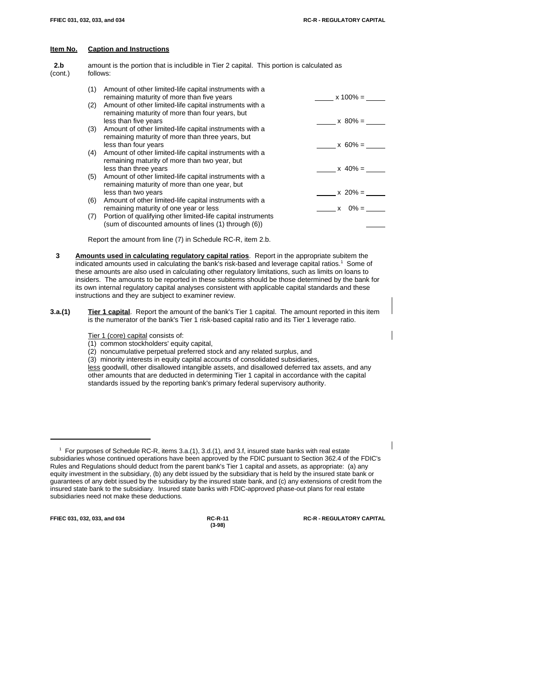| 2.b<br>(cont.) | amount is the portion that is includible in Tier 2 capital. This portion is calculated as<br>follows: |                                                                                                                                     |             |  |  |  |
|----------------|-------------------------------------------------------------------------------------------------------|-------------------------------------------------------------------------------------------------------------------------------------|-------------|--|--|--|
|                | (1)                                                                                                   | Amount of other limited-life capital instruments with a<br>remaining maturity of more than five years                               | $x 100\% =$ |  |  |  |
|                | (2)                                                                                                   | Amount of other limited-life capital instruments with a<br>remaining maturity of more than four years, but                          |             |  |  |  |
|                |                                                                                                       | less than five years                                                                                                                | $x 80\% =$  |  |  |  |
|                | (3)                                                                                                   | Amount of other limited-life capital instruments with a<br>remaining maturity of more than three years, but<br>less than four years | $x 60\% =$  |  |  |  |
|                | (4)                                                                                                   | Amount of other limited-life capital instruments with a<br>remaining maturity of more than two year, but                            | $x 40\% =$  |  |  |  |
|                | (5)                                                                                                   | less than three years<br>Amount of other limited-life capital instruments with a<br>remaining maturity of more than one year, but   |             |  |  |  |
|                | (6)                                                                                                   | less than two years<br>Amount of other limited-life capital instruments with a                                                      | $x 20% =$   |  |  |  |
|                |                                                                                                       | remaining maturity of one year or less                                                                                              | $x = 0\% =$ |  |  |  |
|                | (7)                                                                                                   | Portion of qualifying other limited-life capital instruments<br>(sum of discounted amounts of lines (1) through (6))                |             |  |  |  |

Report the amount from line (7) in Schedule RC-R, item 2.b.

- **3 Amounts used in calculating regulatory capital ratios**. Report in the appropriate subitem the indicated amounts used in calculating the bank's risk-based and leverage capital ratios.<sup>1</sup> Some of these amounts are also used in calculating other regulatory limitations, such as limits on loans to insiders. The amounts to be reported in these subitems should be those determined by the bank for its own internal regulatory capital analyses consistent with applicable capital standards and these instructions and they are subject to examiner review.
- **3.a.(1) Tier 1 capital**. Report the amount of the bank's Tier 1 capital. The amount reported in this item is the numerator of the bank's Tier 1 risk-based capital ratio and its Tier 1 leverage ratio.
	- Tier 1 (core) capital consists of:
	- (1) common stockholders' equity capital,
	- (2) noncumulative perpetual preferred stock and any related surplus, and
	- (3) minority interests in equity capital accounts of consolidated subsidiaries,

less goodwill, other disallowed intangible assets, and disallowed deferred tax assets, and any other amounts that are deducted in determining Tier 1 capital in accordance with the capital standards issued by the reporting bank's primary federal supervisory authority.

**FFIEC 031, 032, 033, and 034 RC-R-11 RC-R - REGULATORY CAPITAL**

 $1$  For purposes of Schedule RC-R, items 3.a.(1), 3.d.(1), and 3.f, insured state banks with real estate subsidiaries whose continued operations have been approved by the FDIC pursuant to Section 362.4 of the FDIC's Rules and Regulations should deduct from the parent bank's Tier 1 capital and assets, as appropriate: (a) any equity investment in the subsidiary, (b) any debt issued by the subsidiary that is held by the insured state bank or guarantees of any debt issued by the subsidiary by the insured state bank, and (c) any extensions of credit from the insured state bank to the subsidiary. Insured state banks with FDIC-approved phase-out plans for real estate subsidiaries need not make these deductions.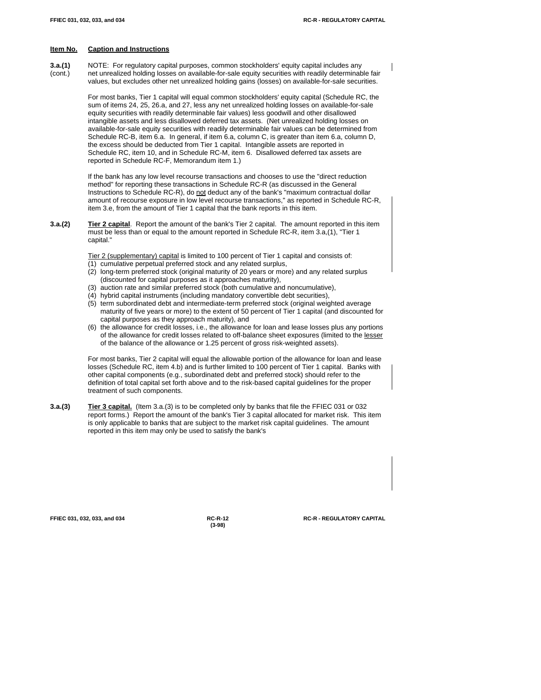**3.a.(1)** NOTE: For regulatory capital purposes, common stockholders' equity capital includes any (cont.) net unrealized holding losses on available-for-sale equity securities with readily determinable fair values, but excludes other net unrealized holding gains (losses) on available-for-sale securities.

> For most banks, Tier 1 capital will equal common stockholders' equity capital (Schedule RC, the sum of items 24, 25, 26.a, and 27, less any net unrealized holding losses on available-for-sale equity securities with readily determinable fair values) less goodwill and other disallowed intangible assets and less disallowed deferred tax assets. (Net unrealized holding losses on available-for-sale equity securities with readily determinable fair values can be determined from Schedule RC-B, item 6.a. In general, if item 6.a, column C, is greater than item 6.a, column D, the excess should be deducted from Tier 1 capital. Intangible assets are reported in Schedule RC, item 10, and in Schedule RC-M, item 6. Disallowed deferred tax assets are reported in Schedule RC-F, Memorandum item 1.)

> If the bank has any low level recourse transactions and chooses to use the "direct reduction method" for reporting these transactions in Schedule RC-R (as discussed in the General Instructions to Schedule RC-R), do not deduct any of the bank's "maximum contractual dollar amount of recourse exposure in low level recourse transactions," as reported in Schedule RC-R, item 3.e, from the amount of Tier 1 capital that the bank reports in this item.

**3.a.(2) Tier 2 capital**. Report the amount of the bank's Tier 2 capital. The amount reported in this item must be less than or equal to the amount reported in Schedule RC-R, item 3.a,(1), "Tier 1 capital."

Tier 2 (supplementary) capital is limited to 100 percent of Tier 1 capital and consists of:

- (1) cumulative perpetual preferred stock and any related surplus,
- (2) long-term preferred stock (original maturity of 20 years or more) and any related surplus (discounted for capital purposes as it approaches maturity),
- (3) auction rate and similar preferred stock (both cumulative and noncumulative),
- (4) hybrid capital instruments (including mandatory convertible debt securities),
- (5) term subordinated debt and intermediate-term preferred stock (original weighted average maturity of five years or more) to the extent of 50 percent of Tier 1 capital (and discounted for capital purposes as they approach maturity), and
- (6) the allowance for credit losses, i.e., the allowance for loan and lease losses plus any portions of the allowance for credit losses related to off-balance sheet exposures (limited to the lesser of the balance of the allowance or 1.25 percent of gross risk-weighted assets).

For most banks, Tier 2 capital will equal the allowable portion of the allowance for loan and lease losses (Schedule RC, item 4.b) and is further limited to 100 percent of Tier 1 capital. Banks with other capital components (e.g., subordinated debt and preferred stock) should refer to the definition of total capital set forth above and to the risk-based capital guidelines for the proper treatment of such components.

**3.a.(3) Tier 3 capital.** (Item 3.a.(3) is to be completed only by banks that file the FFIEC 031 or 032 report forms.) Report the amount of the bank's Tier 3 capital allocated for market risk. This item is only applicable to banks that are subject to the market risk capital guidelines. The amount reported in this item may only be used to satisfy the bank's

**(3-98)**

**FFIEC 031, 032, 033, and 034 RC-R-12 RC-R - REGULATORY CAPITAL**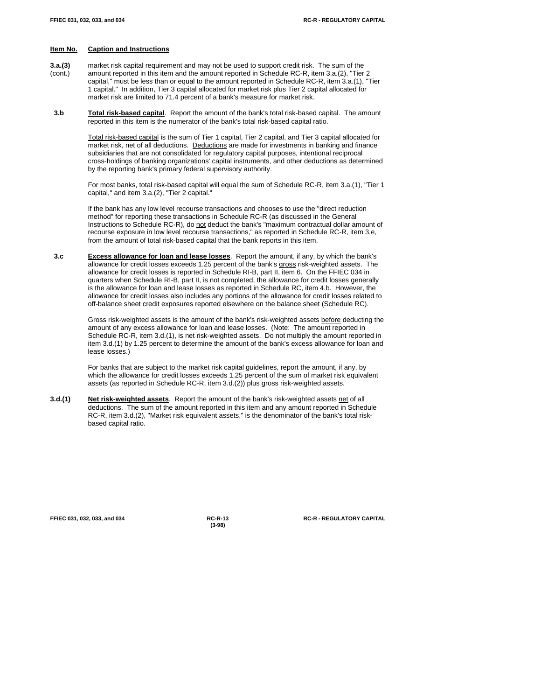- **3.a.(3)** market risk capital requirement and may not be used to support credit risk. The sum of the (cont.) amount reported in this item and the amount reported in Schedule RC-R, item 3.a.(2), "Tier 2 capital," must be less than or equal to the amount reported in Schedule RC-R, item 3.a.(1), "Tier 1 capital." In addition, Tier 3 capital allocated for market risk plus Tier 2 capital allocated for market risk are limited to 71.4 percent of a bank's measure for market risk.
- **3.b Total risk-based capital**. Report the amount of the bank's total risk-based capital. The amount reported in this item is the numerator of the bank's total risk-based capital ratio.

Total risk-based capital is the sum of Tier 1 capital, Tier 2 capital, and Tier 3 capital allocated for market risk, net of all deductions. Deductions are made for investments in banking and finance subsidiaries that are not consolidated for regulatory capital purposes, intentional reciprocal cross-holdings of banking organizations' capital instruments, and other deductions as determined by the reporting bank's primary federal supervisory authority.

For most banks, total risk-based capital will equal the sum of Schedule RC-R, item 3.a.(1), "Tier 1 capital," and item 3.a.(2), "Tier 2 capital."

If the bank has any low level recourse transactions and chooses to use the "direct reduction method" for reporting these transactions in Schedule RC-R (as discussed in the General Instructions to Schedule RC-R), do not deduct the bank's "maximum contractual dollar amount of recourse exposure in low level recourse transactions," as reported in Schedule RC-R, item 3.e, from the amount of total risk-based capital that the bank reports in this item.

 **3.c Excess allowance for loan and lease losses**. Report the amount, if any, by which the bank's allowance for credit losses exceeds 1.25 percent of the bank's gross risk-weighted assets. The allowance for credit losses is reported in Schedule RI-B, part II, item 6. On the FFIEC 034 in quarters when Schedule RI-B, part II, is not completed, the allowance for credit losses generally is the allowance for loan and lease losses as reported in Schedule RC, item 4.b. However, the allowance for credit losses also includes any portions of the allowance for credit losses related to off-balance sheet credit exposures reported elsewhere on the balance sheet (Schedule RC).

> Gross risk-weighted assets is the amount of the bank's risk-weighted assets before deducting the amount of any excess allowance for loan and lease losses. (Note: The amount reported in Schedule RC-R, item 3.d.(1), is net risk-weighted assets. Do not multiply the amount reported in item 3.d.(1) by 1.25 percent to determine the amount of the bank's excess allowance for loan and lease losses.)

For banks that are subject to the market risk capital guidelines, report the amount, if any, by which the allowance for credit losses exceeds 1.25 percent of the sum of market risk equivalent assets (as reported in Schedule RC-R, item 3.d.(2)) plus gross risk-weighted assets.

**3.d.(1) Net risk-weighted assets**. Report the amount of the bank's risk-weighted assets net of all deductions. The sum of the amount reported in this item and any amount reported in Schedule RC-R, item 3.d.(2), "Market risk equivalent assets," is the denominator of the bank's total riskbased capital ratio.

**(3-98)**

**FFIEC 031, 032, 033, and 034 RC-R-13 RC-R - REGULATORY CAPITAL**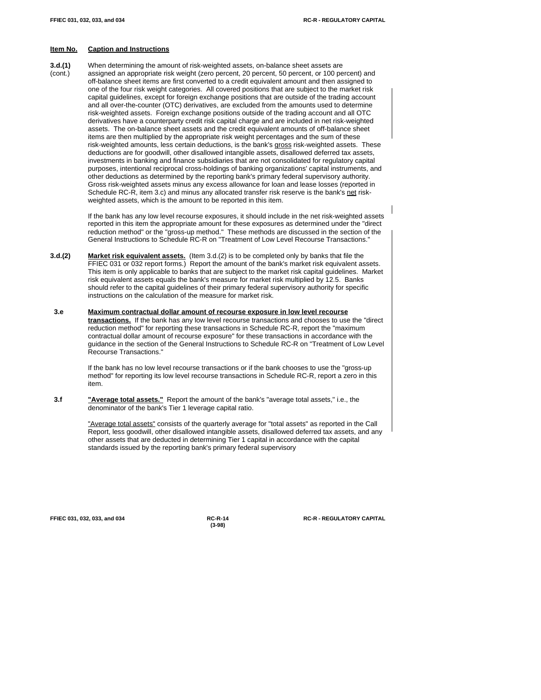**3.d.(1)** When determining the amount of risk-weighted assets, on-balance sheet assets are (cont.) assigned an appropriate risk weight (zero percent, 20 percent, 50 percent, or 100 percent) and off-balance sheet items are first converted to a credit equivalent amount and then assigned to one of the four risk weight categories. All covered positions that are subject to the market risk capital guidelines, except for foreign exchange positions that are outside of the trading account and all over-the-counter (OTC) derivatives, are excluded from the amounts used to determine risk-weighted assets. Foreign exchange positions outside of the trading account and all OTC derivatives have a counterparty credit risk capital charge and are included in net risk-weighted assets. The on-balance sheet assets and the credit equivalent amounts of off-balance sheet items are then multiplied by the appropriate risk weight percentages and the sum of these risk-weighted amounts, less certain deductions, is the bank's gross risk-weighted assets. These deductions are for goodwill, other disallowed intangible assets, disallowed deferred tax assets, investments in banking and finance subsidiaries that are not consolidated for regulatory capital purposes, intentional reciprocal cross-holdings of banking organizations' capital instruments, and other deductions as determined by the reporting bank's primary federal supervisory authority. Gross risk-weighted assets minus any excess allowance for loan and lease losses (reported in Schedule RC-R, item 3.c) and minus any allocated transfer risk reserve is the bank's net riskweighted assets, which is the amount to be reported in this item.

> If the bank has any low level recourse exposures, it should include in the net risk-weighted assets reported in this item the appropriate amount for these exposures as determined under the "direct reduction method" or the "gross-up method." These methods are discussed in the section of the General Instructions to Schedule RC-R on "Treatment of Low Level Recourse Transactions."

- **3.d.(2) Market risk equivalent assets.** (Item 3.d.(2) is to be completed only by banks that file the FFIEC 031 or 032 report forms.) Report the amount of the bank's market risk equivalent assets. This item is only applicable to banks that are subject to the market risk capital guidelines. Market risk equivalent assets equals the bank's measure for market risk multiplied by 12.5. Banks should refer to the capital guidelines of their primary federal supervisory authority for specific instructions on the calculation of the measure for market risk.
- **3.e Maximum contractual dollar amount of recourse exposure in low level recourse transactions.** If the bank has any low level recourse transactions and chooses to use the "direct reduction method" for reporting these transactions in Schedule RC-R, report the "maximum contractual dollar amount of recourse exposure" for these transactions in accordance with the guidance in the section of the General Instructions to Schedule RC-R on "Treatment of Low Level Recourse Transactions."

If the bank has no low level recourse transactions or if the bank chooses to use the "gross-up method" for reporting its low level recourse transactions in Schedule RC-R, report a zero in this item.

 **3.f "Average total assets."** Report the amount of the bank's "average total assets," i.e., the denominator of the bank's Tier 1 leverage capital ratio.

> "Average total assets" consists of the quarterly average for "total assets" as reported in the Call Report, less goodwill, other disallowed intangible assets, disallowed deferred tax assets, and any other assets that are deducted in determining Tier 1 capital in accordance with the capital standards issued by the reporting bank's primary federal supervisory

**(3-98)**

**FFIEC 031, 032, 033, and 034 RC-R-14 RC-R - REGULATORY CAPITAL**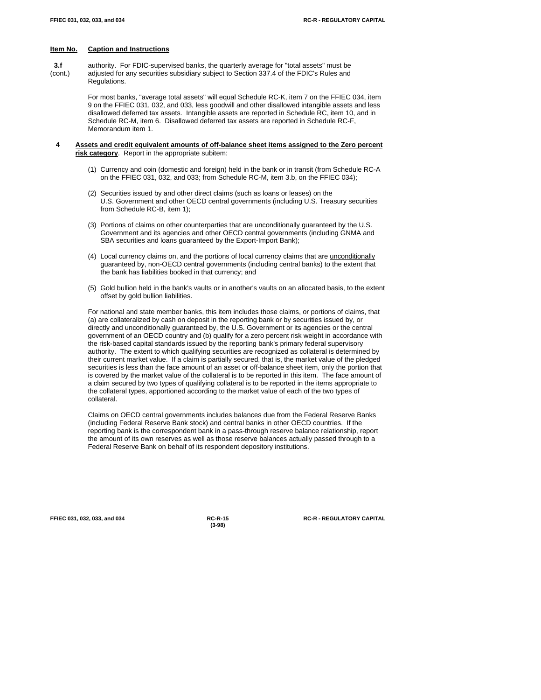**3.f** authority. For FDIC-supervised banks, the quarterly average for "total assets" must be (cont.) adjusted for any securities subsidiary subject to Section 337.4 of the FDIC's Rules and Regulations.

> For most banks, "average total assets" will equal Schedule RC-K, item 7 on the FFIEC 034, item 9 on the FFIEC 031, 032, and 033, less goodwill and other disallowed intangible assets and less disallowed deferred tax assets. Intangible assets are reported in Schedule RC, item 10, and in Schedule RC-M, item 6. Disallowed deferred tax assets are reported in Schedule RC-F, Memorandum item 1.

- **4 Assets and credit equivalent amounts of off-balance sheet items assigned to the Zero percent risk category**. Report in the appropriate subitem:
	- (1) Currency and coin (domestic and foreign) held in the bank or in transit (from Schedule RC-A on the FFIEC 031, 032, and 033; from Schedule RC-M, item 3.b, on the FFIEC 034);
	- (2) Securities issued by and other direct claims (such as loans or leases) on the U.S. Government and other OECD central governments (including U.S. Treasury securities from Schedule RC-B, item 1);
	- (3) Portions of claims on other counterparties that are unconditionally guaranteed by the U.S. Government and its agencies and other OECD central governments (including GNMA and SBA securities and loans guaranteed by the Export-Import Bank);
	- (4) Local currency claims on, and the portions of local currency claims that are unconditionally guaranteed by, non-OECD central governments (including central banks) to the extent that the bank has liabilities booked in that currency; and
	- (5) Gold bullion held in the bank's vaults or in another's vaults on an allocated basis, to the extent offset by gold bullion liabilities.

For national and state member banks, this item includes those claims, or portions of claims, that (a) are collateralized by cash on deposit in the reporting bank or by securities issued by, or directly and unconditionally guaranteed by, the U.S. Government or its agencies or the central government of an OECD country and (b) qualify for a zero percent risk weight in accordance with the risk-based capital standards issued by the reporting bank's primary federal supervisory authority. The extent to which qualifying securities are recognized as collateral is determined by their current market value. If a claim is partially secured, that is, the market value of the pledged securities is less than the face amount of an asset or off-balance sheet item, only the portion that is covered by the market value of the collateral is to be reported in this item. The face amount of a claim secured by two types of qualifying collateral is to be reported in the items appropriate to the collateral types, apportioned according to the market value of each of the two types of collateral.

Claims on OECD central governments includes balances due from the Federal Reserve Banks (including Federal Reserve Bank stock) and central banks in other OECD countries. If the reporting bank is the correspondent bank in a pass-through reserve balance relationship, report the amount of its own reserves as well as those reserve balances actually passed through to a Federal Reserve Bank on behalf of its respondent depository institutions.

**(3-98)**

**FFIEC 031, 032, 033, and 034 RC-R-15 RC-R - REGULATORY CAPITAL**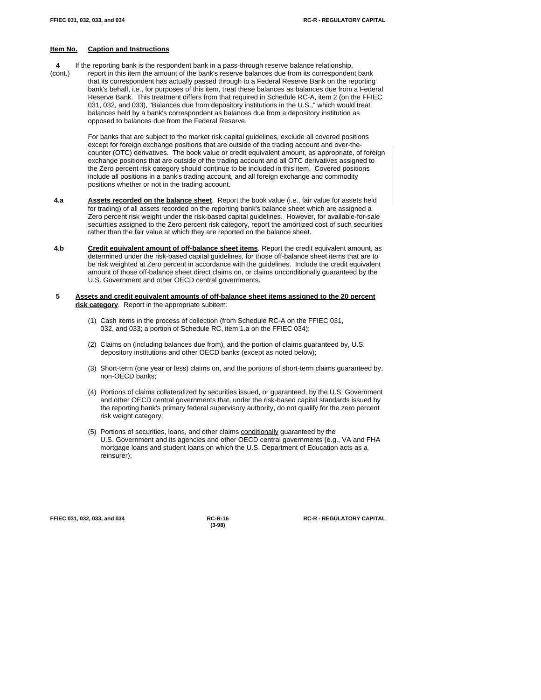- **4** If the reporting bank is the respondent bank in a pass-through reserve balance relationship,
- (cont.) report in this item the amount of the bank's reserve balances due from its correspondent bank that its correspondent has actually passed through to a Federal Reserve Bank on the reporting bank's behalf, i.e., for purposes of this item, treat these balances as balances due from a Federal Reserve Bank. This treatment differs from that required in Schedule RC-A, item 2 (on the FFIEC 031, 032, and 033), "Balances due from depository institutions in the U.S.," which would treat balances held by a bank's correspondent as balances due from a depository institution as opposed to balances due from the Federal Reserve.

For banks that are subject to the market risk capital guidelines, exclude all covered positions except for foreign exchange positions that are outside of the trading account and over-thecounter (OTC) derivatives. The book value or credit equivalent amount, as appropriate, of foreign exchange positions that are outside of the trading account and all OTC derivatives assigned to the Zero percent risk category should continue to be included in this item. Covered positions include all positions in a bank's trading account, and all foreign exchange and commodity positions whether or not in the trading account.

- **4.a Assets recorded on the balance sheet**. Report the book value (i.e., fair value for assets held for trading) of all assets recorded on the reporting bank's balance sheet which are assigned a Zero percent risk weight under the risk-based capital guidelines. However, for available-for-sale securities assigned to the Zero percent risk category, report the amortized cost of such securities rather than the fair value at which they are reported on the balance sheet.
- **4.b Credit equivalent amount of off-balance sheet items**. Report the credit equivalent amount, as determined under the risk-based capital guidelines, for those off-balance sheet items that are to be risk weighted at Zero percent in accordance with the guidelines. Include the credit equivalent amount of those off-balance sheet direct claims on, or claims unconditionally guaranteed by the U.S. Government and other OECD central governments.
- **5 Assets and credit equivalent amounts of off-balance sheet items assigned to the 20 percent risk category**. Report in the appropriate subitem:
	- (1) Cash items in the process of collection (from Schedule RC-A on the FFIEC 031, 032, and 033; a portion of Schedule RC, item 1.a on the FFIEC 034);
	- (2) Claims on (including balances due from), and the portion of claims guaranteed by, U.S. depository institutions and other OECD banks (except as noted below);
	- (3) Short-term (one year or less) claims on, and the portions of short-term claims guaranteed by, non-OECD banks;
	- (4) Portions of claims collateralized by securities issued, or guaranteed, by the U.S. Government and other OECD central governments that, under the risk-based capital standards issued by the reporting bank's primary federal supervisory authority, do not qualify for the zero percent risk weight category;
	- (5) Portions of securities, loans, and other claims conditionally guaranteed by the U.S. Government and its agencies and other OECD central governments (e.g., VA and FHA mortgage loans and student loans on which the U.S. Department of Education acts as a reinsurer);

**(3-98)**

**FFIEC 031, 032, 033, and 034 RC-R-16 RC-R - REGULATORY CAPITAL**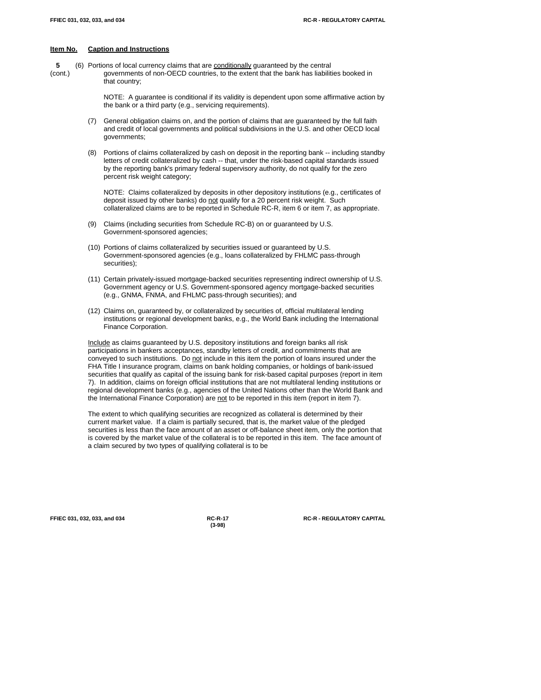**5** (6) Portions of local currency claims that are conditionally guaranteed by the central (cont.) governments of non-OECD countries, to the extent that the bank has liabilities booked in that country;

> NOTE: A guarantee is conditional if its validity is dependent upon some affirmative action by the bank or a third party (e.g., servicing requirements).

- (7) General obligation claims on, and the portion of claims that are guaranteed by the full faith and credit of local governments and political subdivisions in the U.S. and other OECD local governments;
- (8) Portions of claims collateralized by cash on deposit in the reporting bank -- including standby letters of credit collateralized by cash -- that, under the risk-based capital standards issued by the reporting bank's primary federal supervisory authority, do not qualify for the zero percent risk weight category;

NOTE: Claims collateralized by deposits in other depository institutions (e.g., certificates of deposit issued by other banks) do not qualify for a 20 percent risk weight. Such collateralized claims are to be reported in Schedule RC-R, item 6 or item 7, as appropriate.

- (9) Claims (including securities from Schedule RC-B) on or guaranteed by U.S. Government-sponsored agencies;
- (10) Portions of claims collateralized by securities issued or guaranteed by U.S. Government-sponsored agencies (e.g., loans collateralized by FHLMC pass-through securities);
- (11) Certain privately-issued mortgage-backed securities representing indirect ownership of U.S. Government agency or U.S. Government-sponsored agency mortgage-backed securities (e.g., GNMA, FNMA, and FHLMC pass-through securities); and
- (12) Claims on, guaranteed by, or collateralized by securities of, official multilateral lending institutions or regional development banks, e.g., the World Bank including the International Finance Corporation.

Include as claims guaranteed by U.S. depository institutions and foreign banks all risk participations in bankers acceptances, standby letters of credit, and commitments that are conveyed to such institutions. Do not include in this item the portion of loans insured under the FHA Title I insurance program, claims on bank holding companies, or holdings of bank-issued securities that qualify as capital of the issuing bank for risk-based capital purposes (report in item 7). In addition, claims on foreign official institutions that are not multilateral lending institutions or regional development banks (e.g., agencies of the United Nations other than the World Bank and the International Finance Corporation) are not to be reported in this item (report in item 7).

The extent to which qualifying securities are recognized as collateral is determined by their current market value. If a claim is partially secured, that is, the market value of the pledged securities is less than the face amount of an asset or off-balance sheet item, only the portion that is covered by the market value of the collateral is to be reported in this item. The face amount of a claim secured by two types of qualifying collateral is to be

**(3-98)**

**FFIEC 031, 032, 033, and 034 RC-R-17 RC-R - REGULATORY CAPITAL**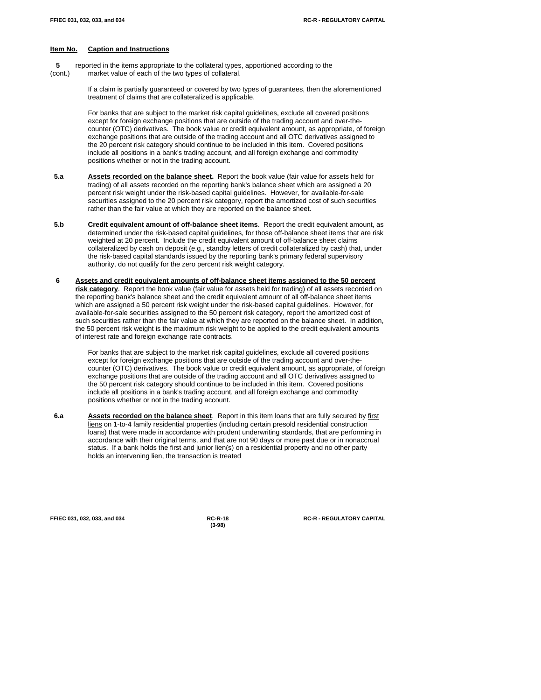**5** reported in the items appropriate to the collateral types, apportioned according to the (cont.) market value of each of the two types of collateral.

> If a claim is partially guaranteed or covered by two types of guarantees, then the aforementioned treatment of claims that are collateralized is applicable.

For banks that are subject to the market risk capital guidelines, exclude all covered positions except for foreign exchange positions that are outside of the trading account and over-thecounter (OTC) derivatives. The book value or credit equivalent amount, as appropriate, of foreign exchange positions that are outside of the trading account and all OTC derivatives assigned to the 20 percent risk category should continue to be included in this item. Covered positions include all positions in a bank's trading account, and all foreign exchange and commodity positions whether or not in the trading account.

- **5.a Assets recorded on the balance sheet.** Report the book value (fair value for assets held for trading) of all assets recorded on the reporting bank's balance sheet which are assigned a 20 percent risk weight under the risk-based capital guidelines. However, for available-for-sale securities assigned to the 20 percent risk category, report the amortized cost of such securities rather than the fair value at which they are reported on the balance sheet.
- 5.b **Credit equivalent amount of off-balance sheet items**. Report the credit equivalent amount, as determined under the risk-based capital guidelines, for those off-balance sheet items that are risk weighted at 20 percent. Include the credit equivalent amount of off-balance sheet claims collateralized by cash on deposit (e.g., standby letters of credit collateralized by cash) that, under the risk-based capital standards issued by the reporting bank's primary federal supervisory authority, do not qualify for the zero percent risk weight category.
- **6 Assets and credit equivalent amounts of off-balance sheet items assigned to the 50 percent risk category**. Report the book value (fair value for assets held for trading) of all assets recorded on the reporting bank's balance sheet and the credit equivalent amount of all off-balance sheet items which are assigned a 50 percent risk weight under the risk-based capital guidelines. However, for available-for-sale securities assigned to the 50 percent risk category, report the amortized cost of such securities rather than the fair value at which they are reported on the balance sheet. In addition, the 50 percent risk weight is the maximum risk weight to be applied to the credit equivalent amounts of interest rate and foreign exchange rate contracts.

For banks that are subject to the market risk capital guidelines, exclude all covered positions except for foreign exchange positions that are outside of the trading account and over-thecounter (OTC) derivatives. The book value or credit equivalent amount, as appropriate, of foreign exchange positions that are outside of the trading account and all OTC derivatives assigned to the 50 percent risk category should continue to be included in this item. Covered positions include all positions in a bank's trading account, and all foreign exchange and commodity positions whether or not in the trading account.

 **6.a Assets recorded on the balance sheet**. Report in this item loans that are fully secured by first liens on 1-to-4 family residential properties (including certain presold residential construction loans) that were made in accordance with prudent underwriting standards, that are performing in accordance with their original terms, and that are not 90 days or more past due or in nonaccrual status. If a bank holds the first and junior lien(s) on a residential property and no other party holds an intervening lien, the transaction is treated

**(3-98)**

**FFIEC 031, 032, 033, and 034 RC-R-18 RC-R - REGULATORY CAPITAL**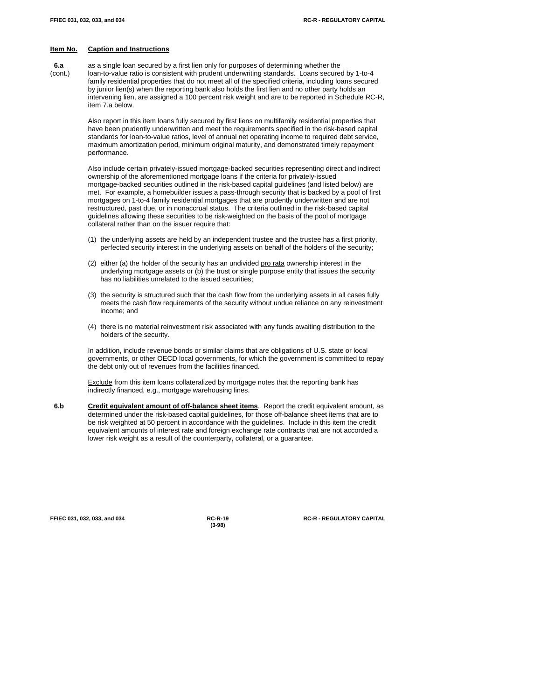**6.a** as a single loan secured by a first lien only for purposes of determining whether the (cont.) loan-to-value ratio is consistent with prudent underwriting standards. Loans secured by 1-to-4 family residential properties that do not meet all of the specified criteria, including loans secured by junior lien(s) when the reporting bank also holds the first lien and no other party holds an intervening lien, are assigned a 100 percent risk weight and are to be reported in Schedule RC-R, item 7.a below.

> Also report in this item loans fully secured by first liens on multifamily residential properties that have been prudently underwritten and meet the requirements specified in the risk-based capital standards for loan-to-value ratios, level of annual net operating income to required debt service, maximum amortization period, minimum original maturity, and demonstrated timely repayment performance.

> Also include certain privately-issued mortgage-backed securities representing direct and indirect ownership of the aforementioned mortgage loans if the criteria for privately-issued mortgage-backed securities outlined in the risk-based capital guidelines (and listed below) are met. For example, a homebuilder issues a pass-through security that is backed by a pool of first mortgages on 1-to-4 family residential mortgages that are prudently underwritten and are not restructured, past due, or in nonaccrual status. The criteria outlined in the risk-based capital guidelines allowing these securities to be risk-weighted on the basis of the pool of mortgage collateral rather than on the issuer require that:

- (1) the underlying assets are held by an independent trustee and the trustee has a first priority, perfected security interest in the underlying assets on behalf of the holders of the security;
- (2) either (a) the holder of the security has an undivided pro rata ownership interest in the underlying mortgage assets or (b) the trust or single purpose entity that issues the security has no liabilities unrelated to the issued securities;
- (3) the security is structured such that the cash flow from the underlying assets in all cases fully meets the cash flow requirements of the security without undue reliance on any reinvestment income; and
- (4) there is no material reinvestment risk associated with any funds awaiting distribution to the holders of the security.

In addition, include revenue bonds or similar claims that are obligations of U.S. state or local governments, or other OECD local governments, for which the government is committed to repay the debt only out of revenues from the facilities financed.

**Exclude** from this item loans collateralized by mortgage notes that the reporting bank has indirectly financed, e.g., mortgage warehousing lines.

 **6.b Credit equivalent amount of off-balance sheet items**. Report the credit equivalent amount, as determined under the risk-based capital guidelines, for those off-balance sheet items that are to be risk weighted at 50 percent in accordance with the guidelines. Include in this item the credit equivalent amounts of interest rate and foreign exchange rate contracts that are not accorded a lower risk weight as a result of the counterparty, collateral, or a guarantee.

**(3-98)**

**FFIEC 031, 032, 033, and 034 RC-R-19 RC-R - REGULATORY CAPITAL**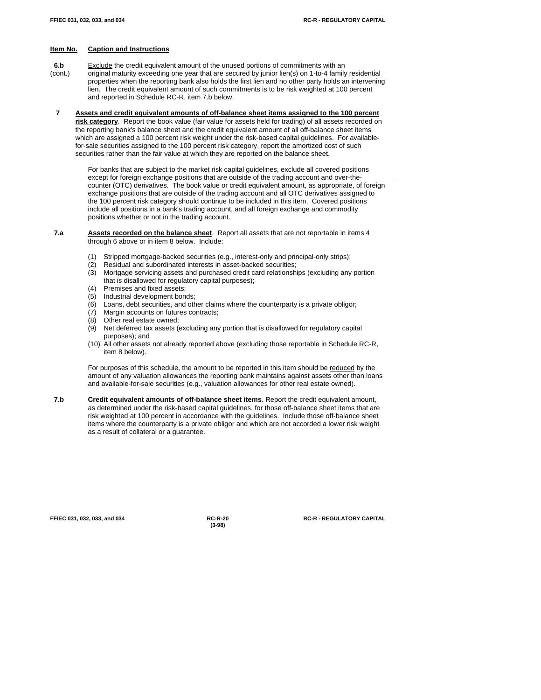- **6.b** Exclude the credit equivalent amount of the unused portions of commitments with an (cont.) original maturity exceeding one year that are secured by junior lien(s) on 1-to-4 family residential properties when the reporting bank also holds the first lien and no other party holds an intervening lien. The credit equivalent amount of such commitments is to be risk weighted at 100 percent and reported in Schedule RC-R, item 7.b below.
- **7 Assets and credit equivalent amounts of off-balance sheet items assigned to the 100 percent risk category**. Report the book value (fair value for assets held for trading) of all assets recorded on the reporting bank's balance sheet and the credit equivalent amount of all off-balance sheet items which are assigned a 100 percent risk weight under the risk-based capital guidelines. For availablefor-sale securities assigned to the 100 percent risk category, report the amortized cost of such securities rather than the fair value at which they are reported on the balance sheet.

For banks that are subject to the market risk capital guidelines, exclude all covered positions except for foreign exchange positions that are outside of the trading account and over-thecounter (OTC) derivatives. The book value or credit equivalent amount, as appropriate, of foreign exchange positions that are outside of the trading account and all OTC derivatives assigned to the 100 percent risk category should continue to be included in this item. Covered positions include all positions in a bank's trading account, and all foreign exchange and commodity positions whether or not in the trading account.

- **7.a Assets recorded on the balance sheet**. Report all assets that are not reportable in items 4 through 6 above or in item 8 below. Include:
	- (1) Stripped mortgage-backed securities (e.g., interest-only and principal-only strips);
	- (2) Residual and subordinated interests in asset-backed securities;
	- (3) Mortgage servicing assets and purchased credit card relationships (excluding any portion that is disallowed for regulatory capital purposes);
	- (4) Premises and fixed assets;
	- (5) Industrial development bonds;
	- (6) Loans, debt securities, and other claims where the counterparty is a private obligor;
	- (7) Margin accounts on futures contracts;
	- (8) Other real estate owned;
	- (9) Net deferred tax assets (excluding any portion that is disallowed for regulatory capital purposes); and
	- (10) All other assets not already reported above (excluding those reportable in Schedule RC-R, item 8 below).

For purposes of this schedule, the amount to be reported in this item should be reduced by the amount of any valuation allowances the reporting bank maintains against assets other than loans and available-for-sale securities (e.g., valuation allowances for other real estate owned).

 **7.b Credit equivalent amounts of off-balance sheet items**. Report the credit equivalent amount, as determined under the risk-based capital guidelines, for those off-balance sheet items that are risk weighted at 100 percent in accordance with the guidelines. Include those off-balance sheet items where the counterparty is a private obligor and which are not accorded a lower risk weight as a result of collateral or a guarantee.

**(3-98)**

**FFIEC 031, 032, 033, and 034 RC-R-20 RC-R - REGULATORY CAPITAL**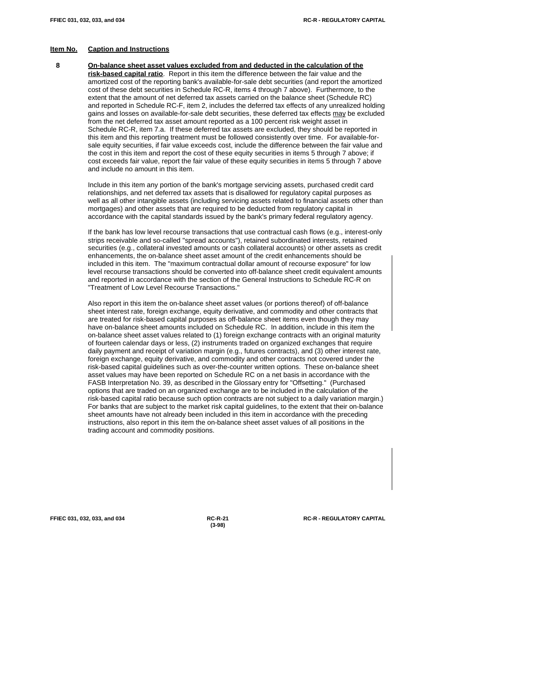**8 On-balance sheet asset values excluded from and deducted in the calculation of the risk-based capital ratio**. Report in this item the difference between the fair value and the amortized cost of the reporting bank's available-for-sale debt securities (and report the amortized cost of these debt securities in Schedule RC-R, items 4 through 7 above). Furthermore, to the extent that the amount of net deferred tax assets carried on the balance sheet (Schedule RC) and reported in Schedule RC-F, item 2, includes the deferred tax effects of any unrealized holding gains and losses on available-for-sale debt securities, these deferred tax effects may be excluded from the net deferred tax asset amount reported as a 100 percent risk weight asset in Schedule RC-R, item 7.a. If these deferred tax assets are excluded, they should be reported in this item and this reporting treatment must be followed consistently over time. For available-forsale equity securities, if fair value exceeds cost, include the difference between the fair value and the cost in this item and report the cost of these equity securities in items 5 through 7 above; if cost exceeds fair value, report the fair value of these equity securities in items 5 through 7 above and include no amount in this item.

Include in this item any portion of the bank's mortgage servicing assets, purchased credit card relationships, and net deferred tax assets that is disallowed for regulatory capital purposes as well as all other intangible assets (including servicing assets related to financial assets other than mortgages) and other assets that are required to be deducted from regulatory capital in accordance with the capital standards issued by the bank's primary federal regulatory agency.

If the bank has low level recourse transactions that use contractual cash flows (e.g., interest-only strips receivable and so-called "spread accounts"), retained subordinated interests, retained securities (e.g., collateral invested amounts or cash collateral accounts) or other assets as credit enhancements, the on-balance sheet asset amount of the credit enhancements should be included in this item. The "maximum contractual dollar amount of recourse exposure" for low level recourse transactions should be converted into off-balance sheet credit equivalent amounts and reported in accordance with the section of the General Instructions to Schedule RC-R on "Treatment of Low Level Recourse Transactions."

Also report in this item the on-balance sheet asset values (or portions thereof) of off-balance sheet interest rate, foreign exchange, equity derivative, and commodity and other contracts that are treated for risk-based capital purposes as off-balance sheet items even though they may have on-balance sheet amounts included on Schedule RC. In addition, include in this item the on-balance sheet asset values related to (1) foreign exchange contracts with an original maturity of fourteen calendar days or less, (2) instruments traded on organized exchanges that require daily payment and receipt of variation margin (e.g., futures contracts), and (3) other interest rate, foreign exchange, equity derivative, and commodity and other contracts not covered under the risk-based capital guidelines such as over-the-counter written options. These on-balance sheet asset values may have been reported on Schedule RC on a net basis in accordance with the FASB Interpretation No. 39, as described in the Glossary entry for "Offsetting." (Purchased options that are traded on an organized exchange are to be included in the calculation of the risk-based capital ratio because such option contracts are not subject to a daily variation margin.) For banks that are subject to the market risk capital guidelines, to the extent that their on-balance sheet amounts have not already been included in this item in accordance with the preceding instructions, also report in this item the on-balance sheet asset values of all positions in the trading account and commodity positions.

**(3-98)**

**FFIEC 031, 032, 033, and 034 RC-R-21 RC-R - REGULATORY CAPITAL**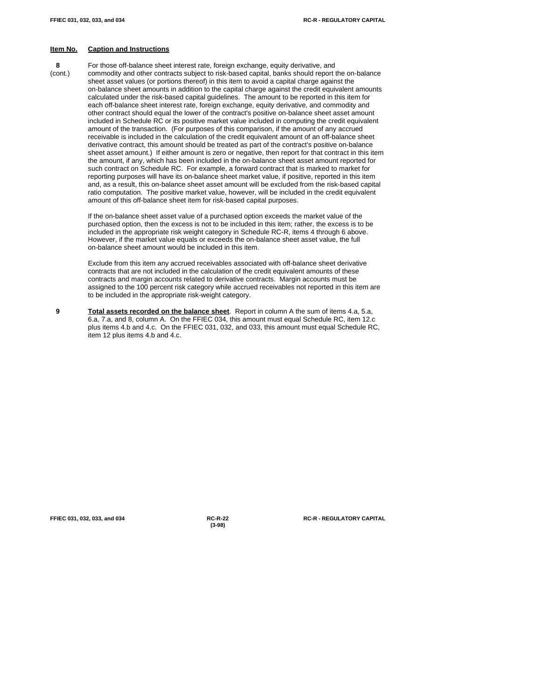**8** For those off-balance sheet interest rate, foreign exchange, equity derivative, and (cont.) commodity and other contracts subject to risk-based capital, banks should report the on-balance sheet asset values (or portions thereof) in this item to avoid a capital charge against the on-balance sheet amounts in addition to the capital charge against the credit equivalent amounts calculated under the risk-based capital guidelines. The amount to be reported in this item for each off-balance sheet interest rate, foreign exchange, equity derivative, and commodity and other contract should equal the lower of the contract's positive on-balance sheet asset amount included in Schedule RC or its positive market value included in computing the credit equivalent amount of the transaction. (For purposes of this comparison, if the amount of any accrued receivable is included in the calculation of the credit equivalent amount of an off-balance sheet derivative contract, this amount should be treated as part of the contract's positive on-balance sheet asset amount.) If either amount is zero or negative, then report for that contract in this item the amount, if any, which has been included in the on-balance sheet asset amount reported for such contract on Schedule RC. For example, a forward contract that is marked to market for reporting purposes will have its on-balance sheet market value, if positive, reported in this item and, as a result, this on-balance sheet asset amount will be excluded from the risk-based capital ratio computation. The positive market value, however, will be included in the credit equivalent amount of this off-balance sheet item for risk-based capital purposes.

> If the on-balance sheet asset value of a purchased option exceeds the market value of the purchased option, then the excess is not to be included in this item; rather, the excess is to be included in the appropriate risk weight category in Schedule RC-R, items 4 through 6 above. However, if the market value equals or exceeds the on-balance sheet asset value, the full on-balance sheet amount would be included in this item.

Exclude from this item any accrued receivables associated with off-balance sheet derivative contracts that are not included in the calculation of the credit equivalent amounts of these contracts and margin accounts related to derivative contracts. Margin accounts must be assigned to the 100 percent risk category while accrued receivables not reported in this item are to be included in the appropriate risk-weight category.

 **9 Total assets recorded on the balance sheet**. Report in column A the sum of items 4.a, 5.a, 6.a, 7.a, and 8, column A. On the FFIEC 034, this amount must equal Schedule RC, item 12.c plus items 4.b and 4.c. On the FFIEC 031, 032, and 033, this amount must equal Schedule RC, item 12 plus items 4.b and 4.c.

**(3-98)**

**FFIEC 031, 032, 033, and 034 RC-R-22 RC-R - REGULATORY CAPITAL**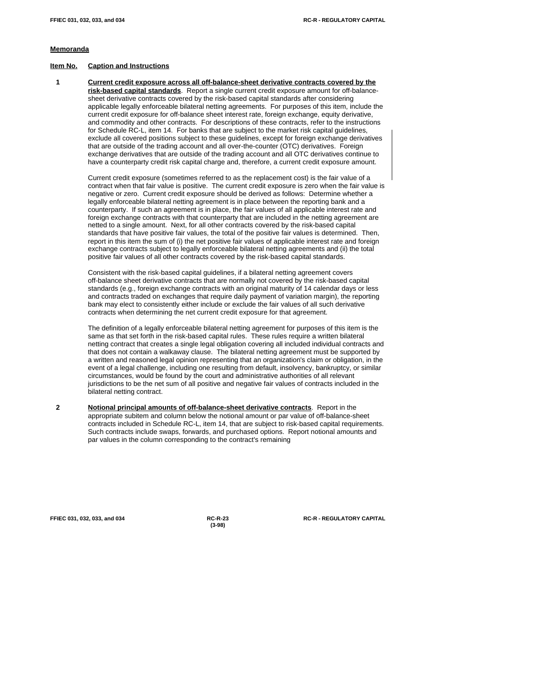#### **Memoranda**

#### **Item No. Caption and Instructions**

 **1 Current credit exposure across all off-balance-sheet derivative contracts covered by the risk-based capital standards**. Report a single current credit exposure amount for off-balancesheet derivative contracts covered by the risk-based capital standards after considering applicable legally enforceable bilateral netting agreements. For purposes of this item, include the current credit exposure for off-balance sheet interest rate, foreign exchange, equity derivative, and commodity and other contracts. For descriptions of these contracts, refer to the instructions for Schedule RC-L, item 14. For banks that are subject to the market risk capital guidelines, exclude all covered positions subject to these guidelines, except for foreign exchange derivatives that are outside of the trading account and all over-the-counter (OTC) derivatives. Foreign exchange derivatives that are outside of the trading account and all OTC derivatives continue to have a counterparty credit risk capital charge and, therefore, a current credit exposure amount.

Current credit exposure (sometimes referred to as the replacement cost) is the fair value of a contract when that fair value is positive. The current credit exposure is zero when the fair value is negative or zero. Current credit exposure should be derived as follows: Determine whether a legally enforceable bilateral netting agreement is in place between the reporting bank and a counterparty. If such an agreement is in place, the fair values of all applicable interest rate and foreign exchange contracts with that counterparty that are included in the netting agreement are netted to a single amount. Next, for all other contracts covered by the risk-based capital standards that have positive fair values, the total of the positive fair values is determined. Then, report in this item the sum of (i) the net positive fair values of applicable interest rate and foreign exchange contracts subject to legally enforceable bilateral netting agreements and (ii) the total positive fair values of all other contracts covered by the risk-based capital standards.

Consistent with the risk-based capital guidelines, if a bilateral netting agreement covers off-balance sheet derivative contracts that are normally not covered by the risk-based capital standards (e.g., foreign exchange contracts with an original maturity of 14 calendar days or less and contracts traded on exchanges that require daily payment of variation margin), the reporting bank may elect to consistently either include or exclude the fair values of all such derivative contracts when determining the net current credit exposure for that agreement.

The definition of a legally enforceable bilateral netting agreement for purposes of this item is the same as that set forth in the risk-based capital rules. These rules require a written bilateral netting contract that creates a single legal obligation covering all included individual contracts and that does not contain a walkaway clause. The bilateral netting agreement must be supported by a written and reasoned legal opinion representing that an organization's claim or obligation, in the event of a legal challenge, including one resulting from default, insolvency, bankruptcy, or similar circumstances, would be found by the court and administrative authorities of all relevant jurisdictions to be the net sum of all positive and negative fair values of contracts included in the bilateral netting contract.

 **2 Notional principal amounts of off-balance-sheet derivative contracts**. Report in the appropriate subitem and column below the notional amount or par value of off-balance-sheet contracts included in Schedule RC-L, item 14, that are subject to risk-based capital requirements. Such contracts include swaps, forwards, and purchased options. Report notional amounts and par values in the column corresponding to the contract's remaining

**(3-98)**

**FFIEC 031, 032, 033, and 034 RC-R-23 RC-R - REGULATORY CAPITAL**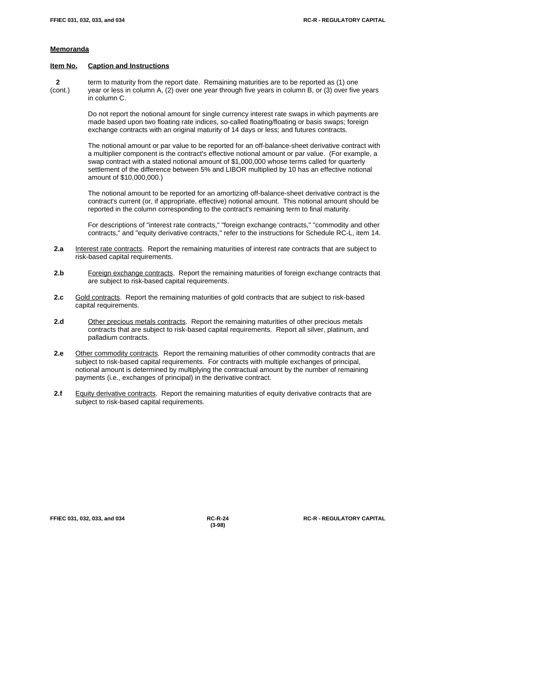#### **Memoranda**

#### **Item No. Caption and Instructions**

 **2** term to maturity from the report date. Remaining maturities are to be reported as (1) one (cont.) year or less in column A, (2) over one year through five years in column B, or (3) over five years in column C.

> Do not report the notional amount for single currency interest rate swaps in which payments are made based upon two floating rate indices, so-called floating/floating or basis swaps; foreign exchange contracts with an original maturity of 14 days or less; and futures contracts.

> The notional amount or par value to be reported for an off-balance-sheet derivative contract with a multiplier component is the contract's effective notional amount or par value. (For example, a swap contract with a stated notional amount of \$1,000,000 whose terms called for quarterly settlement of the difference between 5% and LIBOR multiplied by 10 has an effective notional amount of \$10,000,000.)

> The notional amount to be reported for an amortizing off-balance-sheet derivative contract is the contract's current (or, if appropriate, effective) notional amount. This notional amount should be reported in the column corresponding to the contract's remaining term to final maturity.

> For descriptions of "interest rate contracts," "foreign exchange contracts," "commodity and other contracts," and "equity derivative contracts," refer to the instructions for Schedule RC-L, item 14.

- **2.a** Interest rate contracts. Report the remaining maturities of interest rate contracts that are subject to risk-based capital requirements.
- 2.b Foreign exchange contracts. Report the remaining maturities of foreign exchange contracts that are subject to risk-based capital requirements.
- 2.c Gold contracts. Report the remaining maturities of gold contracts that are subject to risk-based capital requirements.
- **2.d** Other precious metals contracts. Report the remaining maturities of other precious metals contracts that are subject to risk-based capital requirements. Report all silver, platinum, and palladium contracts.
- 2.e **Other commodity contracts**. Report the remaining maturities of other commodity contracts that are subject to risk-based capital requirements. For contracts with multiple exchanges of principal, notional amount is determined by multiplying the contractual amount by the number of remaining payments (i.e., exchanges of principal) in the derivative contract.
- 2.f Equity derivative contracts. Report the remaining maturities of equity derivative contracts that are subject to risk-based capital requirements.

**(3-98)**

**FFIEC 031, 032, 033, and 034 RC-R-24 RC-R - REGULATORY CAPITAL**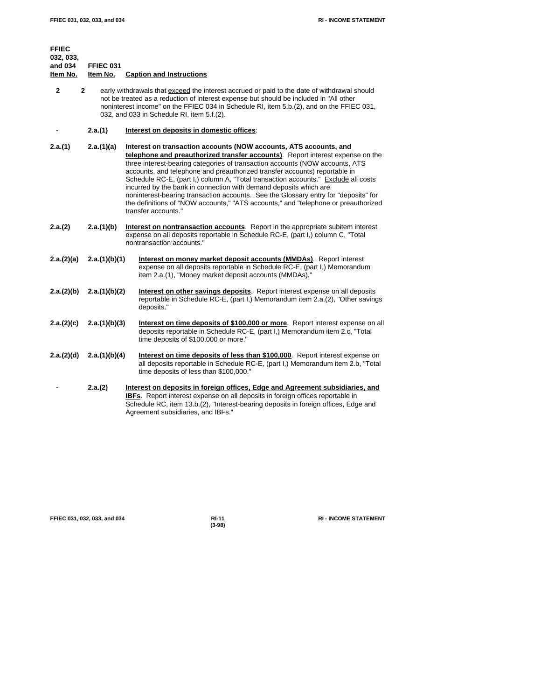| <b>FFIEC</b><br>032, 033,<br>and 034<br>Item No. | FFIEC 031<br>Item No. | <b>Caption and Instructions</b>                                                                                                                                                                                                                                                                                                                                                                                                                                                                                                                                                                                                                                                  |
|--------------------------------------------------|-----------------------|----------------------------------------------------------------------------------------------------------------------------------------------------------------------------------------------------------------------------------------------------------------------------------------------------------------------------------------------------------------------------------------------------------------------------------------------------------------------------------------------------------------------------------------------------------------------------------------------------------------------------------------------------------------------------------|
| $\mathbf{2}$                                     | $\mathbf{2}$          | early withdrawals that exceed the interest accrued or paid to the date of withdrawal should<br>not be treated as a reduction of interest expense but should be included in "All other<br>noninterest income" on the FFIEC 034 in Schedule RI, item 5.b.(2), and on the FFIEC 031,<br>032, and 033 in Schedule RI, item 5.f.(2).                                                                                                                                                                                                                                                                                                                                                  |
|                                                  | 2.a.(1)               | Interest on deposits in domestic offices:                                                                                                                                                                                                                                                                                                                                                                                                                                                                                                                                                                                                                                        |
| 2.a.(1)                                          | 2.a.(1)(a)            | Interest on transaction accounts (NOW accounts, ATS accounts, and<br>telephone and preauthorized transfer accounts). Report interest expense on the<br>three interest-bearing categories of transaction accounts (NOW accounts, ATS<br>accounts, and telephone and preauthorized transfer accounts) reportable in<br>Schedule RC-E, (part I,) column A, "Total transaction accounts." Exclude all costs<br>incurred by the bank in connection with demand deposits which are<br>noninterest-bearing transaction accounts. See the Glossary entry for "deposits" for<br>the definitions of "NOW accounts," "ATS accounts," and "telephone or preauthorized<br>transfer accounts." |
| 2.a.(2)                                          | 2.a.(1)(b)            | Interest on nontransaction accounts. Report in the appropriate subitem interest<br>expense on all deposits reportable in Schedule RC-E, (part I,) column C, "Total<br>nontransaction accounts."                                                                                                                                                                                                                                                                                                                                                                                                                                                                                  |
| 2.a.(2)(a)                                       | 2.a.(1)(b)(1)         | Interest on money market deposit accounts (MMDAs). Report interest<br>expense on all deposits reportable in Schedule RC-E, (part I,) Memorandum<br>item 2.a.(1), "Money market deposit accounts (MMDAs)."                                                                                                                                                                                                                                                                                                                                                                                                                                                                        |
| 2.a.(2)(b)                                       | 2.a.(1)(b)(2)         | <b>Interest on other savings deposits.</b> Report interest expense on all deposits<br>reportable in Schedule RC-E, (part I,) Memorandum item 2.a.(2), "Other savings<br>deposits."                                                                                                                                                                                                                                                                                                                                                                                                                                                                                               |
| 2.a.(2)(c)                                       | 2.a.(1)(b)(3)         | Interest on time deposits of \$100,000 or more. Report interest expense on all<br>deposits reportable in Schedule RC-E, (part I,) Memorandum item 2.c, "Total<br>time deposits of \$100,000 or more."                                                                                                                                                                                                                                                                                                                                                                                                                                                                            |
| 2.a.(2)(d)                                       | 2.a.(1)(b)(4)         | Interest on time deposits of less than \$100,000. Report interest expense on<br>all deposits reportable in Schedule RC-E, (part I,) Memorandum item 2.b, "Total<br>time deposits of less than \$100,000."                                                                                                                                                                                                                                                                                                                                                                                                                                                                        |
|                                                  | 2.a.(2)               | Interest on deposits in foreign offices, Edge and Agreement subsidiaries, and<br>IBFs. Report interest expense on all deposits in foreign offices reportable in<br>Schedule RC, item 13.b.(2), "Interest-bearing deposits in foreign offices, Edge and<br>Agreement subsidiaries, and IBFs."                                                                                                                                                                                                                                                                                                                                                                                     |

**FFIEC 031, 032, 033, and 034 RI-11 RI - INCOME STATEMENT**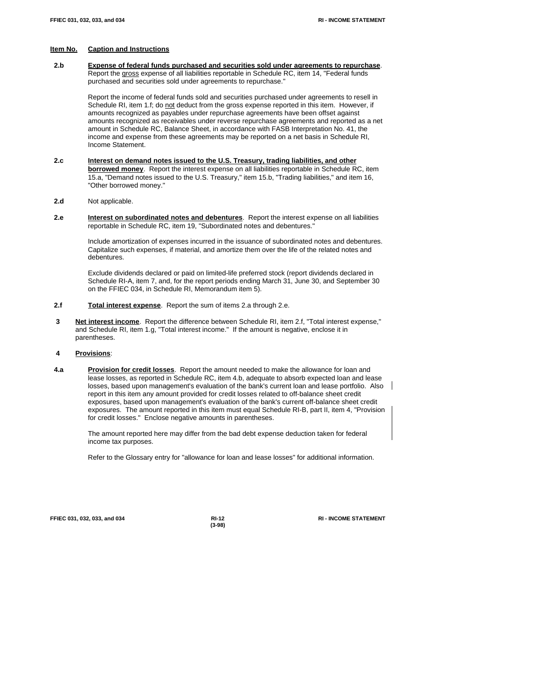**2.b Expense of federal funds purchased and securities sold under agreements to repurchase**. Report the gross expense of all liabilities reportable in Schedule RC, item 14, "Federal funds purchased and securities sold under agreements to repurchase."

> Report the income of federal funds sold and securities purchased under agreements to resell in Schedule RI, item 1.f; do not deduct from the gross expense reported in this item. However, if amounts recognized as payables under repurchase agreements have been offset against amounts recognized as receivables under reverse repurchase agreements and reported as a net amount in Schedule RC, Balance Sheet, in accordance with FASB Interpretation No. 41, the income and expense from these agreements may be reported on a net basis in Schedule RI, Income Statement.

- **2.c Interest on demand notes issued to the U.S. Treasury, trading liabilities, and other borrowed money**. Report the interest expense on all liabilities reportable in Schedule RC, item 15.a, "Demand notes issued to the U.S. Treasury," item 15.b, "Trading liabilities," and item 16, "Other borrowed money."
- **2.d** Not applicable.
- **2.e Interest on subordinated notes and debentures**. Report the interest expense on all liabilities reportable in Schedule RC, item 19, "Subordinated notes and debentures."

Include amortization of expenses incurred in the issuance of subordinated notes and debentures. Capitalize such expenses, if material, and amortize them over the life of the related notes and debentures.

Exclude dividends declared or paid on limited-life preferred stock (report dividends declared in Schedule RI-A, item 7, and, for the report periods ending March 31, June 30, and September 30 on the FFIEC 034, in Schedule RI, Memorandum item 5).

- **2.f Total interest expense**. Report the sum of items 2.a through 2.e.
- **3 Net interest income**. Report the difference between Schedule RI, item 2.f, "Total interest expense," and Schedule RI, item 1.g, "Total interest income." If the amount is negative, enclose it in parentheses.

#### **4 Provisions**:

 **4.a Provision for credit losses**. Report the amount needed to make the allowance for loan and lease losses, as reported in Schedule RC, item 4.b, adequate to absorb expected loan and lease losses, based upon management's evaluation of the bank's current loan and lease portfolio. Also report in this item any amount provided for credit losses related to off-balance sheet credit exposures, based upon management's evaluation of the bank's current off-balance sheet credit exposures. The amount reported in this item must equal Schedule RI-B, part II, item 4, "Provision for credit losses." Enclose negative amounts in parentheses.

The amount reported here may differ from the bad debt expense deduction taken for federal income tax purposes.

Refer to the Glossary entry for "allowance for loan and lease losses" for additional information.

**FFIEC 031, 032, 033, and 034 RI-12 RI - INCOME STATEMENT**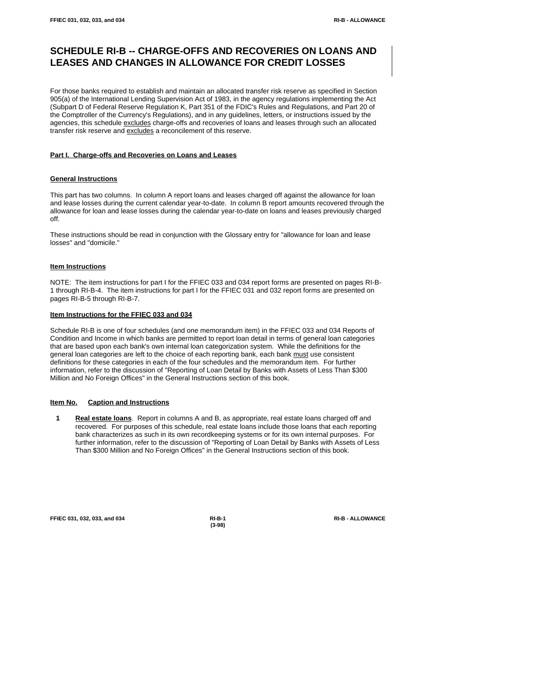# **SCHEDULE RI-B -- CHARGE-OFFS AND RECOVERIES ON LOANS AND LEASES AND CHANGES IN ALLOWANCE FOR CREDIT LOSSES**

For those banks required to establish and maintain an allocated transfer risk reserve as specified in Section 905(a) of the International Lending Supervision Act of 1983, in the agency regulations implementing the Act (Subpart D of Federal Reserve Regulation K, Part 351 of the FDIC's Rules and Regulations, and Part 20 of the Comptroller of the Currency's Regulations), and in any guidelines, letters, or instructions issued by the agencies, this schedule excludes charge-offs and recoveries of loans and leases through such an allocated transfer risk reserve and excludes a reconcilement of this reserve.

# **Part I. Charge-offs and Recoveries on Loans and Leases**

## **General Instructions**

This part has two columns. In column A report loans and leases charged off against the allowance for loan and lease losses during the current calendar year-to-date. In column B report amounts recovered through the allowance for loan and lease losses during the calendar year-to-date on loans and leases previously charged off.

These instructions should be read in conjunction with the Glossary entry for "allowance for loan and lease losses" and "domicile."

## **Item Instructions**

NOTE: The item instructions for part I for the FFIEC 033 and 034 report forms are presented on pages RI-B-1 through RI-B-4. The item instructions for part I for the FFIEC 031 and 032 report forms are presented on pages RI-B-5 through RI-B-7.

#### **Item Instructions for the FFIEC 033 and 034**

Schedule RI-B is one of four schedules (and one memorandum item) in the FFIEC 033 and 034 Reports of Condition and Income in which banks are permitted to report loan detail in terms of general loan categories that are based upon each bank's own internal loan categorization system. While the definitions for the general loan categories are left to the choice of each reporting bank, each bank must use consistent definitions for these categories in each of the four schedules and the memorandum item. For further information, refer to the discussion of "Reporting of Loan Detail by Banks with Assets of Less Than \$300 Million and No Foreign Offices" in the General Instructions section of this book.

#### **Item No. Caption and Instructions**

 **1 Real estate loans**. Report in columns A and B, as appropriate, real estate loans charged off and recovered. For purposes of this schedule, real estate loans include those loans that each reporting bank characterizes as such in its own recordkeeping systems or for its own internal purposes. For further information, refer to the discussion of "Reporting of Loan Detail by Banks with Assets of Less Than \$300 Million and No Foreign Offices" in the General Instructions section of this book.

**FFIEC 031, 032, 033, and 034 RI-B-1 RI-B - ALLOWANCE**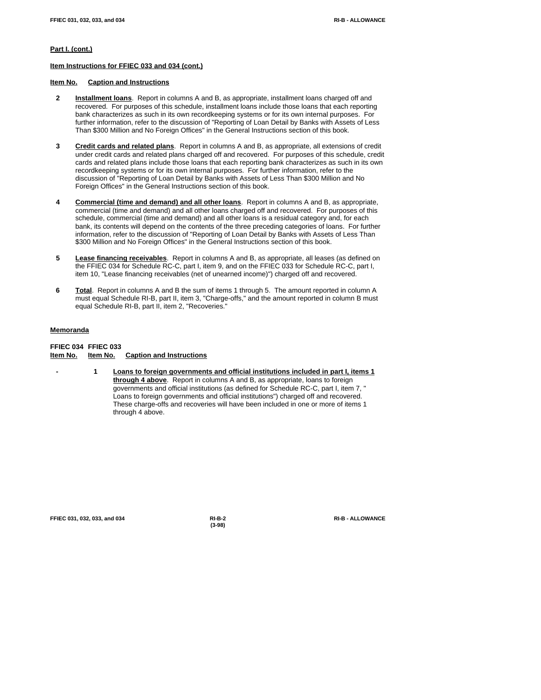# **Part I. (cont.)**

#### **Item Instructions for FFIEC 033 and 034 (cont.)**

# **Item No. Caption and Instructions**

- **2 Installment loans**. Report in columns A and B, as appropriate, installment loans charged off and recovered. For purposes of this schedule, installment loans include those loans that each reporting bank characterizes as such in its own recordkeeping systems or for its own internal purposes. For further information, refer to the discussion of "Reporting of Loan Detail by Banks with Assets of Less Than \$300 Million and No Foreign Offices" in the General Instructions section of this book.
- **3 Credit cards and related plans**. Report in columns A and B, as appropriate, all extensions of credit under credit cards and related plans charged off and recovered. For purposes of this schedule, credit cards and related plans include those loans that each reporting bank characterizes as such in its own recordkeeping systems or for its own internal purposes. For further information, refer to the discussion of "Reporting of Loan Detail by Banks with Assets of Less Than \$300 Million and No Foreign Offices" in the General Instructions section of this book.
- **4 Commercial (time and demand) and all other loans**. Report in columns A and B, as appropriate, commercial (time and demand) and all other loans charged off and recovered. For purposes of this schedule, commercial (time and demand) and all other loans is a residual category and, for each bank, its contents will depend on the contents of the three preceding categories of loans. For further information, refer to the discussion of "Reporting of Loan Detail by Banks with Assets of Less Than \$300 Million and No Foreign Offices" in the General Instructions section of this book.
- **5 Lease financing receivables**. Report in columns A and B, as appropriate, all leases (as defined on the FFIEC 034 for Schedule RC-C, part I, item 9, and on the FFIEC 033 for Schedule RC-C, part I, item 10, "Lease financing receivables (net of unearned income)") charged off and recovered.
- **6 Total**. Report in columns A and B the sum of items 1 through 5. The amount reported in column A must equal Schedule RI-B, part II, item 3, "Charge-offs," and the amount reported in column B must equal Schedule RI-B, part II, item 2, "Recoveries."

## **Memoranda**

# **FFIEC 034 FFIEC 033 Item No. Item No. Caption and Instructions**

 **- 1 Loans to foreign governments and official institutions included in part I, items 1 through 4 above**. Report in columns A and B, as appropriate, loans to foreign governments and official institutions (as defined for Schedule RC-C, part I, item 7. Loans to foreign governments and official institutions") charged off and recovered. These charge-offs and recoveries will have been included in one or more of items 1 through 4 above.

**FFIEC 031, 032, 033, and 034 RI-B-2 RI-B - ALLOWANCE**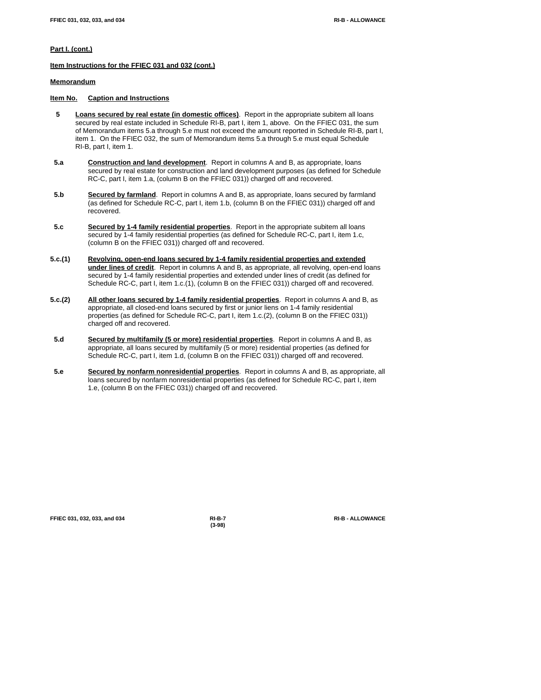# **Part I. (cont.)**

**Item Instructions for the FFIEC 031 and 032 (cont.)**

# **Memorandum**

### **Item No. Caption and Instructions**

- **5 Loans secured by real estate (in domestic offices)**. Report in the appropriate subitem all loans secured by real estate included in Schedule RI-B, part I, item 1, above. On the FFIEC 031, the sum of Memorandum items 5.a through 5.e must not exceed the amount reported in Schedule RI-B, part I, item 1. On the FFIEC 032, the sum of Memorandum items 5.a through 5.e must equal Schedule RI-B, part I, item 1.
- **5.a Construction and land development**. Report in columns A and B, as appropriate, loans secured by real estate for construction and land development purposes (as defined for Schedule RC-C, part I, item 1.a, (column B on the FFIEC 031)) charged off and recovered.
- **5.b Secured by farmland**. Report in columns A and B, as appropriate, loans secured by farmland (as defined for Schedule RC-C, part I, item 1.b, (column B on the FFIEC 031)) charged off and recovered.
- **5.c Secured by 1-4 family residential properties**. Report in the appropriate subitem all loans secured by 1-4 family residential properties (as defined for Schedule RC-C, part I, item 1.c, (column B on the FFIEC 031)) charged off and recovered.
- **5.c.(1) Revolving, open-end loans secured by 1-4 family residential properties and extended under lines of credit**. Report in columns A and B, as appropriate, all revolving, open-end loans secured by 1-4 family residential properties and extended under lines of credit (as defined for Schedule RC-C, part I, item 1.c.(1), (column B on the FFIEC 031)) charged off and recovered.
- **5.c.(2) All other loans secured by 1-4 family residential properties**. Report in columns A and B, as appropriate, all closed-end loans secured by first or junior liens on 1-4 family residential properties (as defined for Schedule RC-C, part I, item 1.c.(2), (column B on the FFIEC 031)) charged off and recovered.
- **5.d Secured by multifamily (5 or more) residential properties**. Report in columns A and B, as appropriate, all loans secured by multifamily (5 or more) residential properties (as defined for Schedule RC-C, part I, item 1.d, (column B on the FFIEC 031)) charged off and recovered.
- **5.e Secured by nonfarm nonresidential properties**. Report in columns A and B, as appropriate, all loans secured by nonfarm nonresidential properties (as defined for Schedule RC-C, part I, item 1.e, (column B on the FFIEC 031)) charged off and recovered.

| FFIEC 031, 032, 033, and 034 |  |  |  |
|------------------------------|--|--|--|
|                              |  |  |  |

**(3-98)**

**FFIEC 031, 032, 033, and 034 RI-B-7 RI-B - ALLOWANCE**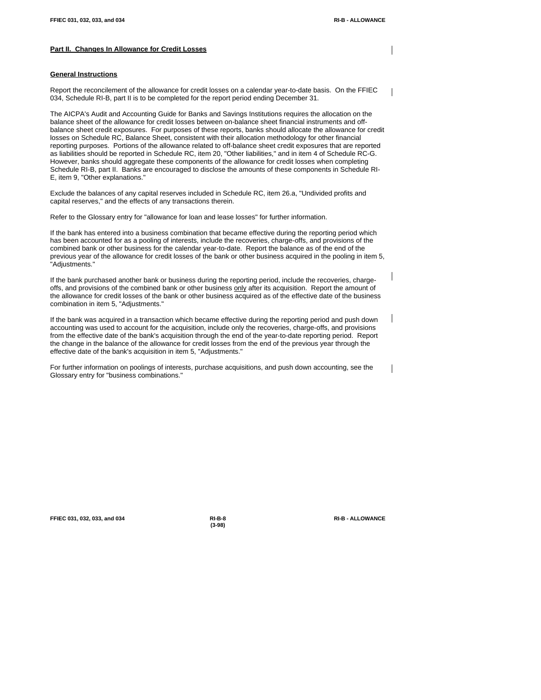## **Part II. Changes In Allowance for Credit Losses**

#### **General Instructions**

Report the reconcilement of the allowance for credit losses on a calendar year-to-date basis. On the FFIEC 034, Schedule RI-B, part II is to be completed for the report period ending December 31.

The AICPA's Audit and Accounting Guide for Banks and Savings Institutions requires the allocation on the balance sheet of the allowance for credit losses between on-balance sheet financial instruments and offbalance sheet credit exposures. For purposes of these reports, banks should allocate the allowance for credit losses on Schedule RC, Balance Sheet, consistent with their allocation methodology for other financial reporting purposes. Portions of the allowance related to off-balance sheet credit exposures that are reported as liabilities should be reported in Schedule RC, item 20, "Other liabilities," and in item 4 of Schedule RC-G. However, banks should aggregate these components of the allowance for credit losses when completing Schedule RI-B, part II. Banks are encouraged to disclose the amounts of these components in Schedule RI-E, item 9, "Other explanations."

Exclude the balances of any capital reserves included in Schedule RC, item 26.a, "Undivided profits and capital reserves," and the effects of any transactions therein.

Refer to the Glossary entry for "allowance for loan and lease losses" for further information.

If the bank has entered into a business combination that became effective during the reporting period which has been accounted for as a pooling of interests, include the recoveries, charge-offs, and provisions of the combined bank or other business for the calendar year-to-date. Report the balance as of the end of the previous year of the allowance for credit losses of the bank or other business acquired in the pooling in item 5, "Adjustments."

If the bank purchased another bank or business during the reporting period, include the recoveries, chargeoffs, and provisions of the combined bank or other business only after its acquisition. Report the amount of the allowance for credit losses of the bank or other business acquired as of the effective date of the business combination in item 5, "Adjustments."

If the bank was acquired in a transaction which became effective during the reporting period and push down accounting was used to account for the acquisition, include only the recoveries, charge-offs, and provisions from the effective date of the bank's acquisition through the end of the year-to-date reporting period. Report the change in the balance of the allowance for credit losses from the end of the previous year through the effective date of the bank's acquisition in item 5, "Adjustments."

For further information on poolings of interests, purchase acquisitions, and push down accounting, see the Glossary entry for "business combinations."

**FFIEC 031, 032, 033, and 034 RI-B-8 RI-B - ALLOWANCE**

**(3-98)**

 $\mathsf{l}$ 

 $\blacksquare$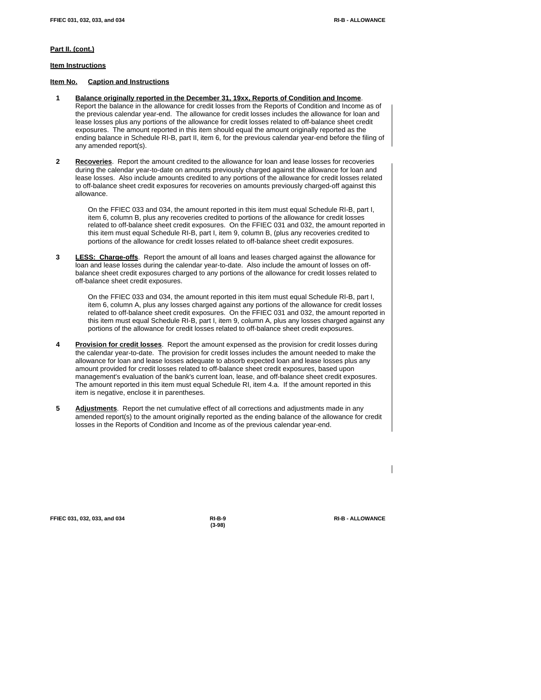## **Part II. (cont.)**

**Item Instructions**

#### **Item No. Caption and Instructions**

- **1 Balance originally reported in the December 31, 19xx, Reports of Condition and Income**. Report the balance in the allowance for credit losses from the Reports of Condition and Income as of the previous calendar year-end. The allowance for credit losses includes the allowance for loan and lease losses plus any portions of the allowance for credit losses related to off-balance sheet credit exposures. The amount reported in this item should equal the amount originally reported as the ending balance in Schedule RI-B, part II, item 6, for the previous calendar year-end before the filing of any amended report(s).
- **2 Recoveries**. Report the amount credited to the allowance for loan and lease losses for recoveries during the calendar year-to-date on amounts previously charged against the allowance for loan and lease losses. Also include amounts credited to any portions of the allowance for credit losses related to off-balance sheet credit exposures for recoveries on amounts previously charged-off against this allowance.

On the FFIEC 033 and 034, the amount reported in this item must equal Schedule RI-B, part I, item 6, column B, plus any recoveries credited to portions of the allowance for credit losses related to off-balance sheet credit exposures. On the FFIEC 031 and 032, the amount reported in this item must equal Schedule RI-B, part I, item 9, column B, (plus any recoveries credited to portions of the allowance for credit losses related to off-balance sheet credit exposures.

 **3 LESS: Charge-offs**. Report the amount of all loans and leases charged against the allowance for loan and lease losses during the calendar year-to-date. Also include the amount of losses on offbalance sheet credit exposures charged to any portions of the allowance for credit losses related to off-balance sheet credit exposures.

On the FFIEC 033 and 034, the amount reported in this item must equal Schedule RI-B, part I, item 6, column A, plus any losses charged against any portions of the allowance for credit losses related to off-balance sheet credit exposures. On the FFIEC 031 and 032, the amount reported in this item must equal Schedule RI-B, part I, item 9, column A, plus any losses charged against any portions of the allowance for credit losses related to off-balance sheet credit exposures.

- **4 Provision for credit losses**. Report the amount expensed as the provision for credit losses during the calendar year-to-date. The provision for credit losses includes the amount needed to make the allowance for loan and lease losses adequate to absorb expected loan and lease losses plus any amount provided for credit losses related to off-balance sheet credit exposures, based upon management's evaluation of the bank's current loan, lease, and off-balance sheet credit exposures. The amount reported in this item must equal Schedule RI, item 4.a. If the amount reported in this item is negative, enclose it in parentheses.
- **5 Adjustments**. Report the net cumulative effect of all corrections and adjustments made in any amended report(s) to the amount originally reported as the ending balance of the allowance for credit losses in the Reports of Condition and Income as of the previous calendar year-end.

**FFIEC 031, 032, 033, and 034 RI-B-9 RI-B - ALLOWANCE**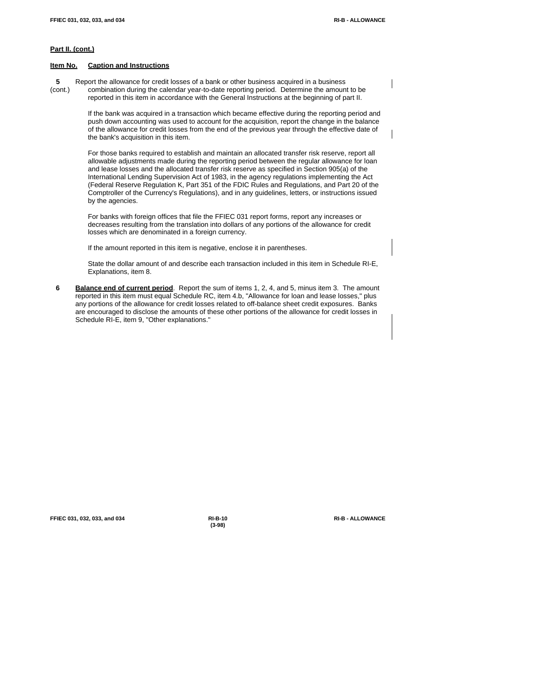# **Part II. (cont.)**

#### **Item No. Caption and Instructions**

 **5** Report the allowance for credit losses of a bank or other business acquired in a business (cont.) combination during the calendar year-to-date reporting period. Determine the amount to be reported in this item in accordance with the General Instructions at the beginning of part II.

> If the bank was acquired in a transaction which became effective during the reporting period and push down accounting was used to account for the acquisition, report the change in the balance of the allowance for credit losses from the end of the previous year through the effective date of the bank's acquisition in this item.

> For those banks required to establish and maintain an allocated transfer risk reserve, report all allowable adjustments made during the reporting period between the regular allowance for loan and lease losses and the allocated transfer risk reserve as specified in Section 905(a) of the International Lending Supervision Act of 1983, in the agency regulations implementing the Act (Federal Reserve Regulation K, Part 351 of the FDIC Rules and Regulations, and Part 20 of the Comptroller of the Currency's Regulations), and in any guidelines, letters, or instructions issued by the agencies.

For banks with foreign offices that file the FFIEC 031 report forms, report any increases or decreases resulting from the translation into dollars of any portions of the allowance for credit losses which are denominated in a foreign currency.

If the amount reported in this item is negative, enclose it in parentheses.

State the dollar amount of and describe each transaction included in this item in Schedule RI-E, Explanations, item 8.

 **6 Balance end of current period**. Report the sum of items 1, 2, 4, and 5, minus item 3. The amount reported in this item must equal Schedule RC, item 4.b, "Allowance for loan and lease losses," plus any portions of the allowance for credit losses related to off-balance sheet credit exposures. Banks are encouraged to disclose the amounts of these other portions of the allowance for credit losses in Schedule RI-E, item 9, "Other explanations."

**FFIEC 031, 032, 033, and 034 RI-B-10 RI-B - ALLOWANCE**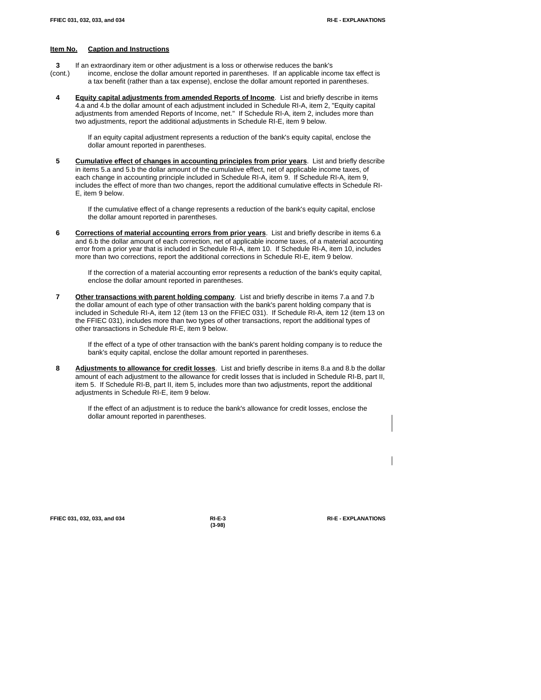- **3** If an extraordinary item or other adjustment is a loss or otherwise reduces the bank's
- (cont.) income, enclose the dollar amount reported in parentheses. If an applicable income tax effect is a tax benefit (rather than a tax expense), enclose the dollar amount reported in parentheses.
- **4 Equity capital adjustments from amended Reports of Income**. List and briefly describe in items 4.a and 4.b the dollar amount of each adjustment included in Schedule RI-A, item 2, "Equity capital adjustments from amended Reports of Income, net." If Schedule RI-A, item 2, includes more than two adjustments, report the additional adjustments in Schedule RI-E, item 9 below.

If an equity capital adjustment represents a reduction of the bank's equity capital, enclose the dollar amount reported in parentheses.

 **5 Cumulative effect of changes in accounting principles from prior years**. List and briefly describe in items 5.a and 5.b the dollar amount of the cumulative effect, net of applicable income taxes, of each change in accounting principle included in Schedule RI-A, item 9. If Schedule RI-A, item 9, includes the effect of more than two changes, report the additional cumulative effects in Schedule RI-E, item 9 below.

If the cumulative effect of a change represents a reduction of the bank's equity capital, enclose the dollar amount reported in parentheses.

 **6 Corrections of material accounting errors from prior years**. List and briefly describe in items 6.a and 6.b the dollar amount of each correction, net of applicable income taxes, of a material accounting error from a prior year that is included in Schedule RI-A, item 10. If Schedule RI-A, item 10, includes more than two corrections, report the additional corrections in Schedule RI-E, item 9 below.

If the correction of a material accounting error represents a reduction of the bank's equity capital, enclose the dollar amount reported in parentheses.

 **7 Other transactions with parent holding company**. List and briefly describe in items 7.a and 7.b the dollar amount of each type of other transaction with the bank's parent holding company that is included in Schedule RI-A, item 12 (item 13 on the FFIEC 031). If Schedule RI-A, item 12 (item 13 on the FFIEC 031), includes more than two types of other transactions, report the additional types of other transactions in Schedule RI-E, item 9 below.

If the effect of a type of other transaction with the bank's parent holding company is to reduce the bank's equity capital, enclose the dollar amount reported in parentheses.

 **8 Adjustments to allowance for credit losses**. List and briefly describe in items 8.a and 8.b the dollar amount of each adjustment to the allowance for credit losses that is included in Schedule RI-B, part II, item 5. If Schedule RI-B, part II, item 5, includes more than two adjustments, report the additional adjustments in Schedule RI-E, item 9 below.

If the effect of an adjustment is to reduce the bank's allowance for credit losses, enclose the dollar amount reported in parentheses.

**FFIEC 031, 032, 033, and 034 RI-E-3 RI-E - EXPLANATIONS**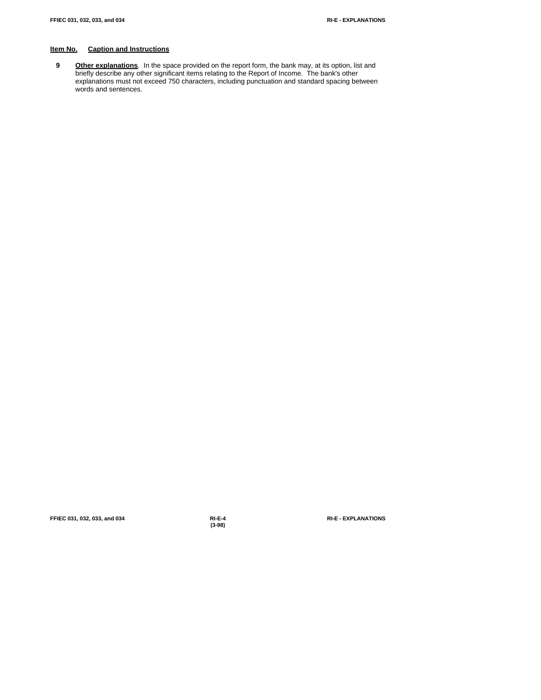**9 Other explanations**. In the space provided on the report form, the bank may, at its option, list and briefly describe any other significant items relating to the Report of Income. The bank's other explanations must not exceed 750 characters, including punctuation and standard spacing between words and sentences.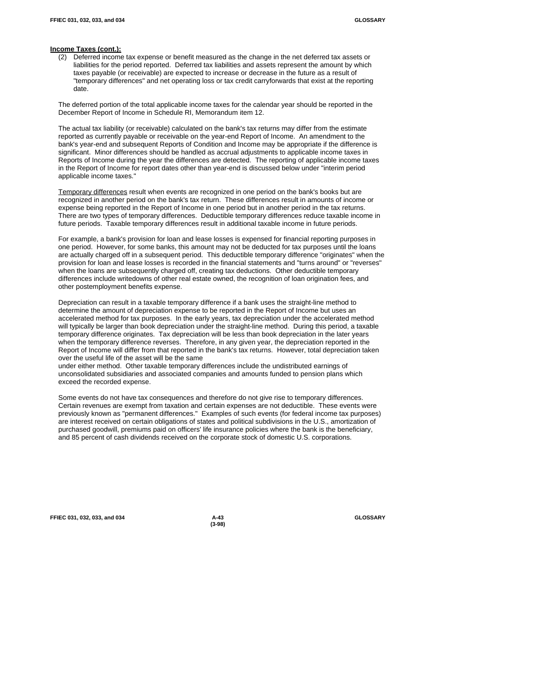## **Income Taxes (cont.):**

(2) Deferred income tax expense or benefit measured as the change in the net deferred tax assets or liabilities for the period reported. Deferred tax liabilities and assets represent the amount by which taxes payable (or receivable) are expected to increase or decrease in the future as a result of "temporary differences" and net operating loss or tax credit carryforwards that exist at the reporting date.

The deferred portion of the total applicable income taxes for the calendar year should be reported in the December Report of Income in Schedule RI, Memorandum item 12.

The actual tax liability (or receivable) calculated on the bank's tax returns may differ from the estimate reported as currently payable or receivable on the year-end Report of Income. An amendment to the bank's year-end and subsequent Reports of Condition and Income may be appropriate if the difference is significant. Minor differences should be handled as accrual adjustments to applicable income taxes in Reports of Income during the year the differences are detected. The reporting of applicable income taxes in the Report of Income for report dates other than year-end is discussed below under "interim period applicable income taxes."

Temporary differences result when events are recognized in one period on the bank's books but are recognized in another period on the bank's tax return. These differences result in amounts of income or expense being reported in the Report of Income in one period but in another period in the tax returns. There are two types of temporary differences. Deductible temporary differences reduce taxable income in future periods. Taxable temporary differences result in additional taxable income in future periods.

For example, a bank's provision for loan and lease losses is expensed for financial reporting purposes in one period. However, for some banks, this amount may not be deducted for tax purposes until the loans are actually charged off in a subsequent period. This deductible temporary difference "originates" when the provision for loan and lease losses is recorded in the financial statements and "turns around" or "reverses" when the loans are subsequently charged off, creating tax deductions. Other deductible temporary differences include writedowns of other real estate owned, the recognition of loan origination fees, and other postemployment benefits expense.

Depreciation can result in a taxable temporary difference if a bank uses the straight-line method to determine the amount of depreciation expense to be reported in the Report of Income but uses an accelerated method for tax purposes. In the early years, tax depreciation under the accelerated method will typically be larger than book depreciation under the straight-line method. During this period, a taxable temporary difference originates. Tax depreciation will be less than book depreciation in the later years when the temporary difference reverses. Therefore, in any given year, the depreciation reported in the Report of Income will differ from that reported in the bank's tax returns. However, total depreciation taken over the useful life of the asset will be the same

under either method. Other taxable temporary differences include the undistributed earnings of unconsolidated subsidiaries and associated companies and amounts funded to pension plans which exceed the recorded expense.

Some events do not have tax consequences and therefore do not give rise to temporary differences. Certain revenues are exempt from taxation and certain expenses are not deductible. These events were previously known as "permanent differences." Examples of such events (for federal income tax purposes) are interest received on certain obligations of states and political subdivisions in the U.S., amortization of purchased goodwill, premiums paid on officers' life insurance policies where the bank is the beneficiary, and 85 percent of cash dividends received on the corporate stock of domestic U.S. corporations.

**FFIEC 031, 032, 033, and 034 A-43 GLOSSARY**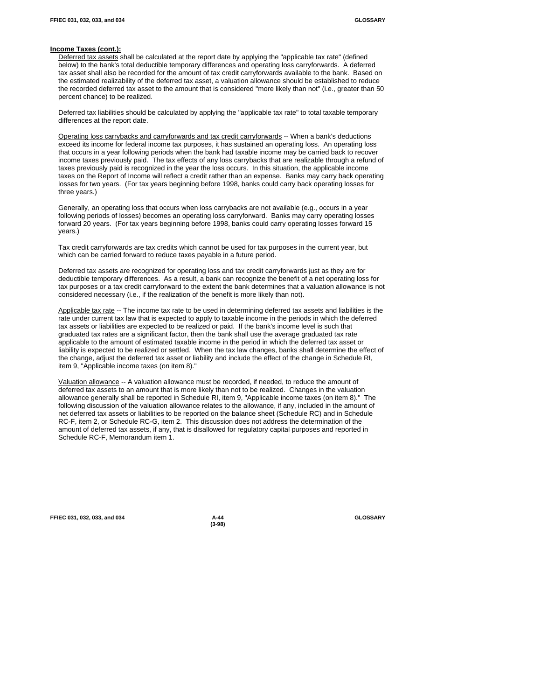#### **Income Taxes (cont.):**

Deferred tax assets shall be calculated at the report date by applying the "applicable tax rate" (defined below) to the bank's total deductible temporary differences and operating loss carryforwards. A deferred tax asset shall also be recorded for the amount of tax credit carryforwards available to the bank. Based on the estimated realizability of the deferred tax asset, a valuation allowance should be established to reduce the recorded deferred tax asset to the amount that is considered "more likely than not" (i.e., greater than 50 percent chance) to be realized.

Deferred tax liabilities should be calculated by applying the "applicable tax rate" to total taxable temporary differences at the report date.

Operating loss carrybacks and carryforwards and tax credit carryforwards -- When a bank's deductions exceed its income for federal income tax purposes, it has sustained an operating loss. An operating loss that occurs in a year following periods when the bank had taxable income may be carried back to recover income taxes previously paid. The tax effects of any loss carrybacks that are realizable through a refund of taxes previously paid is recognized in the year the loss occurs. In this situation, the applicable income taxes on the Report of Income will reflect a credit rather than an expense. Banks may carry back operating losses for two years. (For tax years beginning before 1998, banks could carry back operating losses for three years.)

Generally, an operating loss that occurs when loss carrybacks are not available (e.g., occurs in a year following periods of losses) becomes an operating loss carryforward. Banks may carry operating losses forward 20 years. (For tax years beginning before 1998, banks could carry operating losses forward 15 years.)

Tax credit carryforwards are tax credits which cannot be used for tax purposes in the current year, but which can be carried forward to reduce taxes payable in a future period.

Deferred tax assets are recognized for operating loss and tax credit carryforwards just as they are for deductible temporary differences. As a result, a bank can recognize the benefit of a net operating loss for tax purposes or a tax credit carryforward to the extent the bank determines that a valuation allowance is not considered necessary (i.e., if the realization of the benefit is more likely than not).

Applicable tax rate -- The income tax rate to be used in determining deferred tax assets and liabilities is the rate under current tax law that is expected to apply to taxable income in the periods in which the deferred tax assets or liabilities are expected to be realized or paid. If the bank's income level is such that graduated tax rates are a significant factor, then the bank shall use the average graduated tax rate applicable to the amount of estimated taxable income in the period in which the deferred tax asset or liability is expected to be realized or settled. When the tax law changes, banks shall determine the effect of the change, adjust the deferred tax asset or liability and include the effect of the change in Schedule RI, item 9, "Applicable income taxes (on item 8)."

Valuation allowance -- A valuation allowance must be recorded, if needed, to reduce the amount of deferred tax assets to an amount that is more likely than not to be realized. Changes in the valuation allowance generally shall be reported in Schedule RI, item 9, "Applicable income taxes (on item 8)." The following discussion of the valuation allowance relates to the allowance, if any, included in the amount of net deferred tax assets or liabilities to be reported on the balance sheet (Schedule RC) and in Schedule RC-F, item 2, or Schedule RC-G, item 2. This discussion does not address the determination of the amount of deferred tax assets, if any, that is disallowed for regulatory capital purposes and reported in Schedule RC-F, Memorandum item 1.

**FFIEC 031, 032, 033, and 034 A-44 GLOSSARY**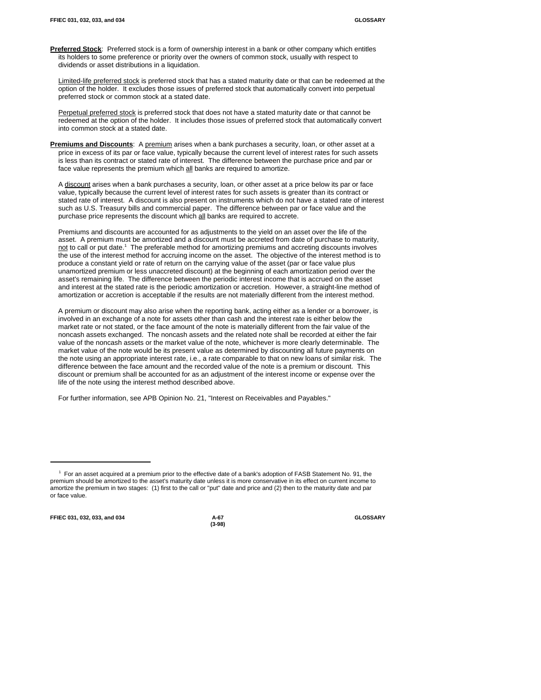**Preferred Stock**: Preferred stock is a form of ownership interest in a bank or other company which entitles its holders to some preference or priority over the owners of common stock, usually with respect to dividends or asset distributions in a liquidation.

Limited-life preferred stock is preferred stock that has a stated maturity date or that can be redeemed at the option of the holder. It excludes those issues of preferred stock that automatically convert into perpetual preferred stock or common stock at a stated date.

Perpetual preferred stock is preferred stock that does not have a stated maturity date or that cannot be redeemed at the option of the holder. It includes those issues of preferred stock that automatically convert into common stock at a stated date.

**Premiums and Discounts**: A premium arises when a bank purchases a security, loan, or other asset at a price in excess of its par or face value, typically because the current level of interest rates for such assets is less than its contract or stated rate of interest. The difference between the purchase price and par or face value represents the premium which all banks are required to amortize.

A discount arises when a bank purchases a security, loan, or other asset at a price below its par or face value, typically because the current level of interest rates for such assets is greater than its contract or stated rate of interest. A discount is also present on instruments which do not have a stated rate of interest such as U.S. Treasury bills and commercial paper. The difference between par or face value and the purchase price represents the discount which all banks are required to accrete.

Premiums and discounts are accounted for as adjustments to the yield on an asset over the life of the asset. A premium must be amortized and a discount must be accreted from date of purchase to maturity, not to call or put date.<sup>1</sup> The preferable method for amortizing premiums and accreting discounts involves the use of the interest method for accruing income on the asset. The objective of the interest method is to produce a constant yield or rate of return on the carrying value of the asset (par or face value plus unamortized premium or less unaccreted discount) at the beginning of each amortization period over the asset's remaining life. The difference between the periodic interest income that is accrued on the asset and interest at the stated rate is the periodic amortization or accretion. However, a straight-line method of amortization or accretion is acceptable if the results are not materially different from the interest method.

A premium or discount may also arise when the reporting bank, acting either as a lender or a borrower, is involved in an exchange of a note for assets other than cash and the interest rate is either below the market rate or not stated, or the face amount of the note is materially different from the fair value of the noncash assets exchanged. The noncash assets and the related note shall be recorded at either the fair value of the noncash assets or the market value of the note, whichever is more clearly determinable. The market value of the note would be its present value as determined by discounting all future payments on the note using an appropriate interest rate, i.e., a rate comparable to that on new loans of similar risk. The difference between the face amount and the recorded value of the note is a premium or discount. This discount or premium shall be accounted for as an adjustment of the interest income or expense over the life of the note using the interest method described above.

For further information, see APB Opinion No. 21, "Interest on Receivables and Payables."

**FFIEC 031, 032, 033, and 034 A-67 GLOSSARY**

<sup>&</sup>lt;sup>1</sup> For an asset acquired at a premium prior to the effective date of a bank's adoption of FASB Statement No. 91, the premium should be amortized to the asset's maturity date unless it is more conservative in its effect on current income to amortize the premium in two stages: (1) first to the call or "put" date and price and (2) then to the maturity date and par or face value.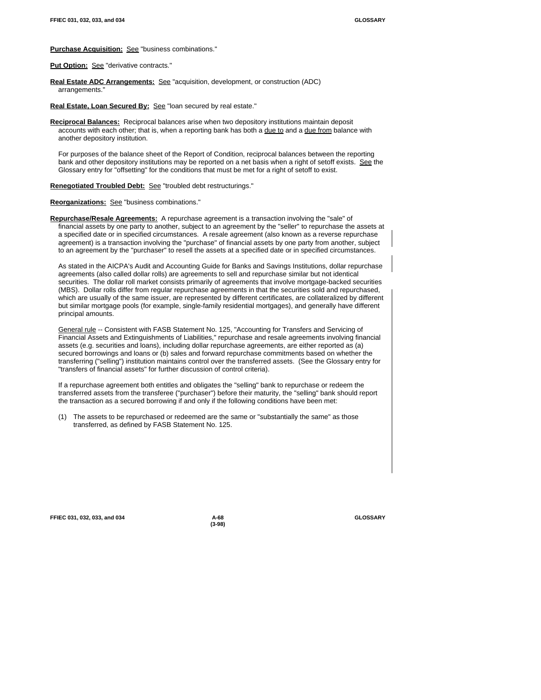#### **Purchase Acquisition:** See "business combinations."

Put Option: See "derivative contracts."

**Real Estate ADC Arrangements:** See "acquisition, development, or construction (ADC) arrangements."

Real Estate, Loan Secured By: See "loan secured by real estate."

**Reciprocal Balances:** Reciprocal balances arise when two depository institutions maintain deposit accounts with each other; that is, when a reporting bank has both a due to and a due from balance with another depository institution.

For purposes of the balance sheet of the Report of Condition, reciprocal balances between the reporting bank and other depository institutions may be reported on a net basis when a right of setoff exists. See the Glossary entry for "offsetting" for the conditions that must be met for a right of setoff to exist.

**Renegotiated Troubled Debt:** See "troubled debt restructurings."

#### **Reorganizations:** See "business combinations."

**Repurchase/Resale Agreements:** A repurchase agreement is a transaction involving the "sale" of financial assets by one party to another, subject to an agreement by the "seller" to repurchase the assets at a specified date or in specified circumstances. A resale agreement (also known as a reverse repurchase agreement) is a transaction involving the "purchase" of financial assets by one party from another, subject to an agreement by the "purchaser" to resell the assets at a specified date or in specified circumstances.

As stated in the AICPA's Audit and Accounting Guide for Banks and Savings Institutions, dollar repurchase agreements (also called dollar rolls) are agreements to sell and repurchase similar but not identical securities. The dollar roll market consists primarily of agreements that involve mortgage-backed securities (MBS). Dollar rolls differ from regular repurchase agreements in that the securities sold and repurchased, which are usually of the same issuer, are represented by different certificates, are collateralized by different but similar mortgage pools (for example, single-family residential mortgages), and generally have different principal amounts.

General rule -- Consistent with FASB Statement No. 125, "Accounting for Transfers and Servicing of Financial Assets and Extinguishments of Liabilities," repurchase and resale agreements involving financial assets (e.g. securities and loans), including dollar repurchase agreements, are either reported as (a) secured borrowings and loans or (b) sales and forward repurchase commitments based on whether the transferring ("selling") institution maintains control over the transferred assets. (See the Glossary entry for "transfers of financial assets" for further discussion of control criteria).

If a repurchase agreement both entitles and obligates the "selling" bank to repurchase or redeem the transferred assets from the transferee ("purchaser") before their maturity, the "selling" bank should report the transaction as a secured borrowing if and only if the following conditions have been met:

(1) The assets to be repurchased or redeemed are the same or "substantially the same" as those transferred, as defined by FASB Statement No. 125.

**FFIEC 031, 032, 033, and 034 A-68 GLOSSARY**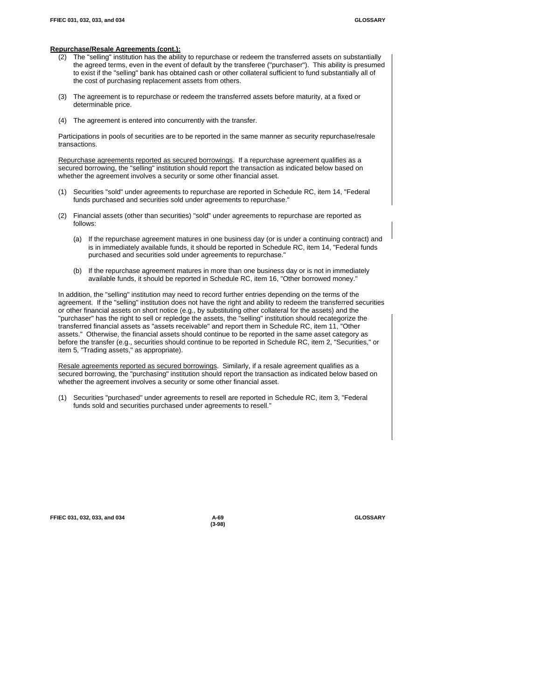#### **Repurchase/Resale Agreements (cont.):**

- (2) The "selling" institution has the ability to repurchase or redeem the transferred assets on substantially the agreed terms, even in the event of default by the transferee ("purchaser"). This ability is presumed to exist if the "selling" bank has obtained cash or other collateral sufficient to fund substantially all of the cost of purchasing replacement assets from others.
- (3) The agreement is to repurchase or redeem the transferred assets before maturity, at a fixed or determinable price.
- (4) The agreement is entered into concurrently with the transfer.

Participations in pools of securities are to be reported in the same manner as security repurchase/resale transactions.

Repurchase agreements reported as secured borrowings. If a repurchase agreement qualifies as a secured borrowing, the "selling" institution should report the transaction as indicated below based on whether the agreement involves a security or some other financial asset.

- (1) Securities "sold" under agreements to repurchase are reported in Schedule RC, item 14, "Federal funds purchased and securities sold under agreements to repurchase."
- (2) Financial assets (other than securities) "sold" under agreements to repurchase are reported as follows:
	- (a) If the repurchase agreement matures in one business day (or is under a continuing contract) and is in immediately available funds, it should be reported in Schedule RC, item 14, "Federal funds purchased and securities sold under agreements to repurchase."
	- (b) If the repurchase agreement matures in more than one business day or is not in immediately available funds, it should be reported in Schedule RC, item 16, "Other borrowed money."

In addition, the "selling" institution may need to record further entries depending on the terms of the agreement. If the "selling" institution does not have the right and ability to redeem the transferred securities or other financial assets on short notice (e.g., by substituting other collateral for the assets) and the "purchaser" has the right to sell or repledge the assets, the "selling" institution should recategorize the transferred financial assets as "assets receivable" and report them in Schedule RC, item 11, "Other assets." Otherwise, the financial assets should continue to be reported in the same asset category as before the transfer (e.g., securities should continue to be reported in Schedule RC, item 2, "Securities," or item 5, "Trading assets," as appropriate).

Resale agreements reported as secured borrowings. Similarly, if a resale agreement qualifies as a secured borrowing, the "purchasing" institution should report the transaction as indicated below based on whether the agreement involves a security or some other financial asset.

(1) Securities "purchased" under agreements to resell are reported in Schedule RC, item 3, "Federal funds sold and securities purchased under agreements to resell."

#### **FFIEC 031, 032, 033, and 034 A-69 GLOSSARY**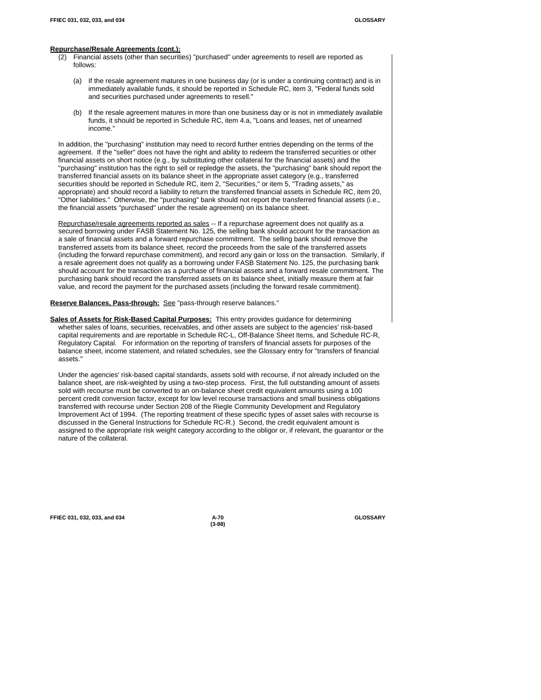#### **Repurchase/Resale Agreements (cont.):**

- (2) Financial assets (other than securities) "purchased" under agreements to resell are reported as follows:
	- (a) If the resale agreement matures in one business day (or is under a continuing contract) and is in immediately available funds, it should be reported in Schedule RC, item 3, "Federal funds sold and securities purchased under agreements to resell."
	- (b) If the resale agreement matures in more than one business day or is not in immediately available funds, it should be reported in Schedule RC, item 4.a, "Loans and leases, net of unearned income."

In addition, the "purchasing" institution may need to record further entries depending on the terms of the agreement. If the "seller" does not have the right and ability to redeem the transferred securities or other financial assets on short notice (e.g., by substituting other collateral for the financial assets) and the "purchasing" institution has the right to sell or repledge the assets, the "purchasing" bank should report the transferred financial assets on its balance sheet in the appropriate asset category (e.g., transferred securities should be reported in Schedule RC, item 2, "Securities," or item 5, "Trading assets," as appropriate) and should record a liability to return the transferred financial assets in Schedule RC, item 20, "Other liabilities." Otherwise, the "purchasing" bank should not report the transferred financial assets (i.e., the financial assets "purchased" under the resale agreement) on its balance sheet.

Repurchase/resale agreements reported as sales -- If a repurchase agreement does not qualify as a secured borrowing under FASB Statement No. 125, the selling bank should account for the transaction as a sale of financial assets and a forward repurchase commitment. The selling bank should remove the transferred assets from its balance sheet, record the proceeds from the sale of the transferred assets (including the forward repurchase commitment), and record any gain or loss on the transaction. Similarly, if a resale agreement does not qualify as a borrowing under FASB Statement No. 125, the purchasing bank should account for the transaction as a purchase of financial assets and a forward resale commitment. The purchasing bank should record the transferred assets on its balance sheet, initially measure them at fair value, and record the payment for the purchased assets (including the forward resale commitment).

#### Reserve Balances, Pass-through: See "pass-through reserve balances."

**Sales of Assets for Risk-Based Capital Purposes:** This entry provides guidance for determining whether sales of loans, securities, receivables, and other assets are subject to the agencies' risk-based capital requirements and are reportable in Schedule RC-L, Off-Balance Sheet Items, and Schedule RC-R, Regulatory Capital. For information on the reporting of transfers of financial assets for purposes of the balance sheet, income statement, and related schedules, see the Glossary entry for "transfers of financial assets."

Under the agencies' risk-based capital standards, assets sold with recourse, if not already included on the balance sheet, are risk-weighted by using a two-step process. First, the full outstanding amount of assets sold with recourse must be converted to an on-balance sheet credit equivalent amounts using a 100 percent credit conversion factor, except for low level recourse transactions and small business obligations transferred with recourse under Section 208 of the Riegle Community Development and Regulatory Improvement Act of 1994. (The reporting treatment of these specific types of asset sales with recourse is discussed in the General Instructions for Schedule RC-R.) Second, the credit equivalent amount is assigned to the appropriate risk weight category according to the obligor or, if relevant, the guarantor or the nature of the collateral.

**FFIEC 031, 032, 033, and 034 A-70 GLOSSARY**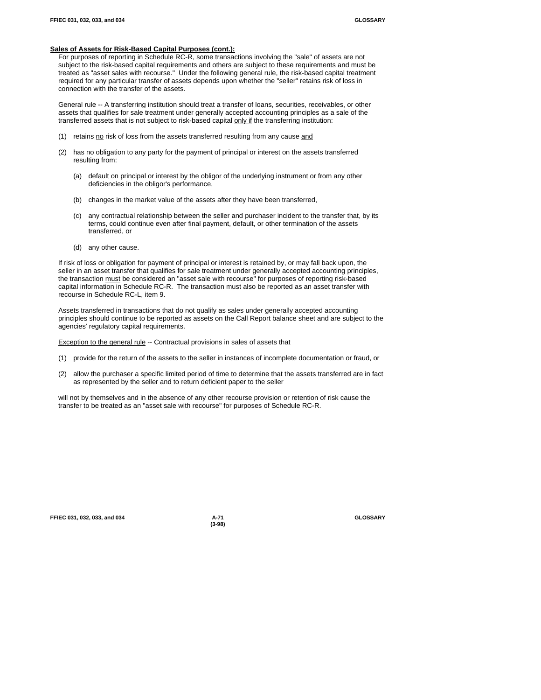#### **Sales of Assets for Risk-Based Capital Purposes (cont.):**

For purposes of reporting in Schedule RC-R, some transactions involving the "sale" of assets are not subject to the risk-based capital requirements and others are subject to these requirements and must be treated as "asset sales with recourse." Under the following general rule, the risk-based capital treatment required for any particular transfer of assets depends upon whether the "seller" retains risk of loss in connection with the transfer of the assets.

General rule -- A transferring institution should treat a transfer of loans, securities, receivables, or other assets that qualifies for sale treatment under generally accepted accounting principles as a sale of the transferred assets that is not subject to risk-based capital only if the transferring institution:

- (1) retains  $\underline{no}$  risk of loss from the assets transferred resulting from any cause and
- (2) has no obligation to any party for the payment of principal or interest on the assets transferred resulting from:
	- (a) default on principal or interest by the obligor of the underlying instrument or from any other deficiencies in the obligor's performance,
	- (b) changes in the market value of the assets after they have been transferred,
	- (c) any contractual relationship between the seller and purchaser incident to the transfer that, by its terms, could continue even after final payment, default, or other termination of the assets transferred, or
	- (d) any other cause.

If risk of loss or obligation for payment of principal or interest is retained by, or may fall back upon, the seller in an asset transfer that qualifies for sale treatment under generally accepted accounting principles, the transaction must be considered an "asset sale with recourse" for purposes of reporting risk-based capital information in Schedule RC-R. The transaction must also be reported as an asset transfer with recourse in Schedule RC-L, item 9.

Assets transferred in transactions that do not qualify as sales under generally accepted accounting principles should continue to be reported as assets on the Call Report balance sheet and are subject to the agencies' regulatory capital requirements.

Exception to the general rule -- Contractual provisions in sales of assets that

- (1) provide for the return of the assets to the seller in instances of incomplete documentation or fraud, or
- (2) allow the purchaser a specific limited period of time to determine that the assets transferred are in fact as represented by the seller and to return deficient paper to the seller

will not by themselves and in the absence of any other recourse provision or retention of risk cause the transfer to be treated as an "asset sale with recourse" for purposes of Schedule RC-R.

| FFIEC 031, 032, 033, and 034 | A-71 | <b>GLOSSARY</b> |
|------------------------------|------|-----------------|
|                              |      |                 |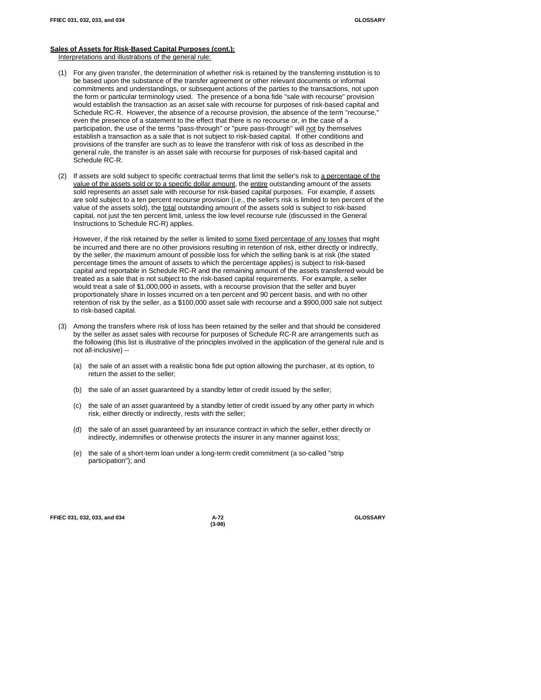# **Sales of Assets for Risk-Based Capital Purposes (cont.):**

Interpretations and illustrations of the general rule:

- (1) For any given transfer, the determination of whether risk is retained by the transferring institution is to be based upon the substance of the transfer agreement or other relevant documents or informal commitments and understandings, or subsequent actions of the parties to the transactions, not upon the form or particular terminology used. The presence of a bona fide "sale with recourse" provision would establish the transaction as an asset sale with recourse for purposes of risk-based capital and Schedule RC-R. However, the absence of a recourse provision, the absence of the term "recourse," even the presence of a statement to the effect that there is no recourse or, in the case of a participation, the use of the terms "pass-through" or "pure pass-through" will not by themselves establish a transaction as a sale that is not subject to risk-based capital. If other conditions and provisions of the transfer are such as to leave the transferor with risk of loss as described in the general rule, the transfer is an asset sale with recourse for purposes of risk-based capital and Schedule RC-R.
- (2) If assets are sold subject to specific contractual terms that limit the seller's risk to a percentage of the value of the assets sold or to a specific dollar amount, the entire outstanding amount of the assets sold represents an asset sale with recourse for risk-based capital purposes. For example, if assets are sold subject to a ten percent recourse provision (i.e., the seller's risk is limited to ten percent of the value of the assets sold), the total outstanding amount of the assets sold is subject to risk-based capital, not just the ten percent limit, unless the low level recourse rule (discussed in the General Instructions to Schedule RC-R) applies.

However, if the risk retained by the seller is limited to some fixed percentage of any losses that might be incurred and there are no other provisions resulting in retention of risk, either directly or indirectly, by the seller, the maximum amount of possible loss for which the selling bank is at risk (the stated percentage times the amount of assets to which the percentage applies) is subject to risk-based capital and reportable in Schedule RC-R and the remaining amount of the assets transferred would be treated as a sale that is not subject to the risk-based capital requirements. For example, a seller would treat a sale of \$1,000,000 in assets, with a recourse provision that the seller and buyer proportionately share in losses incurred on a ten percent and 90 percent basis, and with no other retention of risk by the seller, as a \$100,000 asset sale with recourse and a \$900,000 sale not subject to risk-based capital.

- (3) Among the transfers where risk of loss has been retained by the seller and that should be considered by the seller as asset sales with recourse for purposes of Schedule RC-R are arrangements such as the following (this list is illustrative of the principles involved in the application of the general rule and is not all-inclusive) --
	- (a) the sale of an asset with a realistic bona fide put option allowing the purchaser, at its option, to return the asset to the seller;
	- (b) the sale of an asset guaranteed by a standby letter of credit issued by the seller;
	- (c) the sale of an asset guaranteed by a standby letter of credit issued by any other party in which risk, either directly or indirectly, rests with the seller;
	- (d) the sale of an asset guaranteed by an insurance contract in which the seller, either directly or indirectly, indemnifies or otherwise protects the insurer in any manner against loss;
	- (e) the sale of a short-term loan under a long-term credit commitment (a so-called "strip participation"); and

**FFIEC 031, 032, 033, and 034 A-72 GLOSSARY**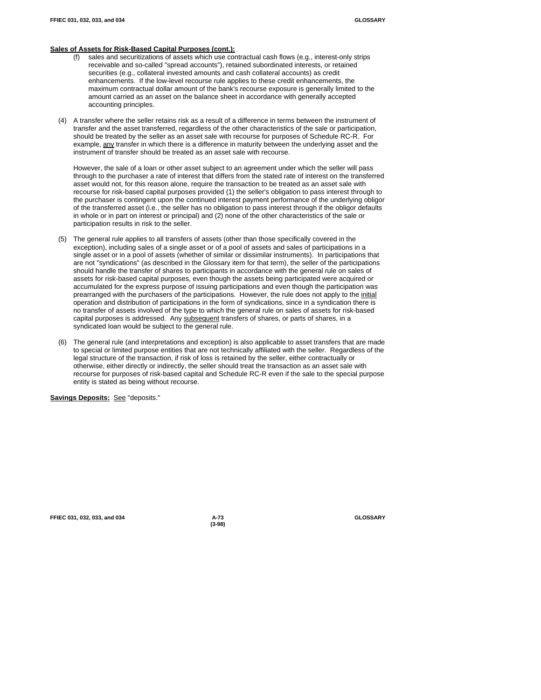#### **Sales of Assets for Risk-Based Capital Purposes (cont.):**

- (f) sales and securitizations of assets which use contractual cash flows (e.g., interest-only strips receivable and so-called "spread accounts"), retained subordinated interests, or retained securities (e.g., collateral invested amounts and cash collateral accounts) as credit enhancements. If the low-level recourse rule applies to these credit enhancements, the maximum contractual dollar amount of the bank's recourse exposure is generally limited to the amount carried as an asset on the balance sheet in accordance with generally accepted accounting principles.
- (4) A transfer where the seller retains risk as a result of a difference in terms between the instrument of transfer and the asset transferred, regardless of the other characteristics of the sale or participation, should be treated by the seller as an asset sale with recourse for purposes of Schedule RC-R. For example, any transfer in which there is a difference in maturity between the underlying asset and the instrument of transfer should be treated as an asset sale with recourse.

However, the sale of a loan or other asset subject to an agreement under which the seller will pass through to the purchaser a rate of interest that differs from the stated rate of interest on the transferred asset would not, for this reason alone, require the transaction to be treated as an asset sale with recourse for risk-based capital purposes provided (1) the seller's obligation to pass interest through to the purchaser is contingent upon the continued interest payment performance of the underlying obligor of the transferred asset (i.e., the seller has no obligation to pass interest through if the obligor defaults in whole or in part on interest or principal) and (2) none of the other characteristics of the sale or participation results in risk to the seller.

- (5) The general rule applies to all transfers of assets (other than those specifically covered in the exception), including sales of a single asset or of a pool of assets and sales of participations in a single asset or in a pool of assets (whether of similar or dissimilar instruments). In participations that are not "syndications" (as described in the Glossary item for that term), the seller of the participations should handle the transfer of shares to participants in accordance with the general rule on sales of assets for risk-based capital purposes, even though the assets being participated were acquired or accumulated for the express purpose of issuing participations and even though the participation was prearranged with the purchasers of the participations. However, the rule does not apply to the initial operation and distribution of participations in the form of syndications, since in a syndication there is no transfer of assets involved of the type to which the general rule on sales of assets for risk-based capital purposes is addressed. Any subsequent transfers of shares, or parts of shares, in a syndicated loan would be subject to the general rule.
- (6) The general rule (and interpretations and exception) is also applicable to asset transfers that are made to special or limited purpose entities that are not technically affiliated with the seller. Regardless of the legal structure of the transaction, if risk of loss is retained by the seller, either contractually or otherwise, either directly or indirectly, the seller should treat the transaction as an asset sale with recourse for purposes of risk-based capital and Schedule RC-R even if the sale to the special purpose entity is stated as being without recourse.

**Savings Deposits:** See "deposits."

**FFIEC 031, 032, 033, and 034 A-73 GLOSSARY**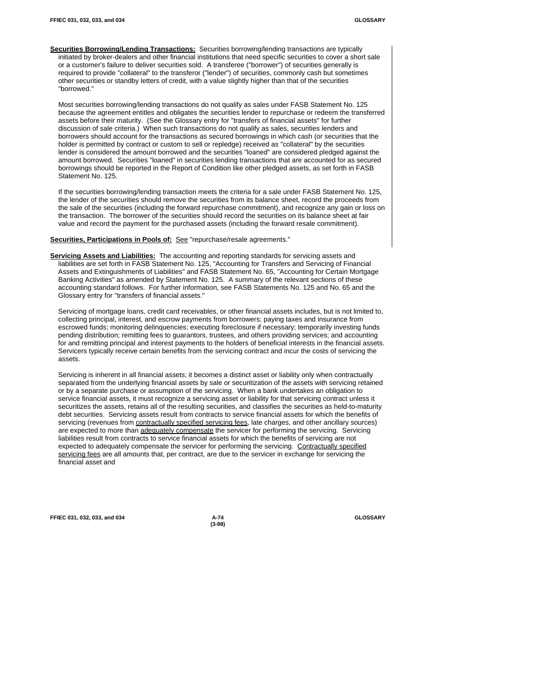**Securities Borrowing/Lending Transactions:** Securities borrowing/lending transactions are typically initiated by broker-dealers and other financial institutions that need specific securities to cover a short sale or a customer's failure to deliver securities sold. A transferee ("borrower") of securities generally is required to provide "collateral" to the transferor ("lender") of securities, commonly cash but sometimes other securities or standby letters of credit, with a value slightly higher than that of the securities "borrowed."

Most securities borrowing/lending transactions do not qualify as sales under FASB Statement No. 125 because the agreement entitles and obligates the securities lender to repurchase or redeem the transferred assets before their maturity. (See the Glossary entry for "transfers of financial assets" for further discussion of sale criteria.) When such transactions do not qualify as sales, securities lenders and borrowers should account for the transactions as secured borrowings in which cash (or securities that the holder is permitted by contract or custom to sell or repledge) received as "collateral" by the securities lender is considered the amount borrowed and the securities "loaned" are considered pledged against the amount borrowed. Securities "loaned" in securities lending transactions that are accounted for as secured borrowings should be reported in the Report of Condition like other pledged assets, as set forth in FASB Statement No. 125.

If the securities borrowing/lending transaction meets the criteria for a sale under FASB Statement No. 125, the lender of the securities should remove the securities from its balance sheet, record the proceeds from the sale of the securities (including the forward repurchase commitment), and recognize any gain or loss on the transaction. The borrower of the securities should record the securities on its balance sheet at fair value and record the payment for the purchased assets (including the forward resale commitment).

**Securities, Participations in Pools of:** See "repurchase/resale agreements."

**Servicing Assets and Liabilities:** The accounting and reporting standards for servicing assets and liabilities are set forth in FASB Statement No. 125, "Accounting for Transfers and Servicing of Financial Assets and Extinguishments of Liabilities" and FASB Statement No. 65, "Accounting for Certain Mortgage Banking Activities" as amended by Statement No. 125. A summary of the relevant sections of these accounting standard follows. For further information, see FASB Statements No. 125 and No. 65 and the Glossary entry for "transfers of financial assets."

Servicing of mortgage loans, credit card receivables, or other financial assets includes, but is not limited to, collecting principal, interest, and escrow payments from borrowers; paying taxes and insurance from escrowed funds; monitoring delinquencies; executing foreclosure if necessary; temporarily investing funds pending distribution; remitting fees to guarantors, trustees, and others providing services; and accounting for and remitting principal and interest payments to the holders of beneficial interests in the financial assets. Servicers typically receive certain benefits from the servicing contract and incur the costs of servicing the assets.

Servicing is inherent in all financial assets; it becomes a distinct asset or liability only when contractually separated from the underlying financial assets by sale or securitization of the assets with servicing retained or by a separate purchase or assumption of the servicing. When a bank undertakes an obligation to service financial assets, it must recognize a servicing asset or liability for that servicing contract unless it securitizes the assets, retains all of the resulting securities, and classifies the securities as held-to-maturity debt securities. Servicing assets result from contracts to service financial assets for which the benefits of servicing (revenues from contractually specified servicing fees, late charges, and other ancillary sources) are expected to more than adequately compensate the servicer for performing the servicing. Servicing liabilities result from contracts to service financial assets for which the benefits of servicing are not expected to adequately compensate the servicer for performing the servicing. Contractually specified servicing fees are all amounts that, per contract, are due to the servicer in exchange for servicing the financial asset and

**FFIEC 031, 032, 033, and 034 A-74 GLOSSARY**